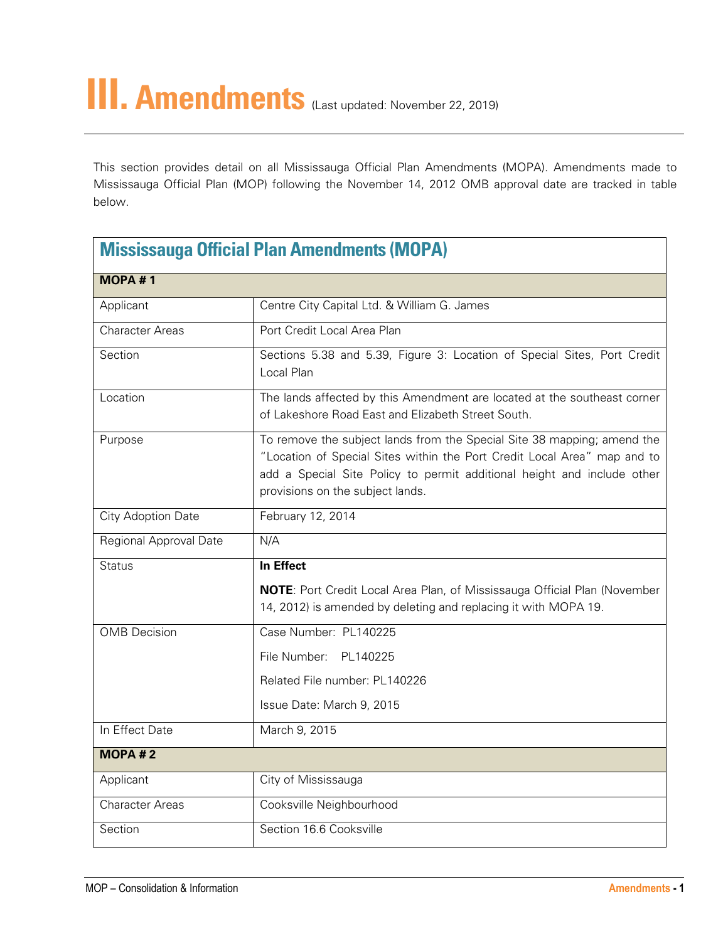This section provides detail on all Mississauga Official Plan Amendments (MOPA). Amendments made to Mississauga Official Plan (MOP) following the November 14, 2012 OMB approval date are tracked in table below.

| <b>Mississauga Official Plan Amendments (MOPA)</b> |                                                                                                                                                                                                                                                                    |
|----------------------------------------------------|--------------------------------------------------------------------------------------------------------------------------------------------------------------------------------------------------------------------------------------------------------------------|
| <b>MOPA#1</b>                                      |                                                                                                                                                                                                                                                                    |
| Applicant                                          | Centre City Capital Ltd. & William G. James                                                                                                                                                                                                                        |
| <b>Character Areas</b>                             | Port Credit Local Area Plan                                                                                                                                                                                                                                        |
| Section                                            | Sections 5.38 and 5.39, Figure 3: Location of Special Sites, Port Credit<br>Local Plan                                                                                                                                                                             |
| Location                                           | The lands affected by this Amendment are located at the southeast corner<br>of Lakeshore Road East and Elizabeth Street South.                                                                                                                                     |
| Purpose                                            | To remove the subject lands from the Special Site 38 mapping; amend the<br>"Location of Special Sites within the Port Credit Local Area" map and to<br>add a Special Site Policy to permit additional height and include other<br>provisions on the subject lands. |
| City Adoption Date                                 | February 12, 2014                                                                                                                                                                                                                                                  |
| Regional Approval Date                             | N/A                                                                                                                                                                                                                                                                |
| <b>Status</b>                                      | In Effect                                                                                                                                                                                                                                                          |
|                                                    | <b>NOTE:</b> Port Credit Local Area Plan, of Mississauga Official Plan (November<br>14, 2012) is amended by deleting and replacing it with MOPA 19.                                                                                                                |
| <b>OMB</b> Decision                                | Case Number: PL140225                                                                                                                                                                                                                                              |
|                                                    | File Number: PL140225                                                                                                                                                                                                                                              |
|                                                    | Related File number: PL140226                                                                                                                                                                                                                                      |
|                                                    | Issue Date: March 9, 2015                                                                                                                                                                                                                                          |
| In Effect Date                                     | March 9, 2015                                                                                                                                                                                                                                                      |
| <b>MOPA#2</b>                                      |                                                                                                                                                                                                                                                                    |
| Applicant                                          | City of Mississauga                                                                                                                                                                                                                                                |
| <b>Character Areas</b>                             | Cooksville Neighbourhood                                                                                                                                                                                                                                           |
| Section                                            | Section 16.6 Cooksville                                                                                                                                                                                                                                            |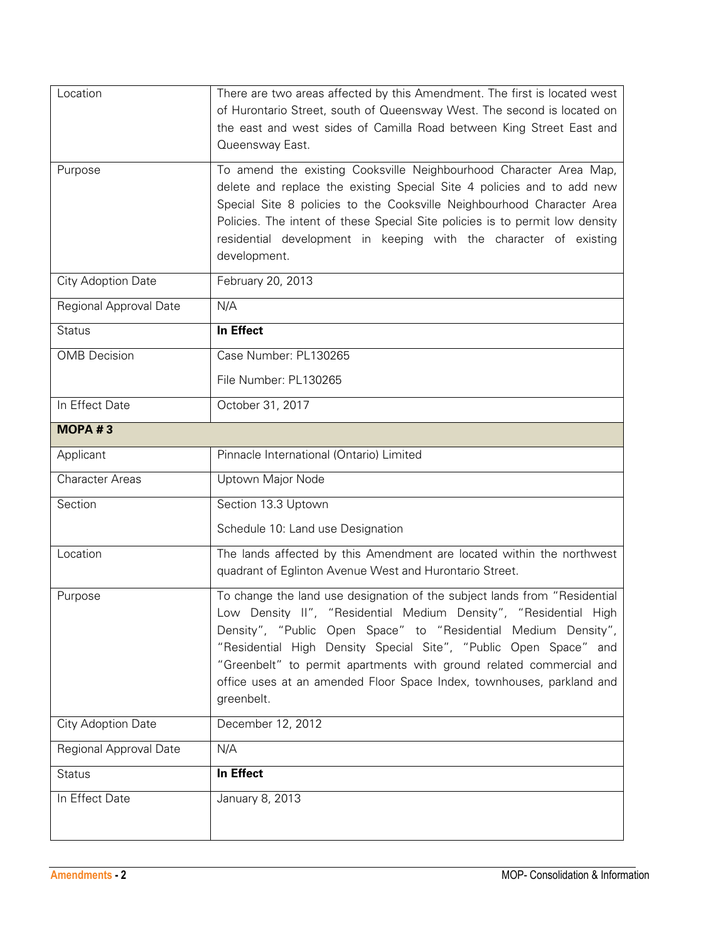| Location               | There are two areas affected by this Amendment. The first is located west<br>of Hurontario Street, south of Queensway West. The second is located on<br>the east and west sides of Camilla Road between King Street East and<br>Queensway East.                                                                                                                                                                                                   |
|------------------------|---------------------------------------------------------------------------------------------------------------------------------------------------------------------------------------------------------------------------------------------------------------------------------------------------------------------------------------------------------------------------------------------------------------------------------------------------|
| Purpose                | To amend the existing Cooksville Neighbourhood Character Area Map,<br>delete and replace the existing Special Site 4 policies and to add new<br>Special Site 8 policies to the Cooksville Neighbourhood Character Area<br>Policies. The intent of these Special Site policies is to permit low density<br>residential development in keeping with the character of existing<br>development.                                                       |
| City Adoption Date     | February 20, 2013                                                                                                                                                                                                                                                                                                                                                                                                                                 |
| Regional Approval Date | N/A                                                                                                                                                                                                                                                                                                                                                                                                                                               |
| <b>Status</b>          | In Effect                                                                                                                                                                                                                                                                                                                                                                                                                                         |
| <b>OMB</b> Decision    | Case Number: PL130265                                                                                                                                                                                                                                                                                                                                                                                                                             |
|                        | File Number: PL130265                                                                                                                                                                                                                                                                                                                                                                                                                             |
| In Effect Date         | October 31, 2017                                                                                                                                                                                                                                                                                                                                                                                                                                  |
| MOPA #3                |                                                                                                                                                                                                                                                                                                                                                                                                                                                   |
| Applicant              | Pinnacle International (Ontario) Limited                                                                                                                                                                                                                                                                                                                                                                                                          |
| <b>Character Areas</b> | Uptown Major Node                                                                                                                                                                                                                                                                                                                                                                                                                                 |
| Section                | Section 13.3 Uptown                                                                                                                                                                                                                                                                                                                                                                                                                               |
|                        | Schedule 10: Land use Designation                                                                                                                                                                                                                                                                                                                                                                                                                 |
| Location               | The lands affected by this Amendment are located within the northwest<br>quadrant of Eglinton Avenue West and Hurontario Street.                                                                                                                                                                                                                                                                                                                  |
| Purpose                | To change the land use designation of the subject lands from "Residential<br>Low Density II", "Residential Medium Density", "Residential High<br>Density", "Public Open Space" to "Residential Medium Density",<br>"Residential High Density Special Site", "Public Open Space" and<br>"Greenbelt" to permit apartments with ground related commercial and<br>office uses at an amended Floor Space Index, townhouses, parkland and<br>greenbelt. |
| City Adoption Date     | December 12, 2012                                                                                                                                                                                                                                                                                                                                                                                                                                 |
| Regional Approval Date | N/A                                                                                                                                                                                                                                                                                                                                                                                                                                               |
| <b>Status</b>          | In Effect                                                                                                                                                                                                                                                                                                                                                                                                                                         |
| In Effect Date         | January 8, 2013                                                                                                                                                                                                                                                                                                                                                                                                                                   |
|                        |                                                                                                                                                                                                                                                                                                                                                                                                                                                   |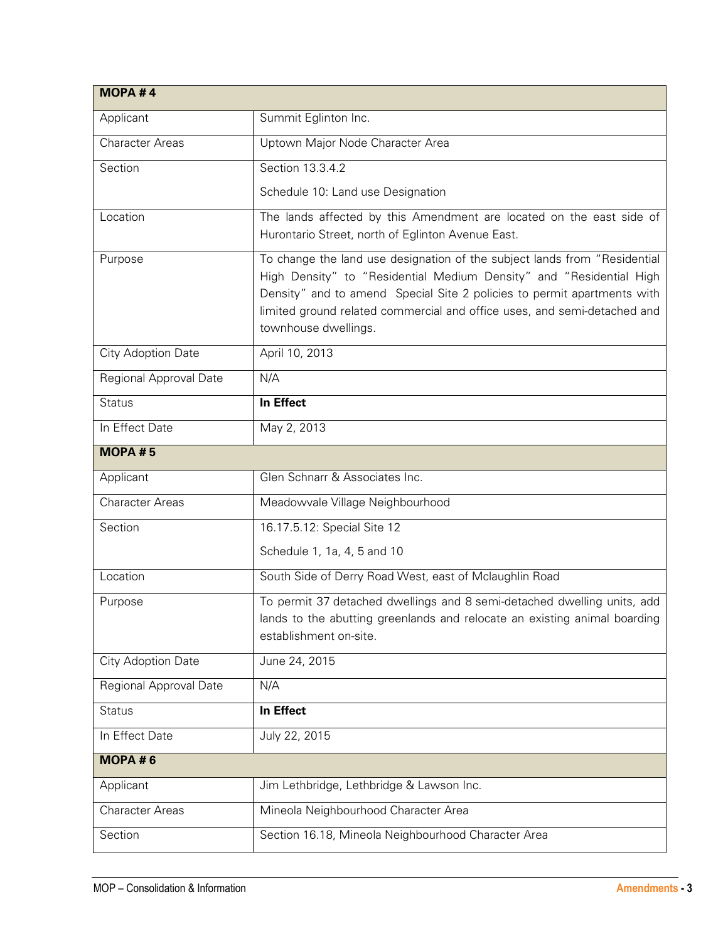| MOPA #4                |                                                                                                                                                                                                                                                                                                                                 |
|------------------------|---------------------------------------------------------------------------------------------------------------------------------------------------------------------------------------------------------------------------------------------------------------------------------------------------------------------------------|
| Applicant              | Summit Eglinton Inc.                                                                                                                                                                                                                                                                                                            |
| <b>Character Areas</b> | Uptown Major Node Character Area                                                                                                                                                                                                                                                                                                |
| Section                | Section 13.3.4.2                                                                                                                                                                                                                                                                                                                |
|                        | Schedule 10: Land use Designation                                                                                                                                                                                                                                                                                               |
| Location               | The lands affected by this Amendment are located on the east side of<br>Hurontario Street, north of Eglinton Avenue East.                                                                                                                                                                                                       |
| Purpose                | To change the land use designation of the subject lands from "Residential<br>High Density" to "Residential Medium Density" and "Residential High<br>Density" and to amend Special Site 2 policies to permit apartments with<br>limited ground related commercial and office uses, and semi-detached and<br>townhouse dwellings. |
| City Adoption Date     | April 10, 2013                                                                                                                                                                                                                                                                                                                  |
| Regional Approval Date | N/A                                                                                                                                                                                                                                                                                                                             |
| <b>Status</b>          | In Effect                                                                                                                                                                                                                                                                                                                       |
| In Effect Date         | May 2, 2013                                                                                                                                                                                                                                                                                                                     |
| <b>MOPA#5</b>          |                                                                                                                                                                                                                                                                                                                                 |
| Applicant              | Glen Schnarr & Associates Inc.                                                                                                                                                                                                                                                                                                  |
| <b>Character Areas</b> | Meadowvale Village Neighbourhood                                                                                                                                                                                                                                                                                                |
| Section                | 16.17.5.12: Special Site 12                                                                                                                                                                                                                                                                                                     |
|                        | Schedule 1, 1a, 4, 5 and 10                                                                                                                                                                                                                                                                                                     |
| Location               | South Side of Derry Road West, east of Mclaughlin Road                                                                                                                                                                                                                                                                          |
| Purpose                | To permit 37 detached dwellings and 8 semi-detached dwelling units, add<br>lands to the abutting greenlands and relocate an existing animal boarding<br>establishment on-site.                                                                                                                                                  |
| City Adoption Date     | June 24, 2015                                                                                                                                                                                                                                                                                                                   |
| Regional Approval Date | N/A                                                                                                                                                                                                                                                                                                                             |
| <b>Status</b>          | In Effect                                                                                                                                                                                                                                                                                                                       |
| In Effect Date         | July 22, 2015                                                                                                                                                                                                                                                                                                                   |
| MOPA#6                 |                                                                                                                                                                                                                                                                                                                                 |
| Applicant              | Jim Lethbridge, Lethbridge & Lawson Inc.                                                                                                                                                                                                                                                                                        |
| <b>Character Areas</b> | Mineola Neighbourhood Character Area                                                                                                                                                                                                                                                                                            |
| Section                | Section 16.18, Mineola Neighbourhood Character Area                                                                                                                                                                                                                                                                             |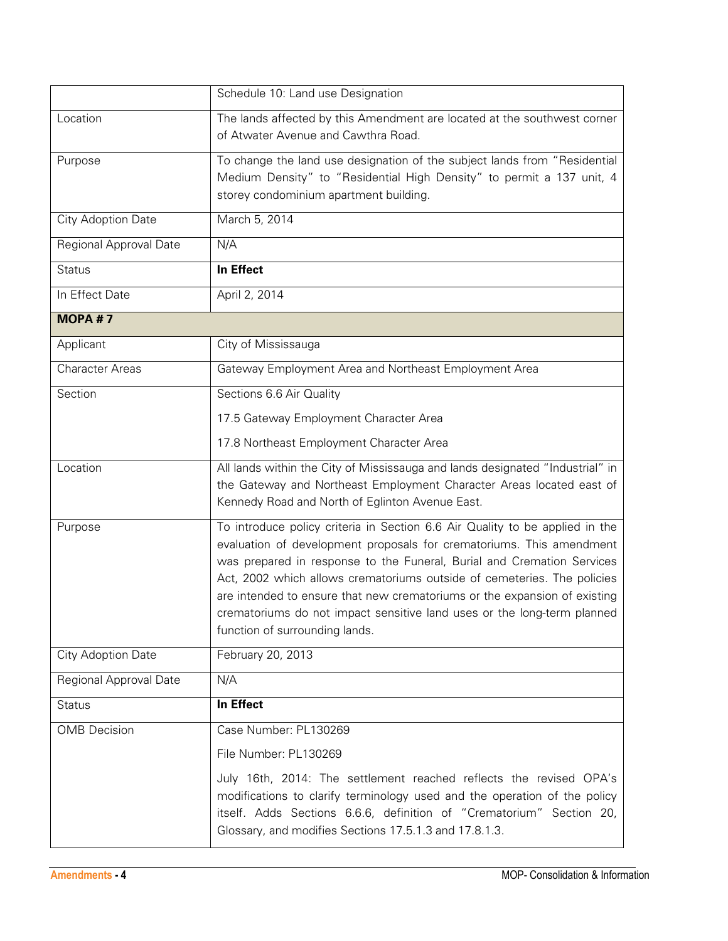|                        | Schedule 10: Land use Designation                                                                                                                                                                                                                                                                                                                                                                                                                                                                   |
|------------------------|-----------------------------------------------------------------------------------------------------------------------------------------------------------------------------------------------------------------------------------------------------------------------------------------------------------------------------------------------------------------------------------------------------------------------------------------------------------------------------------------------------|
| Location               | The lands affected by this Amendment are located at the southwest corner<br>of Atwater Avenue and Cawthra Road.                                                                                                                                                                                                                                                                                                                                                                                     |
| Purpose                | To change the land use designation of the subject lands from "Residential<br>Medium Density" to "Residential High Density" to permit a 137 unit, 4                                                                                                                                                                                                                                                                                                                                                  |
|                        | storey condominium apartment building.                                                                                                                                                                                                                                                                                                                                                                                                                                                              |
| City Adoption Date     | March 5, 2014                                                                                                                                                                                                                                                                                                                                                                                                                                                                                       |
| Regional Approval Date | N/A                                                                                                                                                                                                                                                                                                                                                                                                                                                                                                 |
| <b>Status</b>          | In Effect                                                                                                                                                                                                                                                                                                                                                                                                                                                                                           |
| In Effect Date         | April 2, 2014                                                                                                                                                                                                                                                                                                                                                                                                                                                                                       |
| <b>MOPA#7</b>          |                                                                                                                                                                                                                                                                                                                                                                                                                                                                                                     |
| Applicant              | City of Mississauga                                                                                                                                                                                                                                                                                                                                                                                                                                                                                 |
| <b>Character Areas</b> | Gateway Employment Area and Northeast Employment Area                                                                                                                                                                                                                                                                                                                                                                                                                                               |
| Section                | Sections 6.6 Air Quality                                                                                                                                                                                                                                                                                                                                                                                                                                                                            |
|                        | 17.5 Gateway Employment Character Area                                                                                                                                                                                                                                                                                                                                                                                                                                                              |
|                        | 17.8 Northeast Employment Character Area                                                                                                                                                                                                                                                                                                                                                                                                                                                            |
| Location               | All lands within the City of Mississauga and lands designated "Industrial" in<br>the Gateway and Northeast Employment Character Areas located east of<br>Kennedy Road and North of Eglinton Avenue East.                                                                                                                                                                                                                                                                                            |
| Purpose                | To introduce policy criteria in Section 6.6 Air Quality to be applied in the<br>evaluation of development proposals for crematoriums. This amendment<br>was prepared in response to the Funeral, Burial and Cremation Services<br>Act, 2002 which allows crematoriums outside of cemeteries. The policies<br>are intended to ensure that new crematoriums or the expansion of existing<br>crematoriums do not impact sensitive land uses or the long-term planned<br>function of surrounding lands. |
| City Adoption Date     | February 20, 2013                                                                                                                                                                                                                                                                                                                                                                                                                                                                                   |
| Regional Approval Date | N/A                                                                                                                                                                                                                                                                                                                                                                                                                                                                                                 |
| <b>Status</b>          | In Effect                                                                                                                                                                                                                                                                                                                                                                                                                                                                                           |
| <b>OMB</b> Decision    | Case Number: PL130269                                                                                                                                                                                                                                                                                                                                                                                                                                                                               |
|                        | File Number: PL130269                                                                                                                                                                                                                                                                                                                                                                                                                                                                               |
|                        | July 16th, 2014: The settlement reached reflects the revised OPA's<br>modifications to clarify terminology used and the operation of the policy<br>itself. Adds Sections 6.6.6, definition of "Crematorium" Section 20,<br>Glossary, and modifies Sections 17.5.1.3 and 17.8.1.3.                                                                                                                                                                                                                   |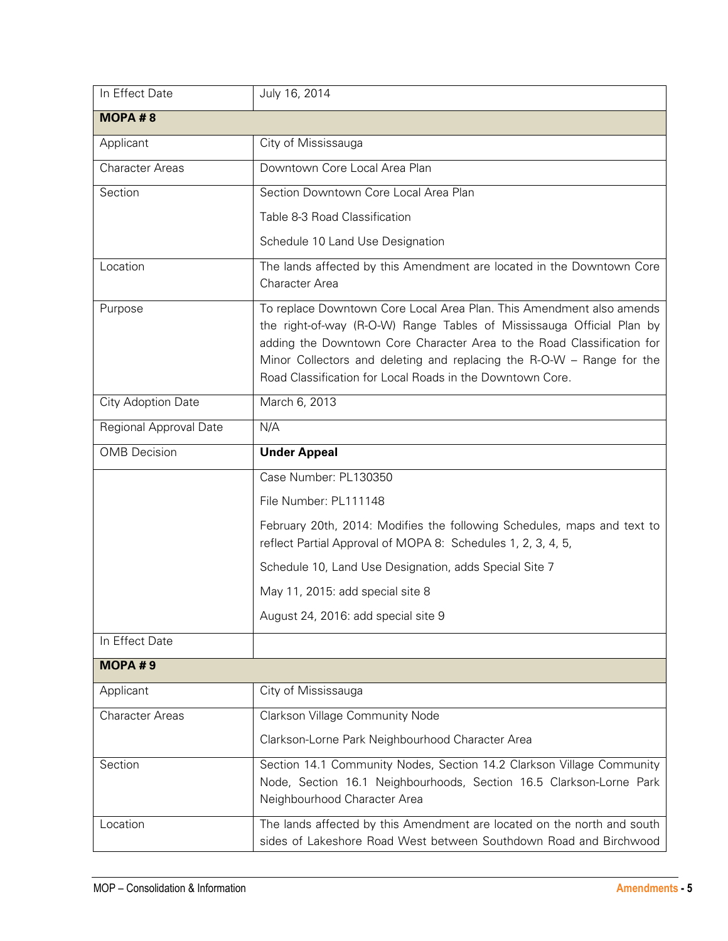| In Effect Date         | July 16, 2014                                                                                                                                                                                                                                                                                                                                                 |
|------------------------|---------------------------------------------------------------------------------------------------------------------------------------------------------------------------------------------------------------------------------------------------------------------------------------------------------------------------------------------------------------|
| MOPA#8                 |                                                                                                                                                                                                                                                                                                                                                               |
| Applicant              | City of Mississauga                                                                                                                                                                                                                                                                                                                                           |
| <b>Character Areas</b> | Downtown Core Local Area Plan                                                                                                                                                                                                                                                                                                                                 |
| Section                | Section Downtown Core Local Area Plan                                                                                                                                                                                                                                                                                                                         |
|                        | Table 8-3 Road Classification                                                                                                                                                                                                                                                                                                                                 |
|                        | Schedule 10 Land Use Designation                                                                                                                                                                                                                                                                                                                              |
| Location               | The lands affected by this Amendment are located in the Downtown Core<br><b>Character Area</b>                                                                                                                                                                                                                                                                |
| Purpose                | To replace Downtown Core Local Area Plan. This Amendment also amends<br>the right-of-way (R-O-W) Range Tables of Mississauga Official Plan by<br>adding the Downtown Core Character Area to the Road Classification for<br>Minor Collectors and deleting and replacing the R-O-W - Range for the<br>Road Classification for Local Roads in the Downtown Core. |
| City Adoption Date     | March 6, 2013                                                                                                                                                                                                                                                                                                                                                 |
| Regional Approval Date | N/A                                                                                                                                                                                                                                                                                                                                                           |
| <b>OMB</b> Decision    | <b>Under Appeal</b>                                                                                                                                                                                                                                                                                                                                           |
|                        | Case Number: PL130350                                                                                                                                                                                                                                                                                                                                         |
|                        | File Number: PL111148                                                                                                                                                                                                                                                                                                                                         |
|                        | February 20th, 2014: Modifies the following Schedules, maps and text to<br>reflect Partial Approval of MOPA 8: Schedules 1, 2, 3, 4, 5,                                                                                                                                                                                                                       |
|                        | Schedule 10, Land Use Designation, adds Special Site 7                                                                                                                                                                                                                                                                                                        |
|                        | May 11, 2015: add special site 8                                                                                                                                                                                                                                                                                                                              |
|                        | August 24, 2016: add special site 9                                                                                                                                                                                                                                                                                                                           |
| In Effect Date         |                                                                                                                                                                                                                                                                                                                                                               |
| MOPA#9                 |                                                                                                                                                                                                                                                                                                                                                               |
| Applicant              | City of Mississauga                                                                                                                                                                                                                                                                                                                                           |
| <b>Character Areas</b> | Clarkson Village Community Node                                                                                                                                                                                                                                                                                                                               |
|                        | Clarkson-Lorne Park Neighbourhood Character Area                                                                                                                                                                                                                                                                                                              |
| Section                | Section 14.1 Community Nodes, Section 14.2 Clarkson Village Community<br>Node, Section 16.1 Neighbourhoods, Section 16.5 Clarkson-Lorne Park<br>Neighbourhood Character Area                                                                                                                                                                                  |
| Location               | The lands affected by this Amendment are located on the north and south<br>sides of Lakeshore Road West between Southdown Road and Birchwood                                                                                                                                                                                                                  |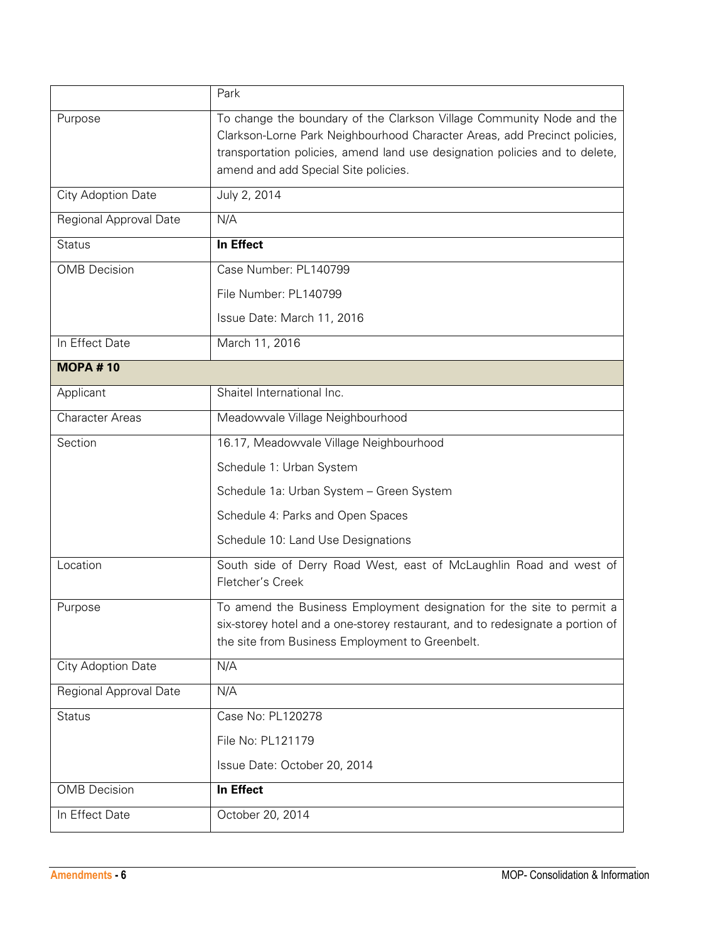|                        | Park                                                                                                                                                                                                                                                                      |
|------------------------|---------------------------------------------------------------------------------------------------------------------------------------------------------------------------------------------------------------------------------------------------------------------------|
| Purpose                | To change the boundary of the Clarkson Village Community Node and the<br>Clarkson-Lorne Park Neighbourhood Character Areas, add Precinct policies,<br>transportation policies, amend land use designation policies and to delete,<br>amend and add Special Site policies. |
| City Adoption Date     | July 2, 2014                                                                                                                                                                                                                                                              |
| Regional Approval Date | N/A                                                                                                                                                                                                                                                                       |
| <b>Status</b>          | In Effect                                                                                                                                                                                                                                                                 |
| <b>OMB</b> Decision    | Case Number: PL140799                                                                                                                                                                                                                                                     |
|                        | File Number: PL140799                                                                                                                                                                                                                                                     |
|                        | Issue Date: March 11, 2016                                                                                                                                                                                                                                                |
| In Effect Date         | March 11, 2016                                                                                                                                                                                                                                                            |
| <b>MOPA#10</b>         |                                                                                                                                                                                                                                                                           |
| Applicant              | Shaitel International Inc.                                                                                                                                                                                                                                                |
| <b>Character Areas</b> | Meadowvale Village Neighbourhood                                                                                                                                                                                                                                          |
| Section                | 16.17, Meadowvale Village Neighbourhood                                                                                                                                                                                                                                   |
|                        | Schedule 1: Urban System                                                                                                                                                                                                                                                  |
|                        | Schedule 1a: Urban System - Green System                                                                                                                                                                                                                                  |
|                        | Schedule 4: Parks and Open Spaces                                                                                                                                                                                                                                         |
|                        | Schedule 10: Land Use Designations                                                                                                                                                                                                                                        |
| Location               | South side of Derry Road West, east of McLaughlin Road and west of<br>Fletcher's Creek                                                                                                                                                                                    |
| Purpose                | To amend the Business Employment designation for the site to permit a<br>six-storey hotel and a one-storey restaurant, and to redesignate a portion of<br>the site from Business Employment to Greenbelt.                                                                 |
| City Adoption Date     | N/A                                                                                                                                                                                                                                                                       |
| Regional Approval Date | N/A                                                                                                                                                                                                                                                                       |
| <b>Status</b>          | Case No: PL120278                                                                                                                                                                                                                                                         |
|                        | File No: PL121179                                                                                                                                                                                                                                                         |
|                        | Issue Date: October 20, 2014                                                                                                                                                                                                                                              |
| <b>OMB</b> Decision    | In Effect                                                                                                                                                                                                                                                                 |
| In Effect Date         | October 20, 2014                                                                                                                                                                                                                                                          |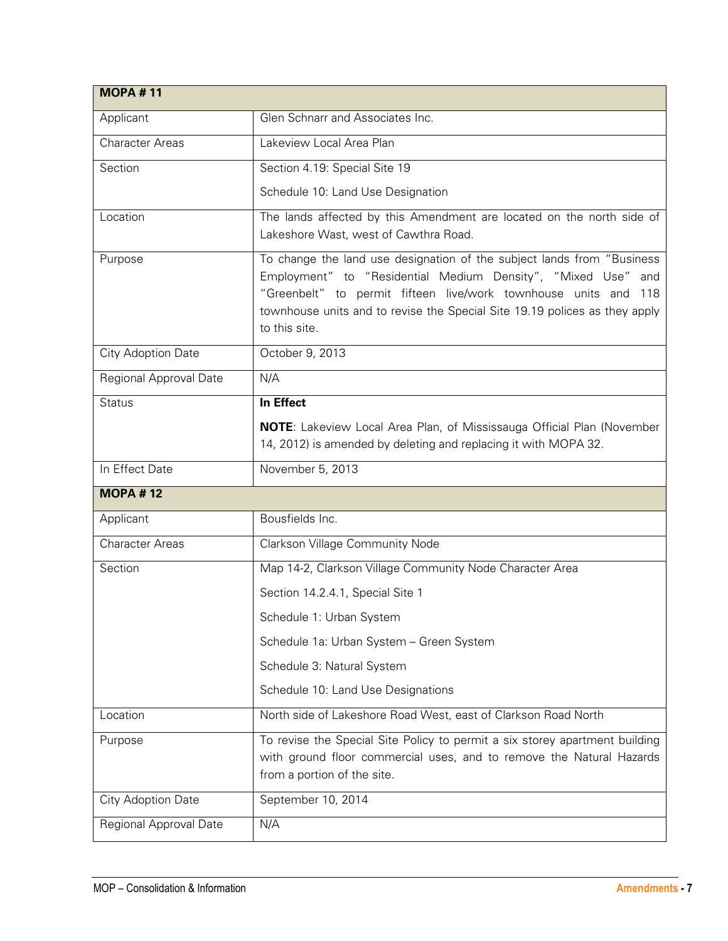| <b>MOPA#11</b>         |                                                                                                                                                                                                                                                                                                           |
|------------------------|-----------------------------------------------------------------------------------------------------------------------------------------------------------------------------------------------------------------------------------------------------------------------------------------------------------|
| Applicant              | Glen Schnarr and Associates Inc.                                                                                                                                                                                                                                                                          |
| <b>Character Areas</b> | Lakeview Local Area Plan                                                                                                                                                                                                                                                                                  |
| Section                | Section 4.19: Special Site 19                                                                                                                                                                                                                                                                             |
|                        | Schedule 10: Land Use Designation                                                                                                                                                                                                                                                                         |
| Location               | The lands affected by this Amendment are located on the north side of<br>Lakeshore Wast, west of Cawthra Road.                                                                                                                                                                                            |
| Purpose                | To change the land use designation of the subject lands from "Business"<br>Employment" to "Residential Medium Density", "Mixed Use" and<br>"Greenbelt" to permit fifteen live/work townhouse units and 118<br>townhouse units and to revise the Special Site 19.19 polices as they apply<br>to this site. |
| City Adoption Date     | October 9, 2013                                                                                                                                                                                                                                                                                           |
| Regional Approval Date | N/A                                                                                                                                                                                                                                                                                                       |
| <b>Status</b>          | In Effect                                                                                                                                                                                                                                                                                                 |
|                        | <b>NOTE:</b> Lakeview Local Area Plan, of Mississauga Official Plan (November<br>14, 2012) is amended by deleting and replacing it with MOPA 32.                                                                                                                                                          |
| In Effect Date         | November 5, 2013                                                                                                                                                                                                                                                                                          |
| <b>MOPA #12</b>        |                                                                                                                                                                                                                                                                                                           |
| Applicant              | Bousfields Inc.                                                                                                                                                                                                                                                                                           |
| <b>Character Areas</b> | <b>Clarkson Village Community Node</b>                                                                                                                                                                                                                                                                    |
| Section                | Map 14-2, Clarkson Village Community Node Character Area                                                                                                                                                                                                                                                  |
|                        | Section 14.2.4.1, Special Site 1                                                                                                                                                                                                                                                                          |
|                        | Schedule 1: Urban System                                                                                                                                                                                                                                                                                  |
|                        | Schedule 1a: Urban System - Green System                                                                                                                                                                                                                                                                  |
|                        | Schedule 3: Natural System                                                                                                                                                                                                                                                                                |
|                        | Schedule 10: Land Use Designations                                                                                                                                                                                                                                                                        |
| Location               | North side of Lakeshore Road West, east of Clarkson Road North                                                                                                                                                                                                                                            |
| Purpose                | To revise the Special Site Policy to permit a six storey apartment building<br>with ground floor commercial uses, and to remove the Natural Hazards<br>from a portion of the site.                                                                                                                        |
| City Adoption Date     | September 10, 2014                                                                                                                                                                                                                                                                                        |
| Regional Approval Date | N/A                                                                                                                                                                                                                                                                                                       |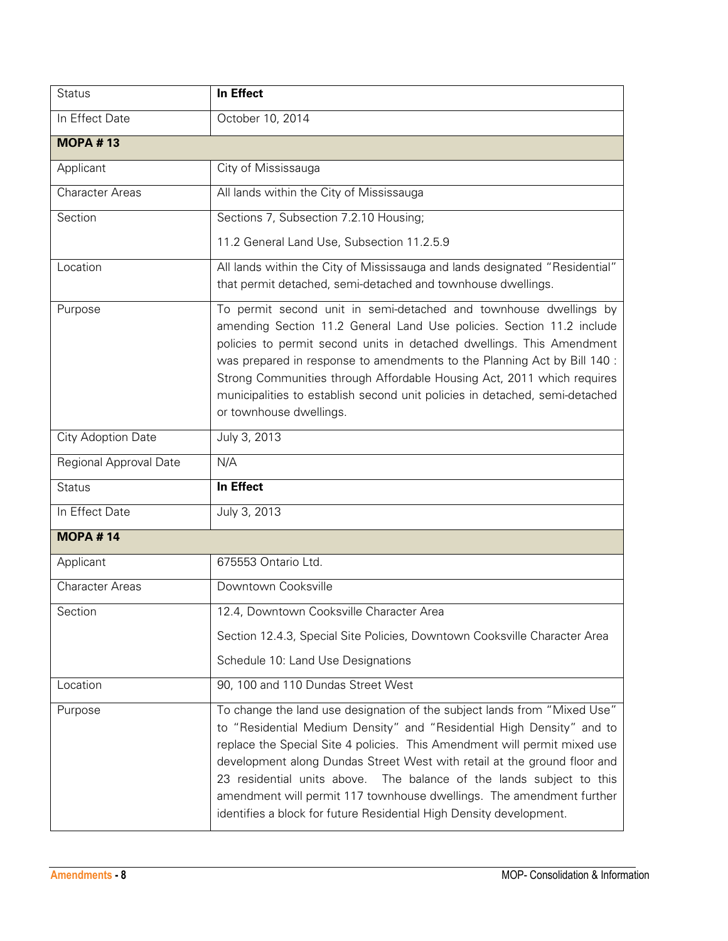| <b>Status</b>          | In Effect                                                                                                                                                                                                                                                                                                                                                                                                                                                                                                                            |
|------------------------|--------------------------------------------------------------------------------------------------------------------------------------------------------------------------------------------------------------------------------------------------------------------------------------------------------------------------------------------------------------------------------------------------------------------------------------------------------------------------------------------------------------------------------------|
| In Effect Date         | October 10, 2014                                                                                                                                                                                                                                                                                                                                                                                                                                                                                                                     |
| <b>MOPA #13</b>        |                                                                                                                                                                                                                                                                                                                                                                                                                                                                                                                                      |
| Applicant              | City of Mississauga                                                                                                                                                                                                                                                                                                                                                                                                                                                                                                                  |
| <b>Character Areas</b> | All lands within the City of Mississauga                                                                                                                                                                                                                                                                                                                                                                                                                                                                                             |
| Section                | Sections 7, Subsection 7.2.10 Housing;                                                                                                                                                                                                                                                                                                                                                                                                                                                                                               |
|                        | 11.2 General Land Use, Subsection 11.2.5.9                                                                                                                                                                                                                                                                                                                                                                                                                                                                                           |
| Location               | All lands within the City of Mississauga and lands designated "Residential"<br>that permit detached, semi-detached and townhouse dwellings.                                                                                                                                                                                                                                                                                                                                                                                          |
| Purpose                | To permit second unit in semi-detached and townhouse dwellings by<br>amending Section 11.2 General Land Use policies. Section 11.2 include<br>policies to permit second units in detached dwellings. This Amendment<br>was prepared in response to amendments to the Planning Act by Bill 140 :<br>Strong Communities through Affordable Housing Act, 2011 which requires<br>municipalities to establish second unit policies in detached, semi-detached<br>or townhouse dwellings.                                                  |
| City Adoption Date     | July 3, 2013                                                                                                                                                                                                                                                                                                                                                                                                                                                                                                                         |
| Regional Approval Date | N/A                                                                                                                                                                                                                                                                                                                                                                                                                                                                                                                                  |
| <b>Status</b>          | In Effect                                                                                                                                                                                                                                                                                                                                                                                                                                                                                                                            |
| In Effect Date         | July 3, 2013                                                                                                                                                                                                                                                                                                                                                                                                                                                                                                                         |
| <b>MOPA #14</b>        |                                                                                                                                                                                                                                                                                                                                                                                                                                                                                                                                      |
| Applicant              | 675553 Ontario Ltd.                                                                                                                                                                                                                                                                                                                                                                                                                                                                                                                  |
| <b>Character Areas</b> | Downtown Cooksville                                                                                                                                                                                                                                                                                                                                                                                                                                                                                                                  |
| Section                | 12.4, Downtown Cooksville Character Area                                                                                                                                                                                                                                                                                                                                                                                                                                                                                             |
|                        | Section 12.4.3, Special Site Policies, Downtown Cooksville Character Area                                                                                                                                                                                                                                                                                                                                                                                                                                                            |
|                        | Schedule 10: Land Use Designations                                                                                                                                                                                                                                                                                                                                                                                                                                                                                                   |
| Location               | 90, 100 and 110 Dundas Street West                                                                                                                                                                                                                                                                                                                                                                                                                                                                                                   |
| Purpose                | To change the land use designation of the subject lands from "Mixed Use"<br>to "Residential Medium Density" and "Residential High Density" and to<br>replace the Special Site 4 policies. This Amendment will permit mixed use<br>development along Dundas Street West with retail at the ground floor and<br>23 residential units above.<br>The balance of the lands subject to this<br>amendment will permit 117 townhouse dwellings. The amendment further<br>identifies a block for future Residential High Density development. |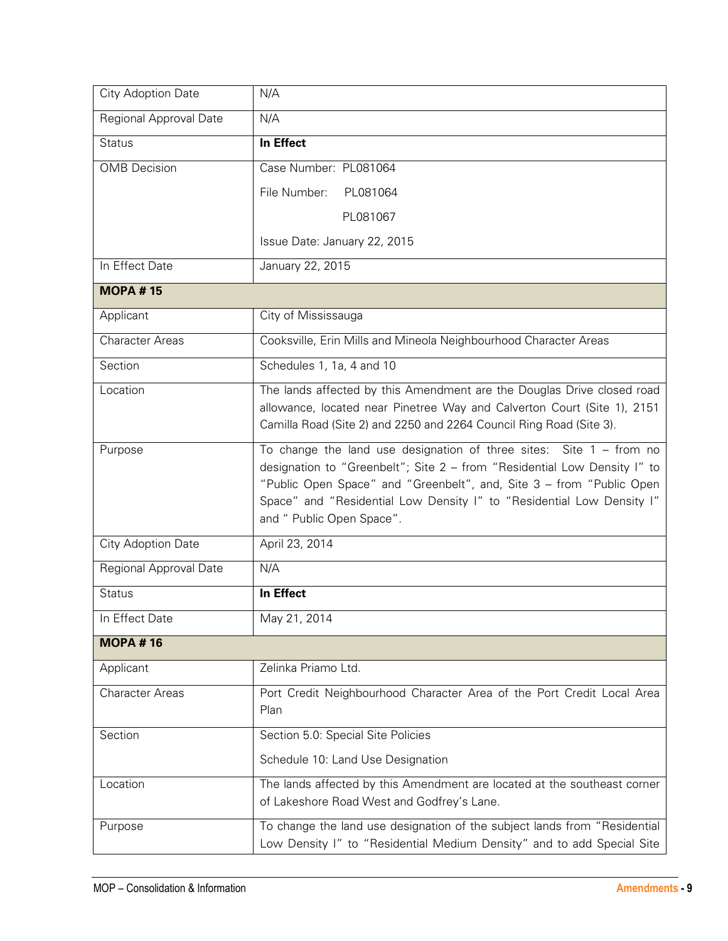| City Adoption Date     | N/A                                                                                                                                                                                                                                                                                                                             |
|------------------------|---------------------------------------------------------------------------------------------------------------------------------------------------------------------------------------------------------------------------------------------------------------------------------------------------------------------------------|
| Regional Approval Date | N/A                                                                                                                                                                                                                                                                                                                             |
| <b>Status</b>          | In Effect                                                                                                                                                                                                                                                                                                                       |
| <b>OMB</b> Decision    | Case Number: PL081064                                                                                                                                                                                                                                                                                                           |
|                        | File Number:<br>PL081064                                                                                                                                                                                                                                                                                                        |
|                        | PL081067                                                                                                                                                                                                                                                                                                                        |
|                        | Issue Date: January 22, 2015                                                                                                                                                                                                                                                                                                    |
| In Effect Date         | January 22, 2015                                                                                                                                                                                                                                                                                                                |
| <b>MOPA #15</b>        |                                                                                                                                                                                                                                                                                                                                 |
| Applicant              | City of Mississauga                                                                                                                                                                                                                                                                                                             |
| <b>Character Areas</b> | Cooksville, Erin Mills and Mineola Neighbourhood Character Areas                                                                                                                                                                                                                                                                |
| Section                | Schedules 1, 1a, 4 and 10                                                                                                                                                                                                                                                                                                       |
| Location               | The lands affected by this Amendment are the Douglas Drive closed road<br>allowance, located near Pinetree Way and Calverton Court (Site 1), 2151<br>Camilla Road (Site 2) and 2250 and 2264 Council Ring Road (Site 3).                                                                                                        |
| Purpose                | To change the land use designation of three sites: Site $1 -$ from no<br>designation to "Greenbelt"; Site 2 - from "Residential Low Density I" to<br>"Public Open Space" and "Greenbelt", and, Site 3 - from "Public Open<br>Space" and "Residential Low Density I" to "Residential Low Density I"<br>and " Public Open Space". |
| City Adoption Date     | April 23, 2014                                                                                                                                                                                                                                                                                                                  |
| Regional Approval Date | N/A                                                                                                                                                                                                                                                                                                                             |
| <b>Status</b>          | In Effect                                                                                                                                                                                                                                                                                                                       |
| In Effect Date         | May 21, 2014                                                                                                                                                                                                                                                                                                                    |
| <b>MOPA #16</b>        |                                                                                                                                                                                                                                                                                                                                 |
| Applicant              | Zelinka Priamo Ltd.                                                                                                                                                                                                                                                                                                             |
| <b>Character Areas</b> | Port Credit Neighbourhood Character Area of the Port Credit Local Area<br>Plan                                                                                                                                                                                                                                                  |
| Section                | Section 5.0: Special Site Policies                                                                                                                                                                                                                                                                                              |
|                        | Schedule 10: Land Use Designation                                                                                                                                                                                                                                                                                               |
| Location               | The lands affected by this Amendment are located at the southeast corner<br>of Lakeshore Road West and Godfrey's Lane.                                                                                                                                                                                                          |
| Purpose                | To change the land use designation of the subject lands from "Residential<br>Low Density I" to "Residential Medium Density" and to add Special Site                                                                                                                                                                             |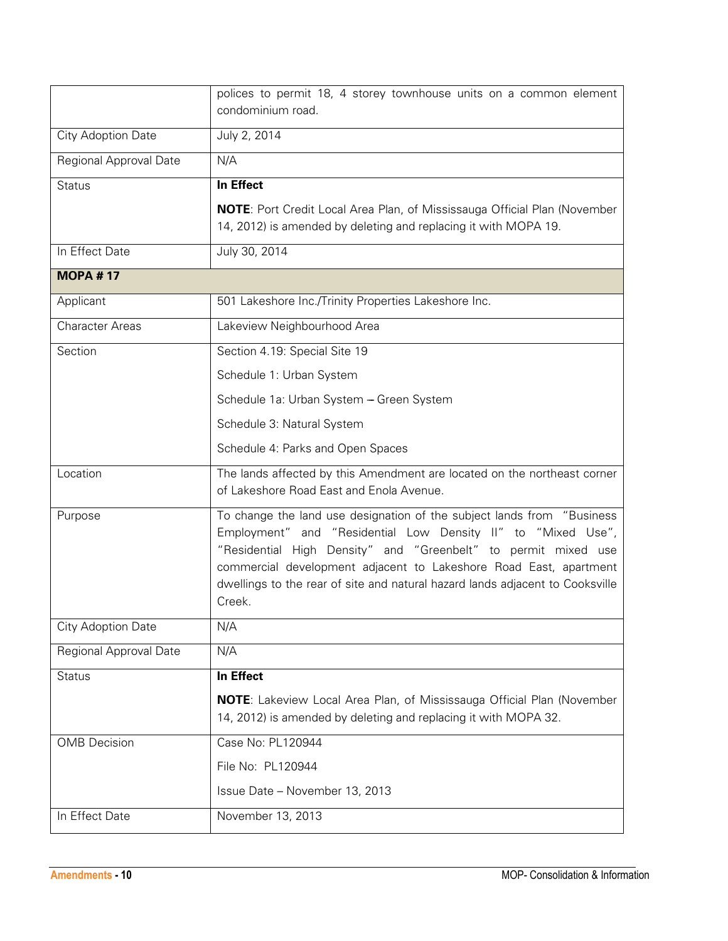|                        | polices to permit 18, 4 storey townhouse units on a common element<br>condominium road.                                                                                                                                                                                                                                                                                   |
|------------------------|---------------------------------------------------------------------------------------------------------------------------------------------------------------------------------------------------------------------------------------------------------------------------------------------------------------------------------------------------------------------------|
| City Adoption Date     | July 2, 2014                                                                                                                                                                                                                                                                                                                                                              |
| Regional Approval Date | N/A                                                                                                                                                                                                                                                                                                                                                                       |
| <b>Status</b>          | In Effect                                                                                                                                                                                                                                                                                                                                                                 |
|                        | <b>NOTE:</b> Port Credit Local Area Plan, of Mississauga Official Plan (November<br>14, 2012) is amended by deleting and replacing it with MOPA 19.                                                                                                                                                                                                                       |
| In Effect Date         | July 30, 2014                                                                                                                                                                                                                                                                                                                                                             |
| <b>MOPA #17</b>        |                                                                                                                                                                                                                                                                                                                                                                           |
| Applicant              | 501 Lakeshore Inc./Trinity Properties Lakeshore Inc.                                                                                                                                                                                                                                                                                                                      |
| <b>Character Areas</b> | Lakeview Neighbourhood Area                                                                                                                                                                                                                                                                                                                                               |
| Section                | Section 4.19: Special Site 19                                                                                                                                                                                                                                                                                                                                             |
|                        | Schedule 1: Urban System                                                                                                                                                                                                                                                                                                                                                  |
|                        | Schedule 1a: Urban System - Green System                                                                                                                                                                                                                                                                                                                                  |
|                        | Schedule 3: Natural System                                                                                                                                                                                                                                                                                                                                                |
|                        | Schedule 4: Parks and Open Spaces                                                                                                                                                                                                                                                                                                                                         |
| Location               | The lands affected by this Amendment are located on the northeast corner<br>of Lakeshore Road East and Enola Avenue.                                                                                                                                                                                                                                                      |
| Purpose                | To change the land use designation of the subject lands from "Business"<br>Employment" and "Residential Low Density II" to "Mixed Use",<br>"Residential High Density" and "Greenbelt" to permit mixed use<br>commercial development adjacent to Lakeshore Road East, apartment<br>dwellings to the rear of site and natural hazard lands adjacent to Cooksville<br>Creek. |
| City Adoption Date     | N/A                                                                                                                                                                                                                                                                                                                                                                       |
| Regional Approval Date | N/A                                                                                                                                                                                                                                                                                                                                                                       |
| <b>Status</b>          | In Effect                                                                                                                                                                                                                                                                                                                                                                 |
|                        | <b>NOTE:</b> Lakeview Local Area Plan, of Mississauga Official Plan (November<br>14, 2012) is amended by deleting and replacing it with MOPA 32.                                                                                                                                                                                                                          |
| <b>OMB</b> Decision    | Case No: PL120944                                                                                                                                                                                                                                                                                                                                                         |
|                        | File No: PL120944                                                                                                                                                                                                                                                                                                                                                         |
|                        | Issue Date - November 13, 2013                                                                                                                                                                                                                                                                                                                                            |
| In Effect Date         | November 13, 2013                                                                                                                                                                                                                                                                                                                                                         |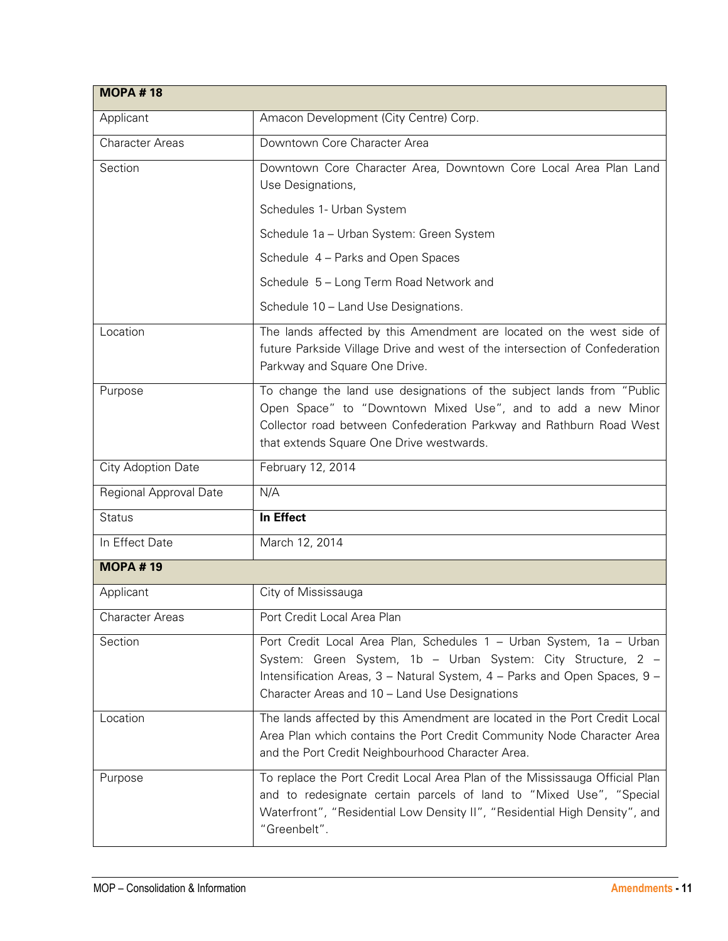| <b>MOPA#18</b>         |                                                                                                                                                                                                                                                                    |
|------------------------|--------------------------------------------------------------------------------------------------------------------------------------------------------------------------------------------------------------------------------------------------------------------|
| Applicant              | Amacon Development (City Centre) Corp.                                                                                                                                                                                                                             |
| <b>Character Areas</b> | Downtown Core Character Area                                                                                                                                                                                                                                       |
| Section                | Downtown Core Character Area, Downtown Core Local Area Plan Land<br>Use Designations,                                                                                                                                                                              |
|                        | Schedules 1- Urban System                                                                                                                                                                                                                                          |
|                        | Schedule 1a - Urban System: Green System                                                                                                                                                                                                                           |
|                        | Schedule 4 - Parks and Open Spaces                                                                                                                                                                                                                                 |
|                        | Schedule 5 - Long Term Road Network and                                                                                                                                                                                                                            |
|                        | Schedule 10 - Land Use Designations.                                                                                                                                                                                                                               |
| Location               | The lands affected by this Amendment are located on the west side of<br>future Parkside Village Drive and west of the intersection of Confederation<br>Parkway and Square One Drive.                                                                               |
| Purpose                | To change the land use designations of the subject lands from "Public<br>Open Space" to "Downtown Mixed Use", and to add a new Minor<br>Collector road between Confederation Parkway and Rathburn Road West<br>that extends Square One Drive westwards.            |
| City Adoption Date     | February 12, 2014                                                                                                                                                                                                                                                  |
| Regional Approval Date | N/A                                                                                                                                                                                                                                                                |
| <b>Status</b>          | In Effect                                                                                                                                                                                                                                                          |
| In Effect Date         | March 12, 2014                                                                                                                                                                                                                                                     |
| <b>MOPA #19</b>        |                                                                                                                                                                                                                                                                    |
| Applicant              | City of Mississauga                                                                                                                                                                                                                                                |
| <b>Character Areas</b> | Port Credit Local Area Plan                                                                                                                                                                                                                                        |
| Section                | Port Credit Local Area Plan, Schedules 1 - Urban System, 1a - Urban<br>System: Green System, 1b - Urban System: City Structure, 2 -<br>Intensification Areas, 3 - Natural System, 4 - Parks and Open Spaces, 9 -<br>Character Areas and 10 - Land Use Designations |
| Location               | The lands affected by this Amendment are located in the Port Credit Local<br>Area Plan which contains the Port Credit Community Node Character Area<br>and the Port Credit Neighbourhood Character Area.                                                           |
| Purpose                | To replace the Port Credit Local Area Plan of the Mississauga Official Plan<br>and to redesignate certain parcels of land to "Mixed Use", "Special<br>Waterfront", "Residential Low Density II", "Residential High Density", and<br>"Greenbelt".                   |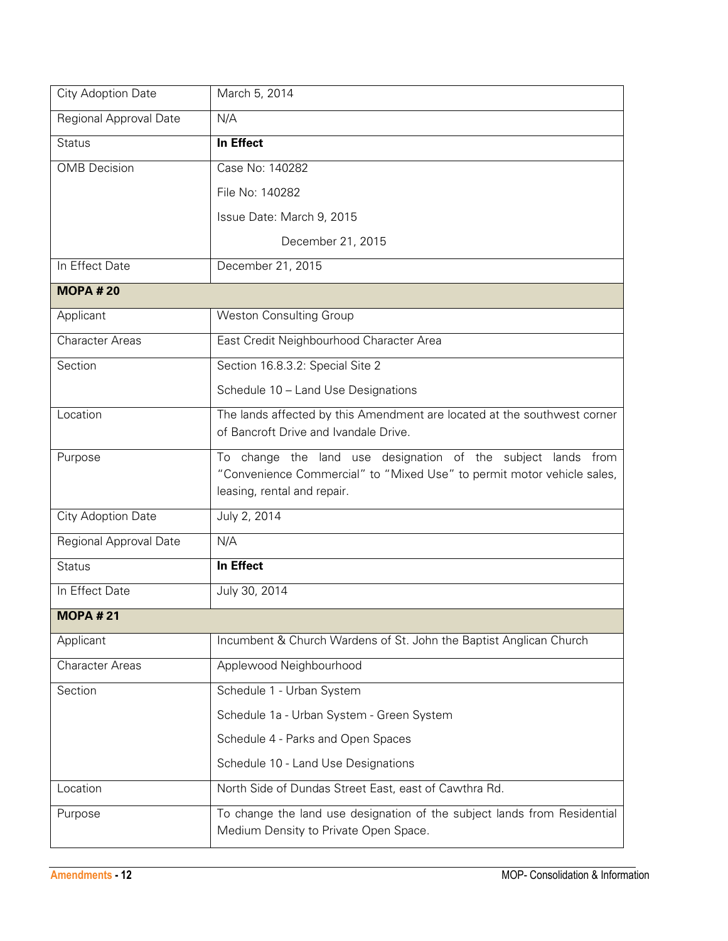| City Adoption Date     | March 5, 2014                                                                                                                                                            |
|------------------------|--------------------------------------------------------------------------------------------------------------------------------------------------------------------------|
| Regional Approval Date | N/A                                                                                                                                                                      |
| <b>Status</b>          | In Effect                                                                                                                                                                |
| <b>OMB</b> Decision    | Case No: 140282                                                                                                                                                          |
|                        | File No: 140282                                                                                                                                                          |
|                        | Issue Date: March 9, 2015                                                                                                                                                |
|                        | December 21, 2015                                                                                                                                                        |
| In Effect Date         | December 21, 2015                                                                                                                                                        |
| <b>MOPA #20</b>        |                                                                                                                                                                          |
| Applicant              | <b>Weston Consulting Group</b>                                                                                                                                           |
| <b>Character Areas</b> | East Credit Neighbourhood Character Area                                                                                                                                 |
| Section                | Section 16.8.3.2: Special Site 2                                                                                                                                         |
|                        | Schedule 10 - Land Use Designations                                                                                                                                      |
| Location               | The lands affected by this Amendment are located at the southwest corner<br>of Bancroft Drive and Ivandale Drive.                                                        |
| Purpose                | To change the land use designation of the subject<br>lands from<br>"Convenience Commercial" to "Mixed Use" to permit motor vehicle sales,<br>leasing, rental and repair. |
| City Adoption Date     | July 2, 2014                                                                                                                                                             |
| Regional Approval Date | N/A                                                                                                                                                                      |
| <b>Status</b>          | In Effect                                                                                                                                                                |
| In Effect Date         | July 30, 2014                                                                                                                                                            |
| <b>MOPA#21</b>         |                                                                                                                                                                          |
| Applicant              | Incumbent & Church Wardens of St. John the Baptist Anglican Church                                                                                                       |
| Character Areas        | Applewood Neighbourhood                                                                                                                                                  |
| Section                | Schedule 1 - Urban System                                                                                                                                                |
|                        | Schedule 1a - Urban System - Green System                                                                                                                                |
|                        | Schedule 4 - Parks and Open Spaces                                                                                                                                       |
|                        | Schedule 10 - Land Use Designations                                                                                                                                      |
| Location               | North Side of Dundas Street East, east of Cawthra Rd.                                                                                                                    |
| Purpose                | To change the land use designation of the subject lands from Residential<br>Medium Density to Private Open Space.                                                        |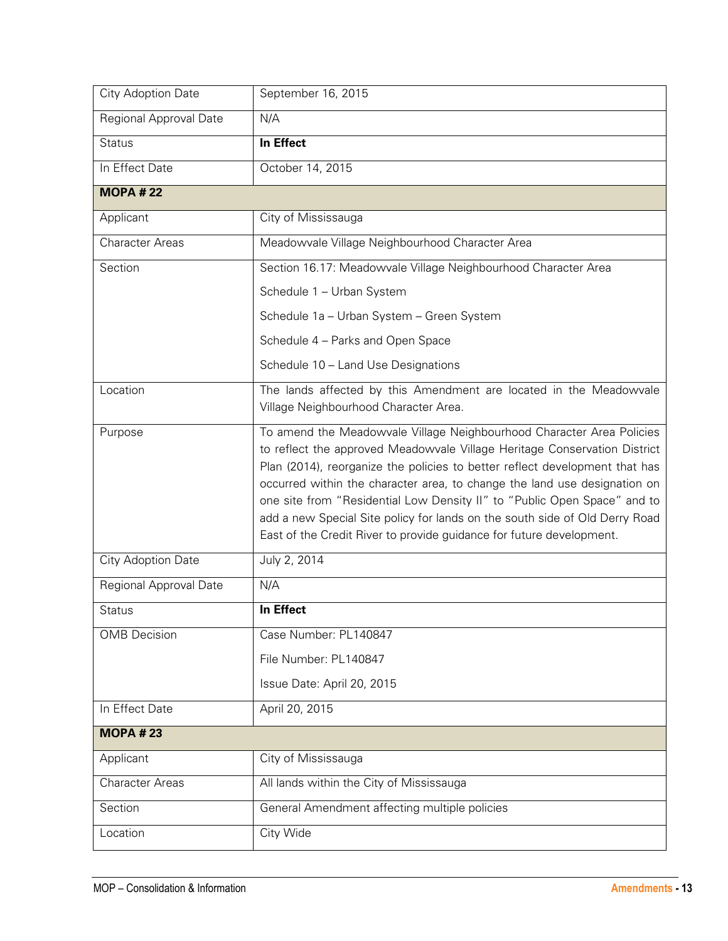| City Adoption Date     | September 16, 2015                                                                                                                                                                                                                                                                                                                                                                                                                                                                                                                                |
|------------------------|---------------------------------------------------------------------------------------------------------------------------------------------------------------------------------------------------------------------------------------------------------------------------------------------------------------------------------------------------------------------------------------------------------------------------------------------------------------------------------------------------------------------------------------------------|
| Regional Approval Date | N/A                                                                                                                                                                                                                                                                                                                                                                                                                                                                                                                                               |
| <b>Status</b>          | In Effect                                                                                                                                                                                                                                                                                                                                                                                                                                                                                                                                         |
| In Effect Date         | October 14, 2015                                                                                                                                                                                                                                                                                                                                                                                                                                                                                                                                  |
| <b>MOPA #22</b>        |                                                                                                                                                                                                                                                                                                                                                                                                                                                                                                                                                   |
| Applicant              | City of Mississauga                                                                                                                                                                                                                                                                                                                                                                                                                                                                                                                               |
| <b>Character Areas</b> | Meadowvale Village Neighbourhood Character Area                                                                                                                                                                                                                                                                                                                                                                                                                                                                                                   |
| Section                | Section 16.17: Meadowvale Village Neighbourhood Character Area                                                                                                                                                                                                                                                                                                                                                                                                                                                                                    |
|                        | Schedule 1 - Urban System                                                                                                                                                                                                                                                                                                                                                                                                                                                                                                                         |
|                        | Schedule 1a - Urban System - Green System                                                                                                                                                                                                                                                                                                                                                                                                                                                                                                         |
|                        | Schedule 4 - Parks and Open Space                                                                                                                                                                                                                                                                                                                                                                                                                                                                                                                 |
|                        | Schedule 10 - Land Use Designations                                                                                                                                                                                                                                                                                                                                                                                                                                                                                                               |
| Location               | The lands affected by this Amendment are located in the Meadowvale<br>Village Neighbourhood Character Area.                                                                                                                                                                                                                                                                                                                                                                                                                                       |
| Purpose                | To amend the Meadowvale Village Neighbourhood Character Area Policies<br>to reflect the approved Meadowvale Village Heritage Conservation District<br>Plan (2014), reorganize the policies to better reflect development that has<br>occurred within the character area, to change the land use designation on<br>one site from "Residential Low Density II" to "Public Open Space" and to<br>add a new Special Site policy for lands on the south side of Old Derry Road<br>East of the Credit River to provide guidance for future development. |
| City Adoption Date     | July 2, 2014                                                                                                                                                                                                                                                                                                                                                                                                                                                                                                                                      |
| Regional Approval Date | N/A                                                                                                                                                                                                                                                                                                                                                                                                                                                                                                                                               |
| <b>Status</b>          | In Effect                                                                                                                                                                                                                                                                                                                                                                                                                                                                                                                                         |
| <b>OMB</b> Decision    | Case Number: PL140847                                                                                                                                                                                                                                                                                                                                                                                                                                                                                                                             |
|                        | File Number: PL140847                                                                                                                                                                                                                                                                                                                                                                                                                                                                                                                             |
|                        | Issue Date: April 20, 2015                                                                                                                                                                                                                                                                                                                                                                                                                                                                                                                        |
| In Effect Date         | April 20, 2015                                                                                                                                                                                                                                                                                                                                                                                                                                                                                                                                    |
| <b>MOPA #23</b>        |                                                                                                                                                                                                                                                                                                                                                                                                                                                                                                                                                   |
| Applicant              | City of Mississauga                                                                                                                                                                                                                                                                                                                                                                                                                                                                                                                               |
| Character Areas        | All lands within the City of Mississauga                                                                                                                                                                                                                                                                                                                                                                                                                                                                                                          |
| Section                | General Amendment affecting multiple policies                                                                                                                                                                                                                                                                                                                                                                                                                                                                                                     |
| Location               | City Wide                                                                                                                                                                                                                                                                                                                                                                                                                                                                                                                                         |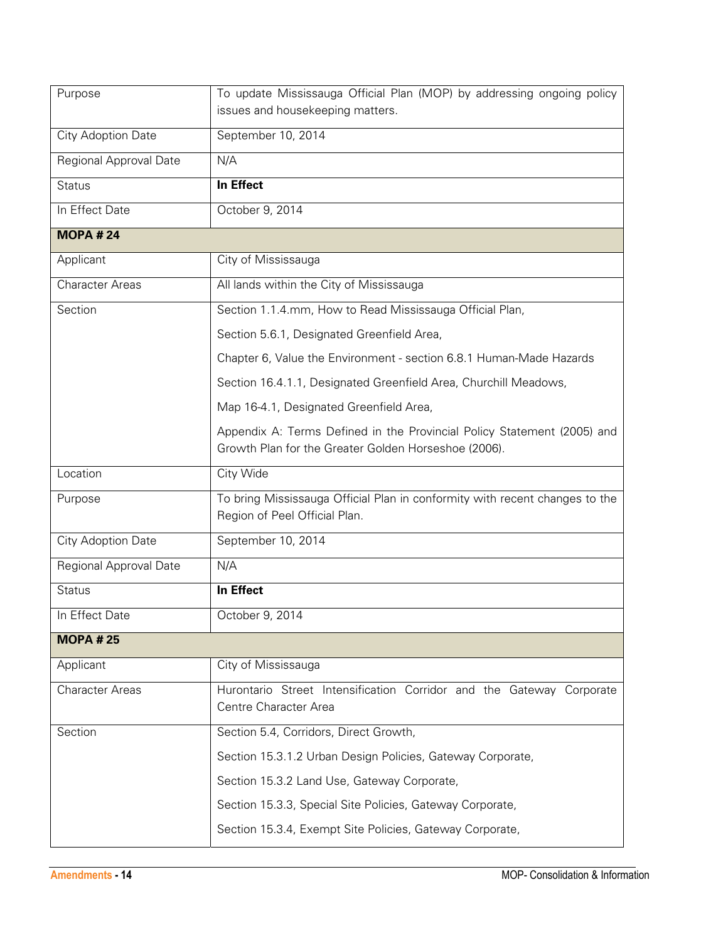| Purpose                | To update Mississauga Official Plan (MOP) by addressing ongoing policy<br>issues and housekeeping matters.                      |
|------------------------|---------------------------------------------------------------------------------------------------------------------------------|
| City Adoption Date     | September 10, 2014                                                                                                              |
| Regional Approval Date | N/A                                                                                                                             |
| <b>Status</b>          | In Effect                                                                                                                       |
| In Effect Date         | October 9, 2014                                                                                                                 |
| <b>MOPA #24</b>        |                                                                                                                                 |
| Applicant              | City of Mississauga                                                                                                             |
| <b>Character Areas</b> | All lands within the City of Mississauga                                                                                        |
| Section                | Section 1.1.4.mm, How to Read Mississauga Official Plan,                                                                        |
|                        | Section 5.6.1, Designated Greenfield Area,                                                                                      |
|                        | Chapter 6, Value the Environment - section 6.8.1 Human-Made Hazards                                                             |
|                        | Section 16.4.1.1, Designated Greenfield Area, Churchill Meadows,                                                                |
|                        | Map 16-4.1, Designated Greenfield Area,                                                                                         |
|                        | Appendix A: Terms Defined in the Provincial Policy Statement (2005) and<br>Growth Plan for the Greater Golden Horseshoe (2006). |
| Location               | City Wide                                                                                                                       |
| Purpose                | To bring Mississauga Official Plan in conformity with recent changes to the                                                     |
|                        | Region of Peel Official Plan.                                                                                                   |
| City Adoption Date     | September 10, 2014                                                                                                              |
| Regional Approval Date | N/A                                                                                                                             |
| <b>Status</b>          | In Effect                                                                                                                       |
| In Effect Date         | October 9, 2014                                                                                                                 |
| <b>MOPA #25</b>        |                                                                                                                                 |
| Applicant              | City of Mississauga                                                                                                             |
| <b>Character Areas</b> | Hurontario Street Intensification Corridor and the Gateway Corporate<br>Centre Character Area                                   |
| Section                | Section 5.4, Corridors, Direct Growth,                                                                                          |
|                        | Section 15.3.1.2 Urban Design Policies, Gateway Corporate,                                                                      |
|                        | Section 15.3.2 Land Use, Gateway Corporate,                                                                                     |
|                        | Section 15.3.3, Special Site Policies, Gateway Corporate,                                                                       |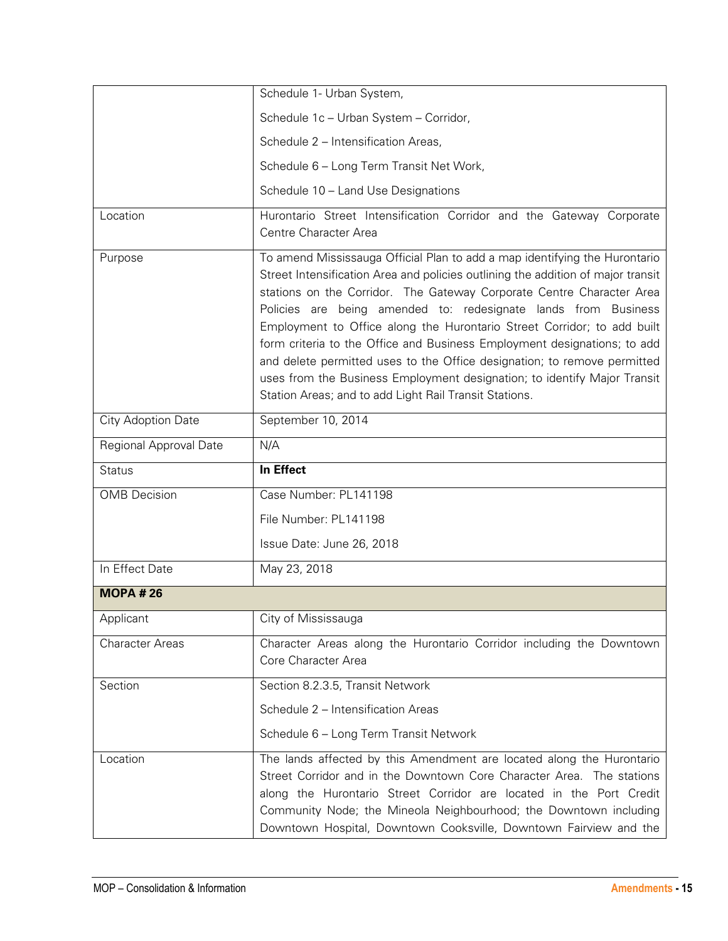|                        | Schedule 1- Urban System,                                                                                                                                                                                                                                                                                                                                                                                                                                                                                                                                                                                                                                                          |
|------------------------|------------------------------------------------------------------------------------------------------------------------------------------------------------------------------------------------------------------------------------------------------------------------------------------------------------------------------------------------------------------------------------------------------------------------------------------------------------------------------------------------------------------------------------------------------------------------------------------------------------------------------------------------------------------------------------|
|                        | Schedule 1c - Urban System - Corridor,                                                                                                                                                                                                                                                                                                                                                                                                                                                                                                                                                                                                                                             |
|                        | Schedule 2 - Intensification Areas,                                                                                                                                                                                                                                                                                                                                                                                                                                                                                                                                                                                                                                                |
|                        | Schedule 6 - Long Term Transit Net Work,                                                                                                                                                                                                                                                                                                                                                                                                                                                                                                                                                                                                                                           |
|                        | Schedule 10 - Land Use Designations                                                                                                                                                                                                                                                                                                                                                                                                                                                                                                                                                                                                                                                |
| Location               | Hurontario Street Intensification Corridor and the Gateway Corporate<br>Centre Character Area                                                                                                                                                                                                                                                                                                                                                                                                                                                                                                                                                                                      |
| Purpose                | To amend Mississauga Official Plan to add a map identifying the Hurontario<br>Street Intensification Area and policies outlining the addition of major transit<br>stations on the Corridor. The Gateway Corporate Centre Character Area<br>Policies are being amended to: redesignate lands from Business<br>Employment to Office along the Hurontario Street Corridor; to add built<br>form criteria to the Office and Business Employment designations; to add<br>and delete permitted uses to the Office designation; to remove permitted<br>uses from the Business Employment designation; to identify Major Transit<br>Station Areas; and to add Light Rail Transit Stations. |
| City Adoption Date     | September 10, 2014                                                                                                                                                                                                                                                                                                                                                                                                                                                                                                                                                                                                                                                                 |
| Regional Approval Date | N/A                                                                                                                                                                                                                                                                                                                                                                                                                                                                                                                                                                                                                                                                                |
|                        |                                                                                                                                                                                                                                                                                                                                                                                                                                                                                                                                                                                                                                                                                    |
| <b>Status</b>          | In Effect                                                                                                                                                                                                                                                                                                                                                                                                                                                                                                                                                                                                                                                                          |
| <b>OMB</b> Decision    | Case Number: PL141198                                                                                                                                                                                                                                                                                                                                                                                                                                                                                                                                                                                                                                                              |
|                        | File Number: PL141198                                                                                                                                                                                                                                                                                                                                                                                                                                                                                                                                                                                                                                                              |
|                        | Issue Date: June 26, 2018                                                                                                                                                                                                                                                                                                                                                                                                                                                                                                                                                                                                                                                          |
| In Effect Date         | May 23, 2018                                                                                                                                                                                                                                                                                                                                                                                                                                                                                                                                                                                                                                                                       |
| <b>MOPA #26</b>        |                                                                                                                                                                                                                                                                                                                                                                                                                                                                                                                                                                                                                                                                                    |
| Applicant              | City of Mississauga                                                                                                                                                                                                                                                                                                                                                                                                                                                                                                                                                                                                                                                                |
| <b>Character Areas</b> | Character Areas along the Hurontario Corridor including the Downtown<br>Core Character Area                                                                                                                                                                                                                                                                                                                                                                                                                                                                                                                                                                                        |
| Section                | Section 8.2.3.5, Transit Network                                                                                                                                                                                                                                                                                                                                                                                                                                                                                                                                                                                                                                                   |
|                        | Schedule 2 - Intensification Areas                                                                                                                                                                                                                                                                                                                                                                                                                                                                                                                                                                                                                                                 |
|                        | Schedule 6 - Long Term Transit Network                                                                                                                                                                                                                                                                                                                                                                                                                                                                                                                                                                                                                                             |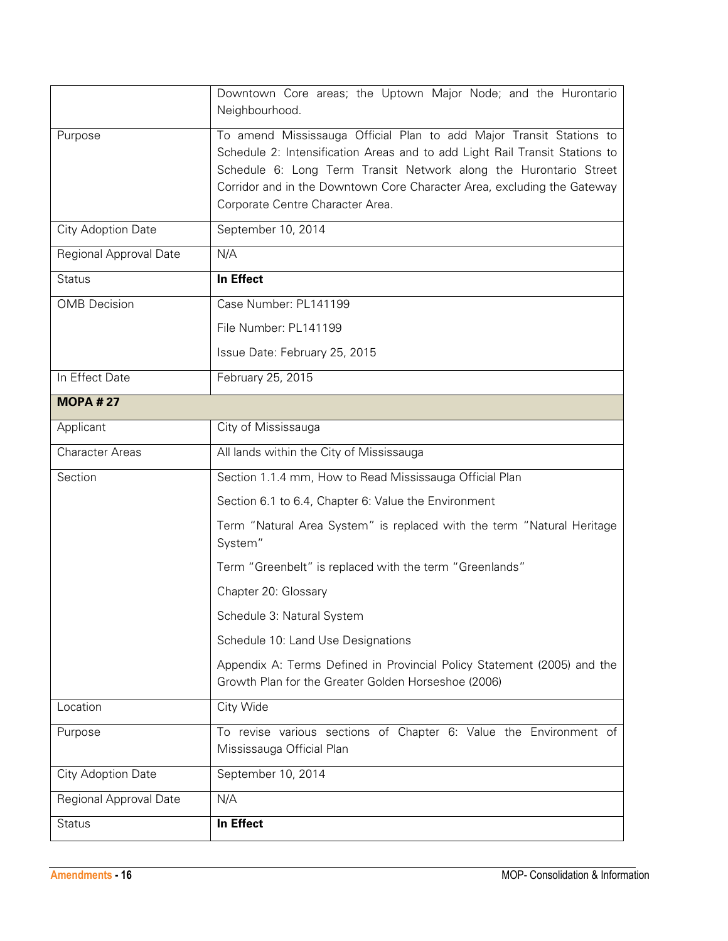|                        | Downtown Core areas; the Uptown Major Node; and the Hurontario<br>Neighbourhood.                                                                                                                                                                                                                                                       |
|------------------------|----------------------------------------------------------------------------------------------------------------------------------------------------------------------------------------------------------------------------------------------------------------------------------------------------------------------------------------|
| Purpose                | To amend Mississauga Official Plan to add Major Transit Stations to<br>Schedule 2: Intensification Areas and to add Light Rail Transit Stations to<br>Schedule 6: Long Term Transit Network along the Hurontario Street<br>Corridor and in the Downtown Core Character Area, excluding the Gateway<br>Corporate Centre Character Area. |
| City Adoption Date     | September 10, 2014                                                                                                                                                                                                                                                                                                                     |
| Regional Approval Date | N/A                                                                                                                                                                                                                                                                                                                                    |
| <b>Status</b>          | In Effect                                                                                                                                                                                                                                                                                                                              |
| <b>OMB</b> Decision    | Case Number: PL141199                                                                                                                                                                                                                                                                                                                  |
|                        | File Number: PL141199                                                                                                                                                                                                                                                                                                                  |
|                        | Issue Date: February 25, 2015                                                                                                                                                                                                                                                                                                          |
| In Effect Date         | February 25, 2015                                                                                                                                                                                                                                                                                                                      |
| <b>MOPA #27</b>        |                                                                                                                                                                                                                                                                                                                                        |
| Applicant              | City of Mississauga                                                                                                                                                                                                                                                                                                                    |
| <b>Character Areas</b> | All lands within the City of Mississauga                                                                                                                                                                                                                                                                                               |
| Section                | Section 1.1.4 mm, How to Read Mississauga Official Plan                                                                                                                                                                                                                                                                                |
|                        | Section 6.1 to 6.4, Chapter 6: Value the Environment                                                                                                                                                                                                                                                                                   |
|                        | Term "Natural Area System" is replaced with the term "Natural Heritage<br>System"                                                                                                                                                                                                                                                      |
|                        | Term "Greenbelt" is replaced with the term "Greenlands"                                                                                                                                                                                                                                                                                |
|                        | Chapter 20: Glossary                                                                                                                                                                                                                                                                                                                   |
|                        | Schedule 3: Natural System                                                                                                                                                                                                                                                                                                             |
|                        | Schedule 10: Land Use Designations                                                                                                                                                                                                                                                                                                     |
|                        | Appendix A: Terms Defined in Provincial Policy Statement (2005) and the<br>Growth Plan for the Greater Golden Horseshoe (2006)                                                                                                                                                                                                         |
| Location               | City Wide                                                                                                                                                                                                                                                                                                                              |
| Purpose                | To revise various sections of Chapter 6: Value the Environment of<br>Mississauga Official Plan                                                                                                                                                                                                                                         |
| City Adoption Date     | September 10, 2014                                                                                                                                                                                                                                                                                                                     |
| Regional Approval Date | N/A                                                                                                                                                                                                                                                                                                                                    |
| <b>Status</b>          | In Effect                                                                                                                                                                                                                                                                                                                              |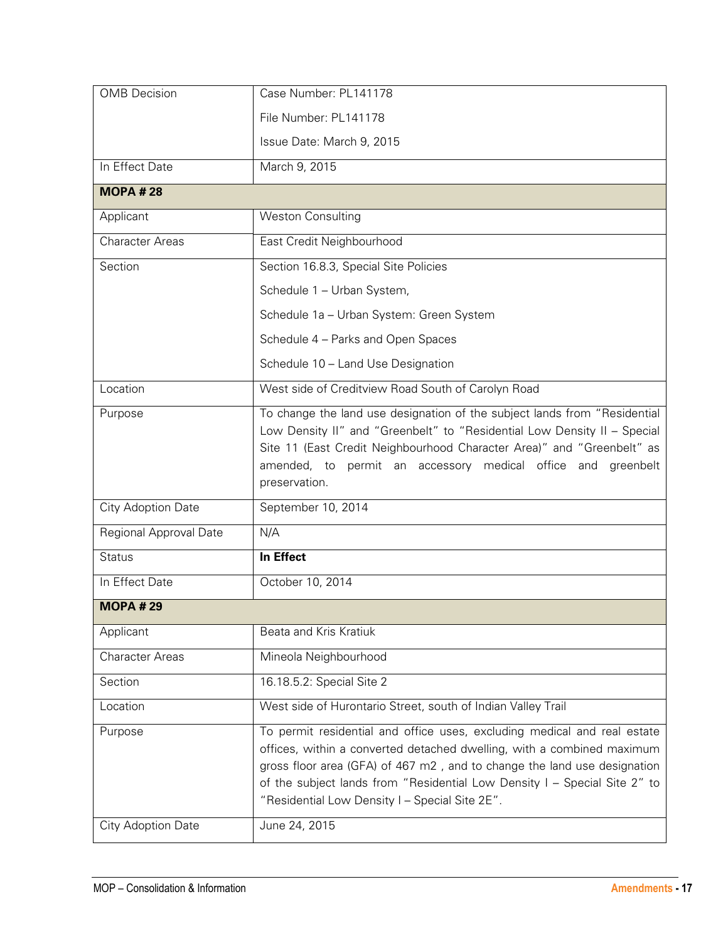| <b>OMB</b> Decision    | Case Number: PL141178                                                                                                                                                                                                                                                                                                                                         |
|------------------------|---------------------------------------------------------------------------------------------------------------------------------------------------------------------------------------------------------------------------------------------------------------------------------------------------------------------------------------------------------------|
|                        | File Number: PL141178                                                                                                                                                                                                                                                                                                                                         |
|                        | Issue Date: March 9, 2015                                                                                                                                                                                                                                                                                                                                     |
| In Effect Date         | March 9, 2015                                                                                                                                                                                                                                                                                                                                                 |
| <b>MOPA #28</b>        |                                                                                                                                                                                                                                                                                                                                                               |
| Applicant              | <b>Weston Consulting</b>                                                                                                                                                                                                                                                                                                                                      |
| <b>Character Areas</b> | East Credit Neighbourhood                                                                                                                                                                                                                                                                                                                                     |
| Section                | Section 16.8.3, Special Site Policies                                                                                                                                                                                                                                                                                                                         |
|                        | Schedule 1 - Urban System,                                                                                                                                                                                                                                                                                                                                    |
|                        | Schedule 1a - Urban System: Green System                                                                                                                                                                                                                                                                                                                      |
|                        | Schedule 4 - Parks and Open Spaces                                                                                                                                                                                                                                                                                                                            |
|                        | Schedule 10 - Land Use Designation                                                                                                                                                                                                                                                                                                                            |
| Location               | West side of Creditview Road South of Carolyn Road                                                                                                                                                                                                                                                                                                            |
| Purpose                | To change the land use designation of the subject lands from "Residential<br>Low Density II" and "Greenbelt" to "Residential Low Density II - Special<br>Site 11 (East Credit Neighbourhood Character Area)" and "Greenbelt" as<br>amended, to permit an accessory medical office and greenbelt<br>preservation.                                              |
| City Adoption Date     | September 10, 2014                                                                                                                                                                                                                                                                                                                                            |
| Regional Approval Date | N/A                                                                                                                                                                                                                                                                                                                                                           |
| <b>Status</b>          | In Effect                                                                                                                                                                                                                                                                                                                                                     |
| In Effect Date         | October 10, 2014                                                                                                                                                                                                                                                                                                                                              |
| <b>MOPA #29</b>        |                                                                                                                                                                                                                                                                                                                                                               |
| Applicant              | Beata and Kris Kratiuk                                                                                                                                                                                                                                                                                                                                        |
| <b>Character Areas</b> | Mineola Neighbourhood                                                                                                                                                                                                                                                                                                                                         |
| Section                | 16.18.5.2: Special Site 2                                                                                                                                                                                                                                                                                                                                     |
| Location               | West side of Hurontario Street, south of Indian Valley Trail                                                                                                                                                                                                                                                                                                  |
| Purpose                | To permit residential and office uses, excluding medical and real estate<br>offices, within a converted detached dwelling, with a combined maximum<br>gross floor area (GFA) of 467 m2, and to change the land use designation<br>of the subject lands from "Residential Low Density I - Special Site 2" to<br>"Residential Low Density I - Special Site 2E". |
| City Adoption Date     |                                                                                                                                                                                                                                                                                                                                                               |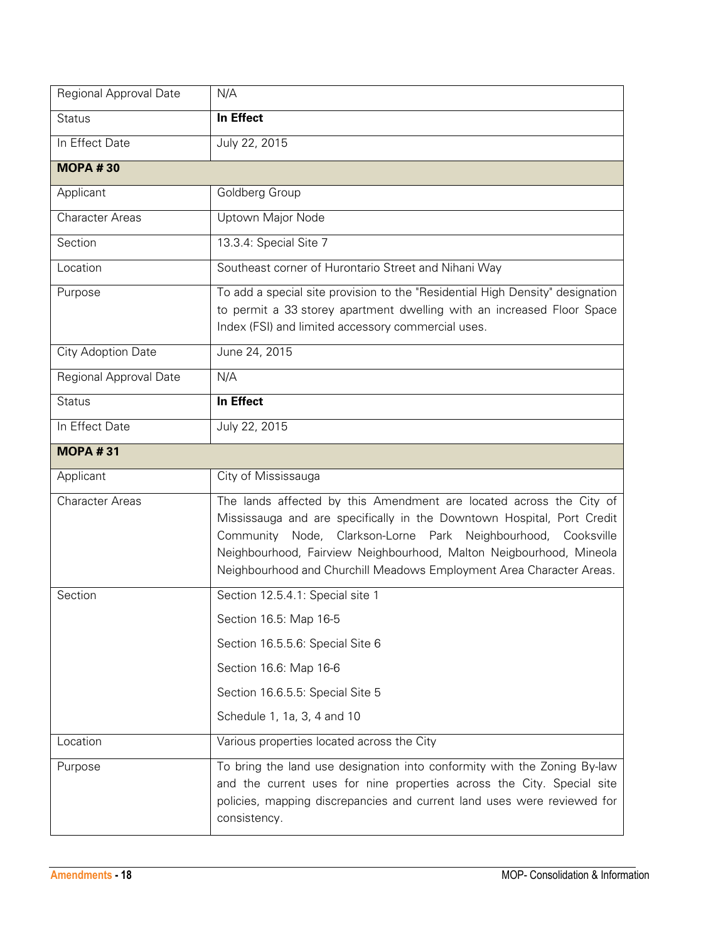| Regional Approval Date | N/A                                                                                                                                                                                                                                                                                                                                                           |
|------------------------|---------------------------------------------------------------------------------------------------------------------------------------------------------------------------------------------------------------------------------------------------------------------------------------------------------------------------------------------------------------|
| <b>Status</b>          | In Effect                                                                                                                                                                                                                                                                                                                                                     |
| In Effect Date         | July 22, 2015                                                                                                                                                                                                                                                                                                                                                 |
| <b>MOPA#30</b>         |                                                                                                                                                                                                                                                                                                                                                               |
| Applicant              | Goldberg Group                                                                                                                                                                                                                                                                                                                                                |
| <b>Character Areas</b> | Uptown Major Node                                                                                                                                                                                                                                                                                                                                             |
| Section                | 13.3.4: Special Site 7                                                                                                                                                                                                                                                                                                                                        |
| Location               | Southeast corner of Hurontario Street and Nihani Way                                                                                                                                                                                                                                                                                                          |
| Purpose                | To add a special site provision to the "Residential High Density" designation<br>to permit a 33 storey apartment dwelling with an increased Floor Space<br>Index (FSI) and limited accessory commercial uses.                                                                                                                                                 |
| City Adoption Date     | June 24, 2015                                                                                                                                                                                                                                                                                                                                                 |
| Regional Approval Date | N/A                                                                                                                                                                                                                                                                                                                                                           |
| <b>Status</b>          | In Effect                                                                                                                                                                                                                                                                                                                                                     |
| In Effect Date         | July 22, 2015                                                                                                                                                                                                                                                                                                                                                 |
| <b>MOPA #31</b>        |                                                                                                                                                                                                                                                                                                                                                               |
| Applicant              | City of Mississauga                                                                                                                                                                                                                                                                                                                                           |
| <b>Character Areas</b> | The lands affected by this Amendment are located across the City of<br>Mississauga and are specifically in the Downtown Hospital, Port Credit<br>Community Node, Clarkson-Lorne Park Neighbourhood, Cooksville<br>Neighbourhood, Fairview Neighbourhood, Malton Neigbourhood, Mineola<br>Neighbourhood and Churchill Meadows Employment Area Character Areas. |
| Section                | Section 12.5.4.1: Special site 1                                                                                                                                                                                                                                                                                                                              |
|                        | Section 16.5: Map 16-5                                                                                                                                                                                                                                                                                                                                        |
|                        | Section 16.5.5.6: Special Site 6                                                                                                                                                                                                                                                                                                                              |
|                        | Section 16.6: Map 16-6                                                                                                                                                                                                                                                                                                                                        |
|                        | Section 16.6.5.5: Special Site 5                                                                                                                                                                                                                                                                                                                              |
|                        | Schedule 1, 1a, 3, 4 and 10                                                                                                                                                                                                                                                                                                                                   |
| Location               | Various properties located across the City                                                                                                                                                                                                                                                                                                                    |
| Purpose                | To bring the land use designation into conformity with the Zoning By-law<br>and the current uses for nine properties across the City. Special site<br>policies, mapping discrepancies and current land uses were reviewed for<br>consistency.                                                                                                                 |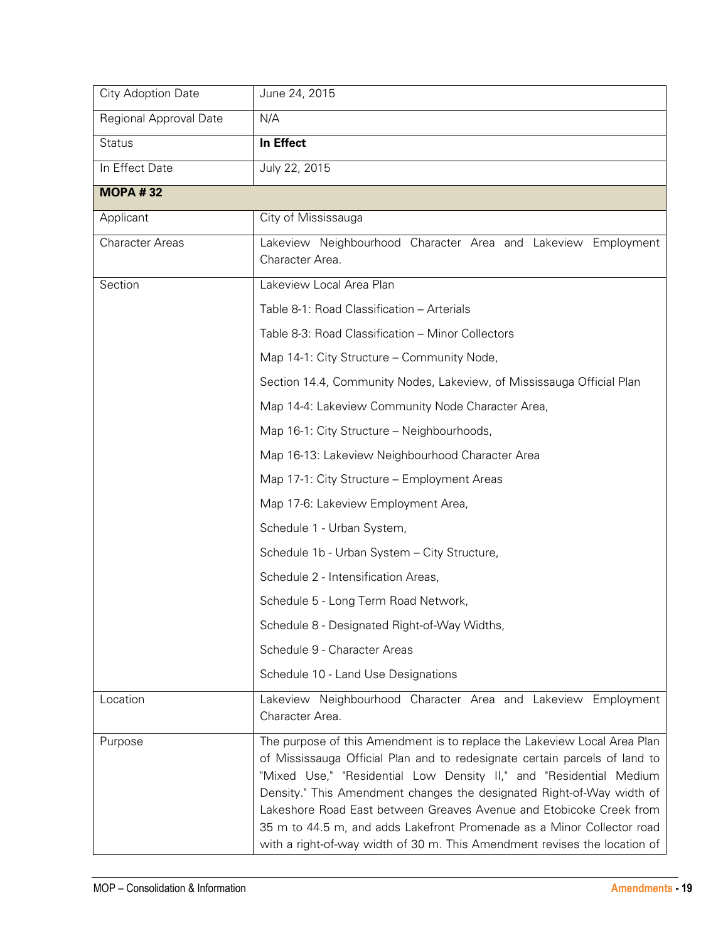| City Adoption Date     | June 24, 2015                                                                                                                                                                                                                                                                                                                                                                                                                                                                                                                       |
|------------------------|-------------------------------------------------------------------------------------------------------------------------------------------------------------------------------------------------------------------------------------------------------------------------------------------------------------------------------------------------------------------------------------------------------------------------------------------------------------------------------------------------------------------------------------|
| Regional Approval Date | N/A                                                                                                                                                                                                                                                                                                                                                                                                                                                                                                                                 |
| <b>Status</b>          | In Effect                                                                                                                                                                                                                                                                                                                                                                                                                                                                                                                           |
| In Effect Date         | July 22, 2015                                                                                                                                                                                                                                                                                                                                                                                                                                                                                                                       |
| <b>MOPA #32</b>        |                                                                                                                                                                                                                                                                                                                                                                                                                                                                                                                                     |
| Applicant              | City of Mississauga                                                                                                                                                                                                                                                                                                                                                                                                                                                                                                                 |
| <b>Character Areas</b> | Lakeview Neighbourhood Character Area and Lakeview Employment<br>Character Area.                                                                                                                                                                                                                                                                                                                                                                                                                                                    |
| Section                | Lakeview Local Area Plan                                                                                                                                                                                                                                                                                                                                                                                                                                                                                                            |
|                        | Table 8-1: Road Classification - Arterials                                                                                                                                                                                                                                                                                                                                                                                                                                                                                          |
|                        | Table 8-3: Road Classification - Minor Collectors                                                                                                                                                                                                                                                                                                                                                                                                                                                                                   |
|                        | Map 14-1: City Structure - Community Node,                                                                                                                                                                                                                                                                                                                                                                                                                                                                                          |
|                        | Section 14.4, Community Nodes, Lakeview, of Mississauga Official Plan                                                                                                                                                                                                                                                                                                                                                                                                                                                               |
|                        | Map 14-4: Lakeview Community Node Character Area,                                                                                                                                                                                                                                                                                                                                                                                                                                                                                   |
|                        | Map 16-1: City Structure - Neighbourhoods,                                                                                                                                                                                                                                                                                                                                                                                                                                                                                          |
|                        | Map 16-13: Lakeview Neighbourhood Character Area                                                                                                                                                                                                                                                                                                                                                                                                                                                                                    |
|                        | Map 17-1: City Structure - Employment Areas                                                                                                                                                                                                                                                                                                                                                                                                                                                                                         |
|                        | Map 17-6: Lakeview Employment Area,                                                                                                                                                                                                                                                                                                                                                                                                                                                                                                 |
|                        | Schedule 1 - Urban System,                                                                                                                                                                                                                                                                                                                                                                                                                                                                                                          |
|                        | Schedule 1b - Urban System - City Structure,                                                                                                                                                                                                                                                                                                                                                                                                                                                                                        |
|                        | Schedule 2 - Intensification Areas,                                                                                                                                                                                                                                                                                                                                                                                                                                                                                                 |
|                        | Schedule 5 - Long Term Road Network,                                                                                                                                                                                                                                                                                                                                                                                                                                                                                                |
|                        | Schedule 8 - Designated Right-of-Way Widths,                                                                                                                                                                                                                                                                                                                                                                                                                                                                                        |
|                        | Schedule 9 - Character Areas                                                                                                                                                                                                                                                                                                                                                                                                                                                                                                        |
|                        | Schedule 10 - Land Use Designations                                                                                                                                                                                                                                                                                                                                                                                                                                                                                                 |
| Location               | Lakeview Neighbourhood Character Area and Lakeview Employment<br>Character Area.                                                                                                                                                                                                                                                                                                                                                                                                                                                    |
| Purpose                | The purpose of this Amendment is to replace the Lakeview Local Area Plan<br>of Mississauga Official Plan and to redesignate certain parcels of land to<br>"Mixed Use," "Residential Low Density II," and "Residential Medium<br>Density." This Amendment changes the designated Right-of-Way width of<br>Lakeshore Road East between Greaves Avenue and Etobicoke Creek from<br>35 m to 44.5 m, and adds Lakefront Promenade as a Minor Collector road<br>with a right-of-way width of 30 m. This Amendment revises the location of |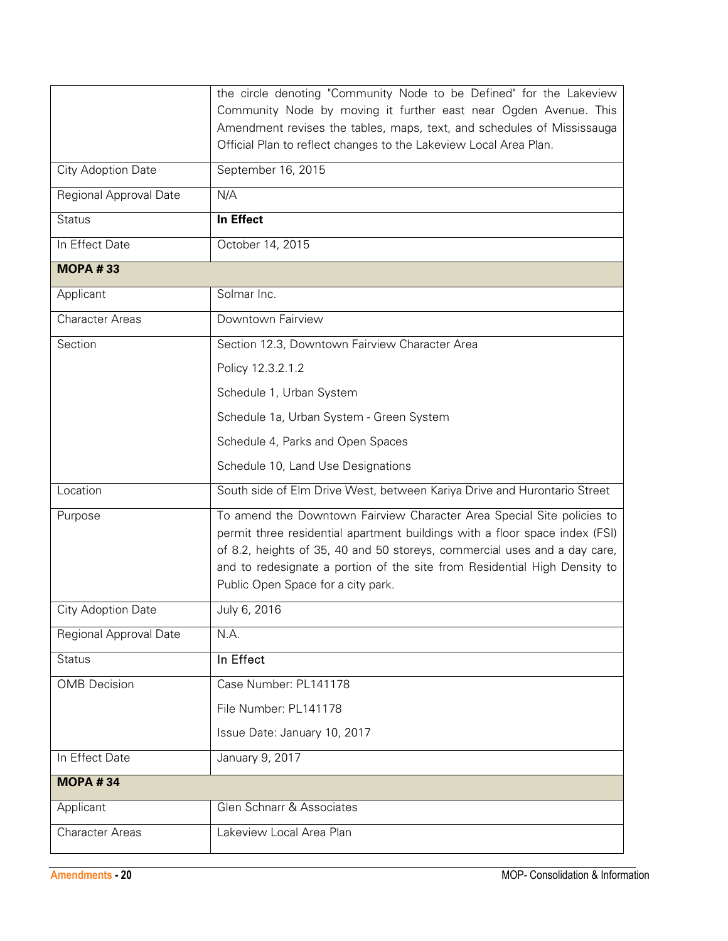|                           | the circle denoting "Community Node to be Defined" for the Lakeview<br>Community Node by moving it further east near Ogden Avenue. This                                                                                                                                                                                                               |
|---------------------------|-------------------------------------------------------------------------------------------------------------------------------------------------------------------------------------------------------------------------------------------------------------------------------------------------------------------------------------------------------|
|                           | Amendment revises the tables, maps, text, and schedules of Mississauga<br>Official Plan to reflect changes to the Lakeview Local Area Plan.                                                                                                                                                                                                           |
| <b>City Adoption Date</b> | September 16, 2015                                                                                                                                                                                                                                                                                                                                    |
| Regional Approval Date    | N/A                                                                                                                                                                                                                                                                                                                                                   |
| <b>Status</b>             | In Effect                                                                                                                                                                                                                                                                                                                                             |
| In Effect Date            | October 14, 2015                                                                                                                                                                                                                                                                                                                                      |
| <b>MOPA #33</b>           |                                                                                                                                                                                                                                                                                                                                                       |
| Applicant                 | Solmar Inc.                                                                                                                                                                                                                                                                                                                                           |
| <b>Character Areas</b>    | Downtown Fairview                                                                                                                                                                                                                                                                                                                                     |
| Section                   | Section 12.3, Downtown Fairview Character Area                                                                                                                                                                                                                                                                                                        |
|                           | Policy 12.3.2.1.2                                                                                                                                                                                                                                                                                                                                     |
|                           | Schedule 1, Urban System                                                                                                                                                                                                                                                                                                                              |
|                           | Schedule 1a, Urban System - Green System                                                                                                                                                                                                                                                                                                              |
|                           | Schedule 4, Parks and Open Spaces                                                                                                                                                                                                                                                                                                                     |
|                           | Schedule 10, Land Use Designations                                                                                                                                                                                                                                                                                                                    |
| Location                  | South side of Elm Drive West, between Kariya Drive and Hurontario Street                                                                                                                                                                                                                                                                              |
| Purpose                   | To amend the Downtown Fairview Character Area Special Site policies to<br>permit three residential apartment buildings with a floor space index (FSI)<br>of 8.2, heights of 35, 40 and 50 storeys, commercial uses and a day care,<br>and to redesignate a portion of the site from Residential High Density to<br>Public Open Space for a city park. |
| City Adoption Date        | July 6, 2016                                                                                                                                                                                                                                                                                                                                          |
| Regional Approval Date    | N.A.                                                                                                                                                                                                                                                                                                                                                  |
| <b>Status</b>             | In Effect                                                                                                                                                                                                                                                                                                                                             |
| <b>OMB</b> Decision       | Case Number: PL141178                                                                                                                                                                                                                                                                                                                                 |
|                           | File Number: PL141178                                                                                                                                                                                                                                                                                                                                 |
|                           | Issue Date: January 10, 2017                                                                                                                                                                                                                                                                                                                          |
| In Effect Date            | January 9, 2017                                                                                                                                                                                                                                                                                                                                       |
| <b>MOPA #34</b>           |                                                                                                                                                                                                                                                                                                                                                       |
| Applicant                 | Glen Schnarr & Associates                                                                                                                                                                                                                                                                                                                             |
| <b>Character Areas</b>    | Lakeview Local Area Plan                                                                                                                                                                                                                                                                                                                              |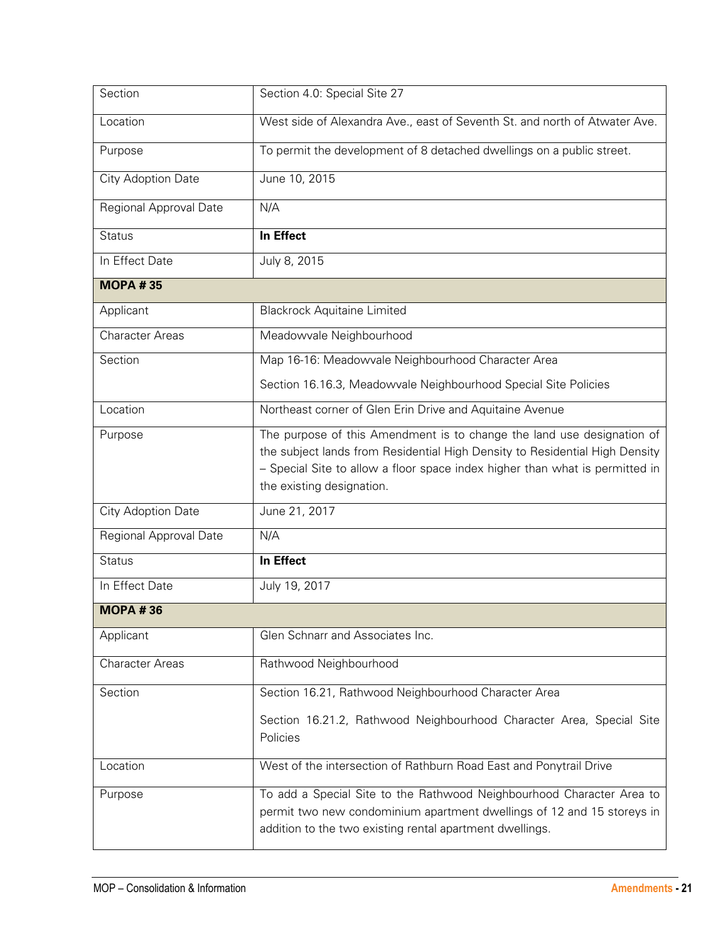| Section                | Section 4.0: Special Site 27                                                                                                                                                                                                                                       |
|------------------------|--------------------------------------------------------------------------------------------------------------------------------------------------------------------------------------------------------------------------------------------------------------------|
| Location               | West side of Alexandra Ave., east of Seventh St. and north of Atwater Ave.                                                                                                                                                                                         |
| Purpose                | To permit the development of 8 detached dwellings on a public street.                                                                                                                                                                                              |
| City Adoption Date     | June 10, 2015                                                                                                                                                                                                                                                      |
| Regional Approval Date | N/A                                                                                                                                                                                                                                                                |
| <b>Status</b>          | In Effect                                                                                                                                                                                                                                                          |
| In Effect Date         | July 8, 2015                                                                                                                                                                                                                                                       |
| <b>MOPA #35</b>        |                                                                                                                                                                                                                                                                    |
| Applicant              | <b>Blackrock Aquitaine Limited</b>                                                                                                                                                                                                                                 |
| <b>Character Areas</b> | Meadowvale Neighbourhood                                                                                                                                                                                                                                           |
| Section                | Map 16-16: Meadowvale Neighbourhood Character Area                                                                                                                                                                                                                 |
|                        | Section 16.16.3, Meadowvale Neighbourhood Special Site Policies                                                                                                                                                                                                    |
| Location               | Northeast corner of Glen Erin Drive and Aquitaine Avenue                                                                                                                                                                                                           |
| Purpose                | The purpose of this Amendment is to change the land use designation of<br>the subject lands from Residential High Density to Residential High Density<br>- Special Site to allow a floor space index higher than what is permitted in<br>the existing designation. |
| City Adoption Date     | June 21, 2017                                                                                                                                                                                                                                                      |
| Regional Approval Date | N/A                                                                                                                                                                                                                                                                |
| <b>Status</b>          | In Effect                                                                                                                                                                                                                                                          |
| In Effect Date         | July 19, 2017                                                                                                                                                                                                                                                      |
| <b>MOPA #36</b>        |                                                                                                                                                                                                                                                                    |
| Applicant              | Glen Schnarr and Associates Inc.                                                                                                                                                                                                                                   |
| <b>Character Areas</b> | Rathwood Neighbourhood                                                                                                                                                                                                                                             |
| Section                | Section 16.21, Rathwood Neighbourhood Character Area                                                                                                                                                                                                               |
|                        | Section 16.21.2, Rathwood Neighbourhood Character Area, Special Site<br>Policies                                                                                                                                                                                   |
| Location               | West of the intersection of Rathburn Road East and Ponytrail Drive                                                                                                                                                                                                 |
| Purpose                | To add a Special Site to the Rathwood Neighbourhood Character Area to<br>permit two new condominium apartment dwellings of 12 and 15 storeys in<br>addition to the two existing rental apartment dwellings.                                                        |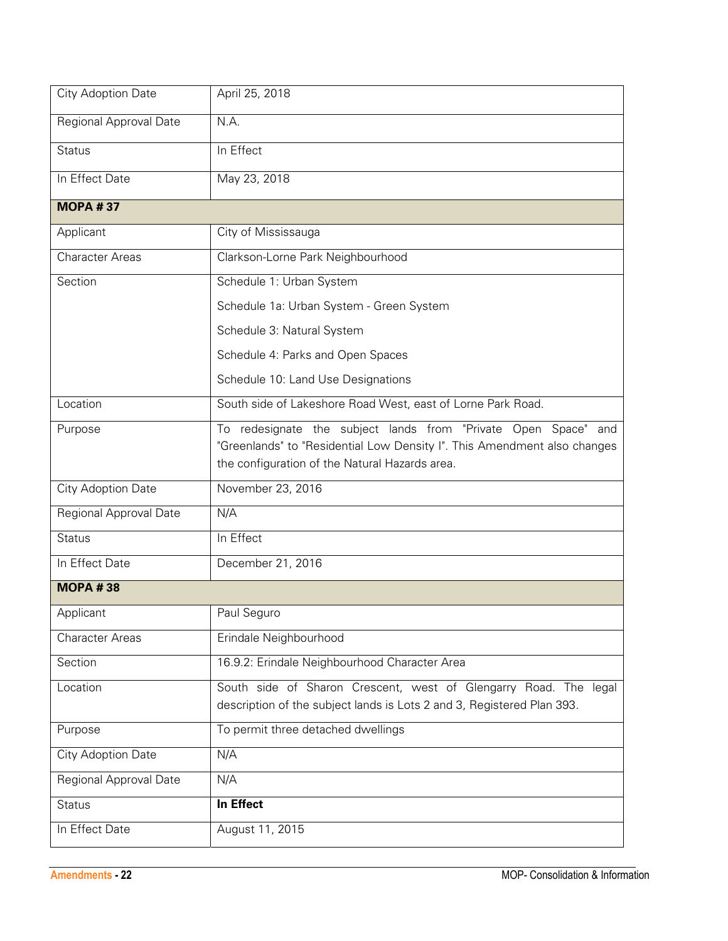| City Adoption Date     | April 25, 2018                                                                                                                                                                               |
|------------------------|----------------------------------------------------------------------------------------------------------------------------------------------------------------------------------------------|
| Regional Approval Date | N.A.                                                                                                                                                                                         |
| <b>Status</b>          | In Effect                                                                                                                                                                                    |
| In Effect Date         | May 23, 2018                                                                                                                                                                                 |
| <b>MOPA #37</b>        |                                                                                                                                                                                              |
| Applicant              | City of Mississauga                                                                                                                                                                          |
| <b>Character Areas</b> | Clarkson-Lorne Park Neighbourhood                                                                                                                                                            |
| Section                | Schedule 1: Urban System                                                                                                                                                                     |
|                        | Schedule 1a: Urban System - Green System                                                                                                                                                     |
|                        | Schedule 3: Natural System                                                                                                                                                                   |
|                        | Schedule 4: Parks and Open Spaces                                                                                                                                                            |
|                        | Schedule 10: Land Use Designations                                                                                                                                                           |
| Location               | South side of Lakeshore Road West, east of Lorne Park Road.                                                                                                                                  |
| Purpose                | To redesignate the subject lands from "Private Open Space" and<br>"Greenlands" to "Residential Low Density I". This Amendment also changes<br>the configuration of the Natural Hazards area. |
| City Adoption Date     | November 23, 2016                                                                                                                                                                            |
| Regional Approval Date | N/A                                                                                                                                                                                          |
| <b>Status</b>          | In Effect                                                                                                                                                                                    |
| In Effect Date         | December 21, 2016                                                                                                                                                                            |
| <b>MOPA#38</b>         |                                                                                                                                                                                              |
| Applicant              | Paul Seguro                                                                                                                                                                                  |
| <b>Character Areas</b> | Erindale Neighbourhood                                                                                                                                                                       |
| Section                | 16.9.2: Erindale Neighbourhood Character Area                                                                                                                                                |
| Location               | South side of Sharon Crescent, west of Glengarry Road. The legal<br>description of the subject lands is Lots 2 and 3, Registered Plan 393.                                                   |
| Purpose                | To permit three detached dwellings                                                                                                                                                           |
| City Adoption Date     | N/A                                                                                                                                                                                          |
| Regional Approval Date | N/A                                                                                                                                                                                          |
| <b>Status</b>          | In Effect                                                                                                                                                                                    |
| In Effect Date         | August 11, 2015                                                                                                                                                                              |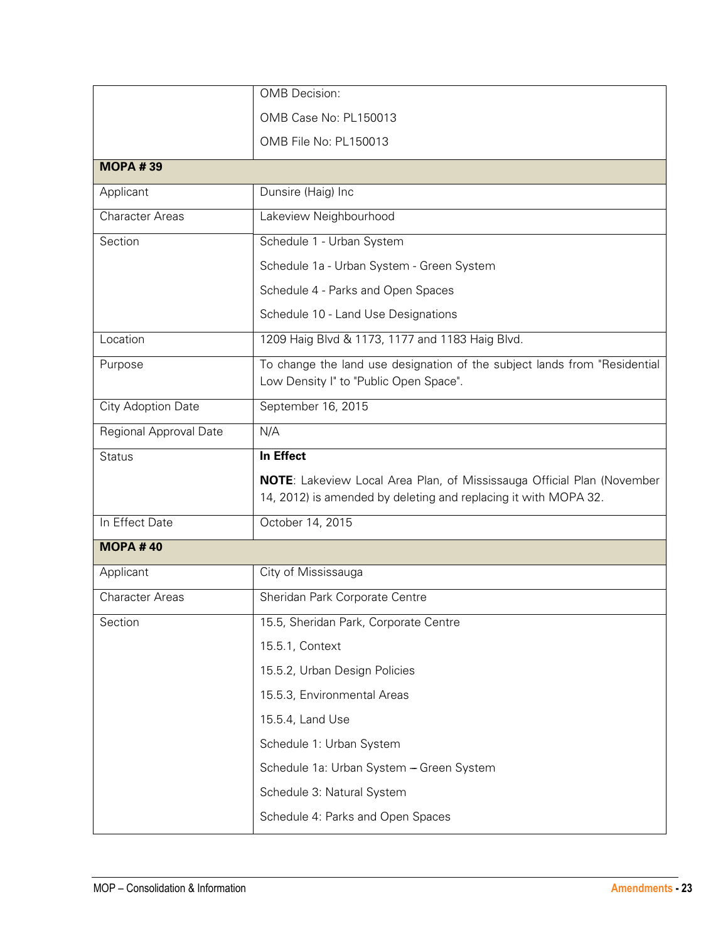|                        | <b>OMB</b> Decision:                                                                                                                             |
|------------------------|--------------------------------------------------------------------------------------------------------------------------------------------------|
|                        | OMB Case No: PL150013                                                                                                                            |
|                        | OMB File No: PL150013                                                                                                                            |
| <b>MOPA #39</b>        |                                                                                                                                                  |
| Applicant              | Dunsire (Haig) Inc                                                                                                                               |
| <b>Character Areas</b> | Lakeview Neighbourhood                                                                                                                           |
| Section                | Schedule 1 - Urban System                                                                                                                        |
|                        | Schedule 1a - Urban System - Green System                                                                                                        |
|                        | Schedule 4 - Parks and Open Spaces                                                                                                               |
|                        | Schedule 10 - Land Use Designations                                                                                                              |
| Location               | 1209 Haig Blvd & 1173, 1177 and 1183 Haig Blvd.                                                                                                  |
| Purpose                | To change the land use designation of the subject lands from "Residential<br>Low Density I" to "Public Open Space".                              |
| City Adoption Date     | September 16, 2015                                                                                                                               |
| Regional Approval Date | N/A                                                                                                                                              |
| <b>Status</b>          | In Effect                                                                                                                                        |
|                        | <b>NOTE:</b> Lakeview Local Area Plan, of Mississauga Official Plan (November<br>14, 2012) is amended by deleting and replacing it with MOPA 32. |
| In Effect Date         | October 14, 2015                                                                                                                                 |
| <b>MOPA#40</b>         |                                                                                                                                                  |
| Applicant              | City of Mississauga                                                                                                                              |
| <b>Character Areas</b> | Sheridan Park Corporate Centre                                                                                                                   |
| Section                | 15.5, Sheridan Park, Corporate Centre                                                                                                            |
|                        | 15.5.1, Context                                                                                                                                  |
|                        | 15.5.2, Urban Design Policies                                                                                                                    |
|                        | 15.5.3, Environmental Areas                                                                                                                      |
|                        | 15.5.4, Land Use                                                                                                                                 |
|                        | Schedule 1: Urban System                                                                                                                         |
|                        | Schedule 1a: Urban System - Green System                                                                                                         |
|                        | Schedule 3: Natural System                                                                                                                       |
|                        | Schedule 4: Parks and Open Spaces                                                                                                                |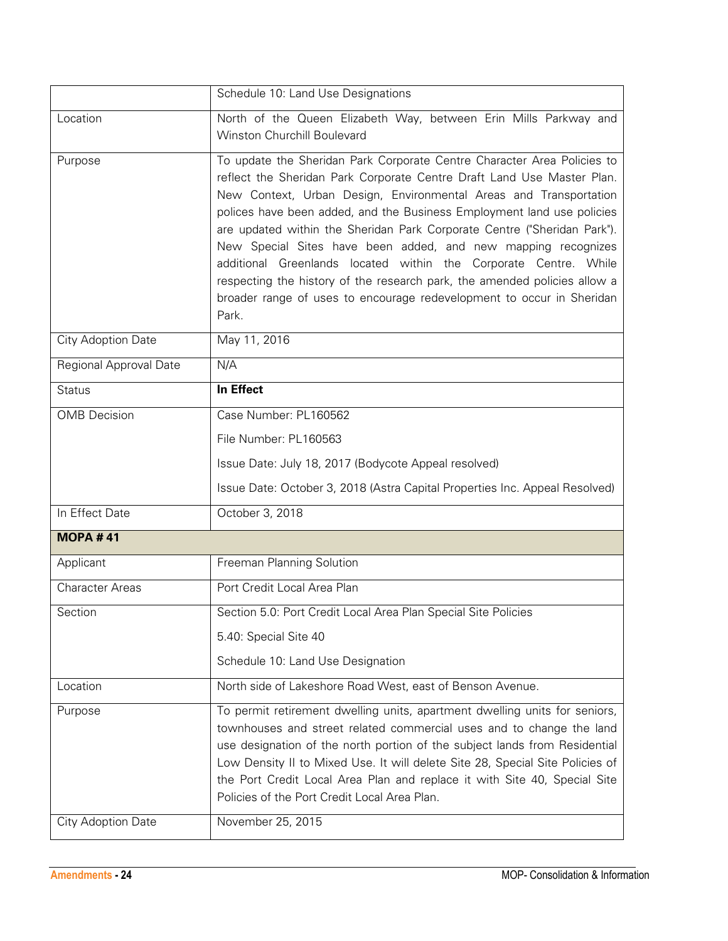|                        | Schedule 10: Land Use Designations                                                                                                                                                                                                                                                                                                                                                                                                                                                                                                                                                                                                                                               |
|------------------------|----------------------------------------------------------------------------------------------------------------------------------------------------------------------------------------------------------------------------------------------------------------------------------------------------------------------------------------------------------------------------------------------------------------------------------------------------------------------------------------------------------------------------------------------------------------------------------------------------------------------------------------------------------------------------------|
| Location               | North of the Queen Elizabeth Way, between Erin Mills Parkway and<br>Winston Churchill Boulevard                                                                                                                                                                                                                                                                                                                                                                                                                                                                                                                                                                                  |
| Purpose                | To update the Sheridan Park Corporate Centre Character Area Policies to<br>reflect the Sheridan Park Corporate Centre Draft Land Use Master Plan.<br>New Context, Urban Design, Environmental Areas and Transportation<br>polices have been added, and the Business Employment land use policies<br>are updated within the Sheridan Park Corporate Centre ("Sheridan Park").<br>New Special Sites have been added, and new mapping recognizes<br>additional Greenlands located within the Corporate Centre. While<br>respecting the history of the research park, the amended policies allow a<br>broader range of uses to encourage redevelopment to occur in Sheridan<br>Park. |
| City Adoption Date     | May 11, 2016                                                                                                                                                                                                                                                                                                                                                                                                                                                                                                                                                                                                                                                                     |
| Regional Approval Date | N/A                                                                                                                                                                                                                                                                                                                                                                                                                                                                                                                                                                                                                                                                              |
| <b>Status</b>          | In Effect                                                                                                                                                                                                                                                                                                                                                                                                                                                                                                                                                                                                                                                                        |
| <b>OMB</b> Decision    | Case Number: PL160562                                                                                                                                                                                                                                                                                                                                                                                                                                                                                                                                                                                                                                                            |
|                        | File Number: PL160563                                                                                                                                                                                                                                                                                                                                                                                                                                                                                                                                                                                                                                                            |
|                        | Issue Date: July 18, 2017 (Bodycote Appeal resolved)                                                                                                                                                                                                                                                                                                                                                                                                                                                                                                                                                                                                                             |
|                        | Issue Date: October 3, 2018 (Astra Capital Properties Inc. Appeal Resolved)                                                                                                                                                                                                                                                                                                                                                                                                                                                                                                                                                                                                      |
| In Effect Date         | October 3, 2018                                                                                                                                                                                                                                                                                                                                                                                                                                                                                                                                                                                                                                                                  |
| <b>MOPA #41</b>        |                                                                                                                                                                                                                                                                                                                                                                                                                                                                                                                                                                                                                                                                                  |
| Applicant              | Freeman Planning Solution                                                                                                                                                                                                                                                                                                                                                                                                                                                                                                                                                                                                                                                        |
| <b>Character Areas</b> | Port Credit Local Area Plan                                                                                                                                                                                                                                                                                                                                                                                                                                                                                                                                                                                                                                                      |
| Section                | Section 5.0: Port Credit Local Area Plan Special Site Policies                                                                                                                                                                                                                                                                                                                                                                                                                                                                                                                                                                                                                   |
|                        | 5.40: Special Site 40                                                                                                                                                                                                                                                                                                                                                                                                                                                                                                                                                                                                                                                            |
|                        | Schedule 10: Land Use Designation                                                                                                                                                                                                                                                                                                                                                                                                                                                                                                                                                                                                                                                |
| Location               | North side of Lakeshore Road West, east of Benson Avenue.                                                                                                                                                                                                                                                                                                                                                                                                                                                                                                                                                                                                                        |
| Purpose                | To permit retirement dwelling units, apartment dwelling units for seniors,<br>townhouses and street related commercial uses and to change the land<br>use designation of the north portion of the subject lands from Residential<br>Low Density II to Mixed Use. It will delete Site 28, Special Site Policies of<br>the Port Credit Local Area Plan and replace it with Site 40, Special Site<br>Policies of the Port Credit Local Area Plan.                                                                                                                                                                                                                                   |
| City Adoption Date     | November 25, 2015                                                                                                                                                                                                                                                                                                                                                                                                                                                                                                                                                                                                                                                                |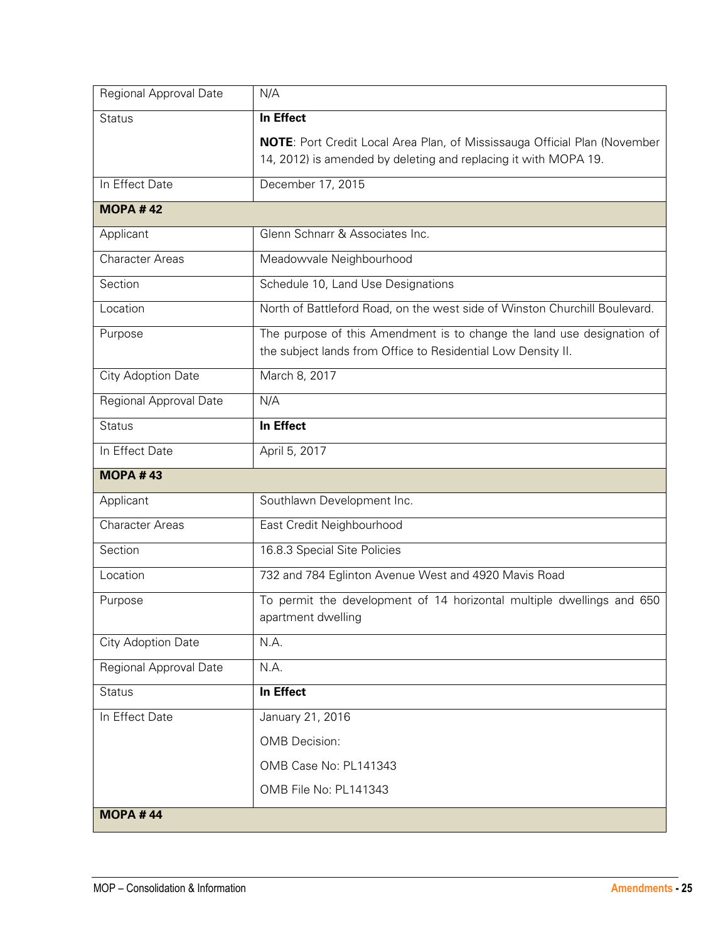| Regional Approval Date    | N/A                                                                                                                                    |
|---------------------------|----------------------------------------------------------------------------------------------------------------------------------------|
| <b>Status</b>             | In Effect                                                                                                                              |
|                           | <b>NOTE:</b> Port Credit Local Area Plan, of Mississauga Official Plan (November                                                       |
|                           | 14, 2012) is amended by deleting and replacing it with MOPA 19.                                                                        |
| In Effect Date            | December 17, 2015                                                                                                                      |
| <b>MOPA #42</b>           |                                                                                                                                        |
| Applicant                 | Glenn Schnarr & Associates Inc.                                                                                                        |
| <b>Character Areas</b>    | Meadowvale Neighbourhood                                                                                                               |
| Section                   | Schedule 10, Land Use Designations                                                                                                     |
| Location                  | North of Battleford Road, on the west side of Winston Churchill Boulevard.                                                             |
| Purpose                   | The purpose of this Amendment is to change the land use designation of<br>the subject lands from Office to Residential Low Density II. |
| City Adoption Date        | March 8, 2017                                                                                                                          |
| Regional Approval Date    | N/A                                                                                                                                    |
| <b>Status</b>             | In Effect                                                                                                                              |
| In Effect Date            | April 5, 2017                                                                                                                          |
| <b>MOPA #43</b>           |                                                                                                                                        |
| Applicant                 | Southlawn Development Inc.                                                                                                             |
| <b>Character Areas</b>    | East Credit Neighbourhood                                                                                                              |
| Section                   | 16.8.3 Special Site Policies                                                                                                           |
| Location                  | 732 and 784 Eglinton Avenue West and 4920 Mavis Road                                                                                   |
| Purpose                   | To permit the development of 14 horizontal multiple dwellings and 650<br>apartment dwelling                                            |
| <b>City Adoption Date</b> | N.A.                                                                                                                                   |
| Regional Approval Date    | N.A.                                                                                                                                   |
| <b>Status</b>             | In Effect                                                                                                                              |
| In Effect Date            | January 21, 2016                                                                                                                       |
|                           | <b>OMB</b> Decision:                                                                                                                   |
|                           | OMB Case No: PL141343                                                                                                                  |
|                           | OMB File No: PL141343                                                                                                                  |
| <b>MOPA #44</b>           |                                                                                                                                        |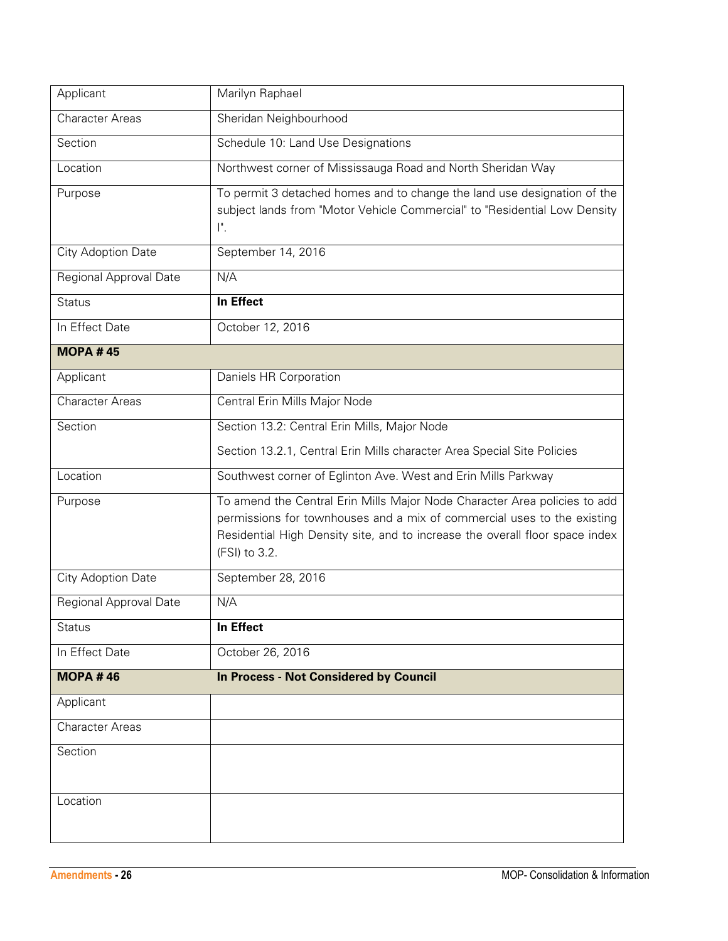| Applicant              | Marilyn Raphael                                                                                                                                                                                                                                       |
|------------------------|-------------------------------------------------------------------------------------------------------------------------------------------------------------------------------------------------------------------------------------------------------|
| <b>Character Areas</b> | Sheridan Neighbourhood                                                                                                                                                                                                                                |
| Section                | Schedule 10: Land Use Designations                                                                                                                                                                                                                    |
| Location               | Northwest corner of Mississauga Road and North Sheridan Way                                                                                                                                                                                           |
| Purpose                | To permit 3 detached homes and to change the land use designation of the<br>subject lands from "Motor Vehicle Commercial" to "Residential Low Density<br>$\mathsf{I}^{\mathsf{n}}$ .                                                                  |
| City Adoption Date     | September 14, 2016                                                                                                                                                                                                                                    |
| Regional Approval Date | N/A                                                                                                                                                                                                                                                   |
| <b>Status</b>          | In Effect                                                                                                                                                                                                                                             |
| In Effect Date         | October 12, 2016                                                                                                                                                                                                                                      |
| <b>MOPA #45</b>        |                                                                                                                                                                                                                                                       |
| Applicant              | Daniels HR Corporation                                                                                                                                                                                                                                |
| <b>Character Areas</b> | Central Erin Mills Major Node                                                                                                                                                                                                                         |
| Section                | Section 13.2: Central Erin Mills, Major Node                                                                                                                                                                                                          |
|                        | Section 13.2.1, Central Erin Mills character Area Special Site Policies                                                                                                                                                                               |
| Location               | Southwest corner of Eglinton Ave. West and Erin Mills Parkway                                                                                                                                                                                         |
| Purpose                | To amend the Central Erin Mills Major Node Character Area policies to add<br>permissions for townhouses and a mix of commercial uses to the existing<br>Residential High Density site, and to increase the overall floor space index<br>(FSI) to 3.2. |
| City Adoption Date     | September 28, 2016                                                                                                                                                                                                                                    |
| Regional Approval Date | N/A                                                                                                                                                                                                                                                   |
| <b>Status</b>          | <b>In Effect</b>                                                                                                                                                                                                                                      |
| In Effect Date         | October 26, 2016                                                                                                                                                                                                                                      |
| <b>MOPA #46</b>        | <b>In Process - Not Considered by Council</b>                                                                                                                                                                                                         |
| Applicant              |                                                                                                                                                                                                                                                       |
| <b>Character Areas</b> |                                                                                                                                                                                                                                                       |
| Section                |                                                                                                                                                                                                                                                       |
| Location               |                                                                                                                                                                                                                                                       |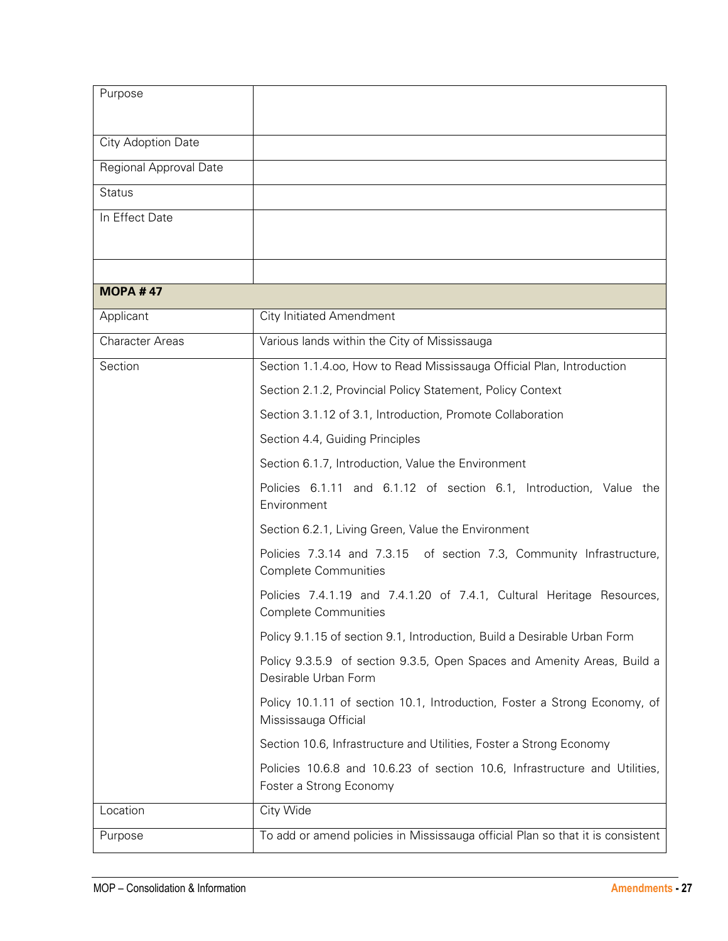| Purpose                |                                                                                                       |
|------------------------|-------------------------------------------------------------------------------------------------------|
|                        |                                                                                                       |
| City Adoption Date     |                                                                                                       |
| Regional Approval Date |                                                                                                       |
| <b>Status</b>          |                                                                                                       |
| In Effect Date         |                                                                                                       |
|                        |                                                                                                       |
|                        |                                                                                                       |
| <b>MOPA #47</b>        |                                                                                                       |
| Applicant              | <b>City Initiated Amendment</b>                                                                       |
| <b>Character Areas</b> | Various lands within the City of Mississauga                                                          |
| Section                | Section 1.1.4.00, How to Read Mississauga Official Plan, Introduction                                 |
|                        | Section 2.1.2, Provincial Policy Statement, Policy Context                                            |
|                        | Section 3.1.12 of 3.1, Introduction, Promote Collaboration                                            |
|                        | Section 4.4, Guiding Principles                                                                       |
|                        | Section 6.1.7, Introduction, Value the Environment                                                    |
|                        | Policies 6.1.11 and 6.1.12 of section 6.1, Introduction, Value the<br>Environment                     |
|                        | Section 6.2.1, Living Green, Value the Environment                                                    |
|                        | Policies 7.3.14 and 7.3.15 of section 7.3, Community Infrastructure,<br><b>Complete Communities</b>   |
|                        | Policies 7.4.1.19 and 7.4.1.20 of 7.4.1, Cultural Heritage Resources,<br><b>Complete Communities</b>  |
|                        | Policy 9.1.15 of section 9.1, Introduction, Build a Desirable Urban Form                              |
|                        | Policy 9.3.5.9 of section 9.3.5, Open Spaces and Amenity Areas, Build a<br>Desirable Urban Form       |
|                        | Policy 10.1.11 of section 10.1, Introduction, Foster a Strong Economy, of<br>Mississauga Official     |
|                        | Section 10.6, Infrastructure and Utilities, Foster a Strong Economy                                   |
|                        | Policies 10.6.8 and 10.6.23 of section 10.6, Infrastructure and Utilities,<br>Foster a Strong Economy |
| Location               | City Wide                                                                                             |
| Purpose                | To add or amend policies in Mississauga official Plan so that it is consistent                        |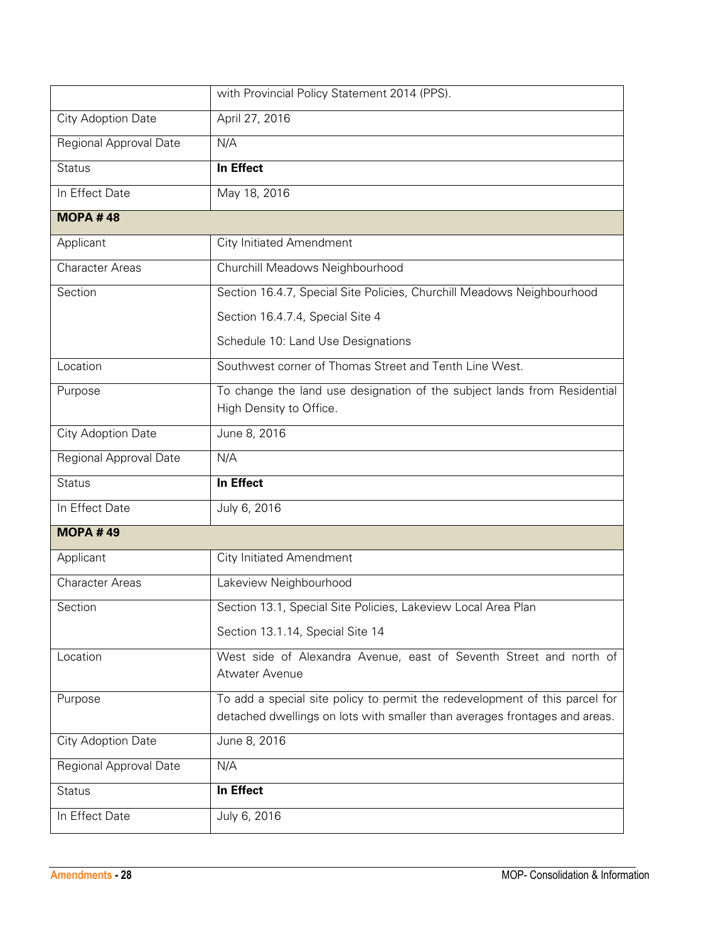|                        | with Provincial Policy Statement 2014 (PPS).                                                                                                              |
|------------------------|-----------------------------------------------------------------------------------------------------------------------------------------------------------|
| City Adoption Date     | April 27, 2016                                                                                                                                            |
| Regional Approval Date | N/A                                                                                                                                                       |
| <b>Status</b>          | In Effect                                                                                                                                                 |
| In Effect Date         | May 18, 2016                                                                                                                                              |
| <b>MOPA #48</b>        |                                                                                                                                                           |
| Applicant              | <b>City Initiated Amendment</b>                                                                                                                           |
| <b>Character Areas</b> | Churchill Meadows Neighbourhood                                                                                                                           |
| Section                | Section 16.4.7, Special Site Policies, Churchill Meadows Neighbourhood                                                                                    |
|                        | Section 16.4.7.4, Special Site 4                                                                                                                          |
|                        | Schedule 10: Land Use Designations                                                                                                                        |
| Location               | Southwest corner of Thomas Street and Tenth Line West.                                                                                                    |
| Purpose                | To change the land use designation of the subject lands from Residential                                                                                  |
|                        | High Density to Office.                                                                                                                                   |
| City Adoption Date     | June 8, 2016                                                                                                                                              |
| Regional Approval Date | N/A                                                                                                                                                       |
| <b>Status</b>          | In Effect                                                                                                                                                 |
| In Effect Date         | July 6, 2016                                                                                                                                              |
| <b>MOPA #49</b>        |                                                                                                                                                           |
| Applicant              | <b>City Initiated Amendment</b>                                                                                                                           |
| <b>Character Areas</b> | Lakeview Neighbourhood                                                                                                                                    |
| Section                | Section 13.1, Special Site Policies, Lakeview Local Area Plan                                                                                             |
|                        | Section 13.1.14, Special Site 14                                                                                                                          |
| Location               | West side of Alexandra Avenue, east of Seventh Street and north of                                                                                        |
|                        | Atwater Avenue                                                                                                                                            |
| Purpose                | To add a special site policy to permit the redevelopment of this parcel for<br>detached dwellings on lots with smaller than averages frontages and areas. |
| City Adoption Date     | June 8, 2016                                                                                                                                              |
| Regional Approval Date | N/A                                                                                                                                                       |
| <b>Status</b>          | In Effect                                                                                                                                                 |
|                        |                                                                                                                                                           |
| In Effect Date         | July 6, 2016                                                                                                                                              |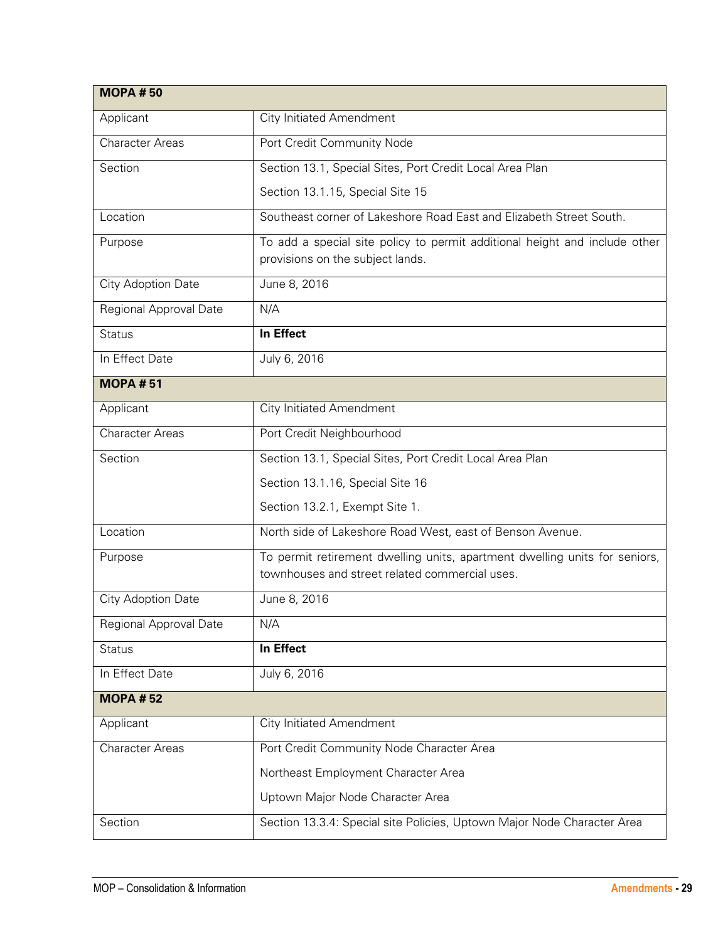| <b>MOPA #50</b>        |                                                                                                                              |
|------------------------|------------------------------------------------------------------------------------------------------------------------------|
| Applicant              | <b>City Initiated Amendment</b>                                                                                              |
| <b>Character Areas</b> | Port Credit Community Node                                                                                                   |
| Section                | Section 13.1, Special Sites, Port Credit Local Area Plan                                                                     |
|                        | Section 13.1.15, Special Site 15                                                                                             |
| Location               | Southeast corner of Lakeshore Road East and Elizabeth Street South.                                                          |
| Purpose                | To add a special site policy to permit additional height and include other<br>provisions on the subject lands.               |
| City Adoption Date     | June 8, 2016                                                                                                                 |
| Regional Approval Date | N/A                                                                                                                          |
| <b>Status</b>          | In Effect                                                                                                                    |
| In Effect Date         | July 6, 2016                                                                                                                 |
| <b>MOPA#51</b>         |                                                                                                                              |
| Applicant              | <b>City Initiated Amendment</b>                                                                                              |
| <b>Character Areas</b> | Port Credit Neighbourhood                                                                                                    |
| Section                | Section 13.1, Special Sites, Port Credit Local Area Plan                                                                     |
|                        | Section 13.1.16, Special Site 16                                                                                             |
|                        | Section 13.2.1, Exempt Site 1.                                                                                               |
| Location               | North side of Lakeshore Road West, east of Benson Avenue.                                                                    |
| Purpose                | To permit retirement dwelling units, apartment dwelling units for seniors,<br>townhouses and street related commercial uses. |
| City Adoption Date     | June 8, 2016                                                                                                                 |
| Regional Approval Date | N/A                                                                                                                          |
| <b>Status</b>          | In Effect                                                                                                                    |
| In Effect Date         | July 6, 2016                                                                                                                 |
| <b>MOPA #52</b>        |                                                                                                                              |
| Applicant              | <b>City Initiated Amendment</b>                                                                                              |
| <b>Character Areas</b> | Port Credit Community Node Character Area                                                                                    |
|                        | Northeast Employment Character Area                                                                                          |
|                        | Uptown Major Node Character Area                                                                                             |
| Section                | Section 13.3.4: Special site Policies, Uptown Major Node Character Area                                                      |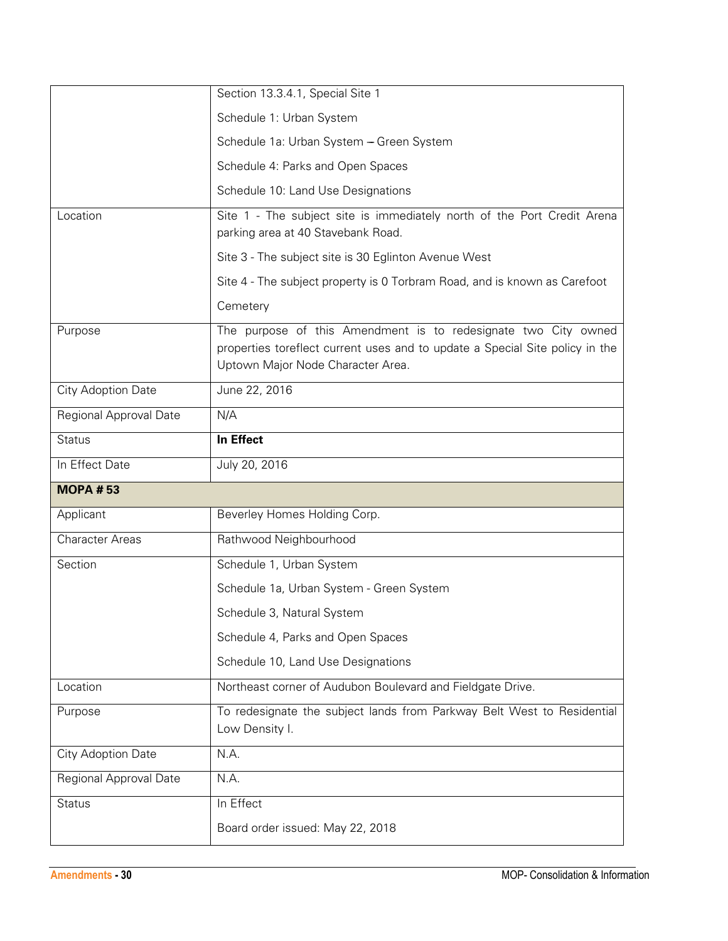|                        | Section 13.3.4.1, Special Site 1                                                                                                                                                    |
|------------------------|-------------------------------------------------------------------------------------------------------------------------------------------------------------------------------------|
|                        | Schedule 1: Urban System                                                                                                                                                            |
|                        | Schedule 1a: Urban System - Green System                                                                                                                                            |
|                        | Schedule 4: Parks and Open Spaces                                                                                                                                                   |
|                        | Schedule 10: Land Use Designations                                                                                                                                                  |
| Location               | Site 1 - The subject site is immediately north of the Port Credit Arena<br>parking area at 40 Stavebank Road.                                                                       |
|                        | Site 3 - The subject site is 30 Eglinton Avenue West                                                                                                                                |
|                        | Site 4 - The subject property is 0 Torbram Road, and is known as Carefoot                                                                                                           |
|                        | Cemetery                                                                                                                                                                            |
| Purpose                | The purpose of this Amendment is to redesignate two City owned<br>properties toreflect current uses and to update a Special Site policy in the<br>Uptown Major Node Character Area. |
| City Adoption Date     | June 22, 2016                                                                                                                                                                       |
| Regional Approval Date | N/A                                                                                                                                                                                 |
| <b>Status</b>          | In Effect                                                                                                                                                                           |
|                        |                                                                                                                                                                                     |
| In Effect Date         | July 20, 2016                                                                                                                                                                       |
| <b>MOPA #53</b>        |                                                                                                                                                                                     |
| Applicant              | Beverley Homes Holding Corp.                                                                                                                                                        |
| <b>Character Areas</b> | Rathwood Neighbourhood                                                                                                                                                              |
| Section                | Schedule 1, Urban System                                                                                                                                                            |
|                        | Schedule 1a, Urban System - Green System                                                                                                                                            |
|                        | Schedule 3, Natural System                                                                                                                                                          |
|                        | Schedule 4, Parks and Open Spaces                                                                                                                                                   |
|                        | Schedule 10, Land Use Designations                                                                                                                                                  |
| Location               | Northeast corner of Audubon Boulevard and Fieldgate Drive.                                                                                                                          |
| Purpose                | To redesignate the subject lands from Parkway Belt West to Residential<br>Low Density I.                                                                                            |
| City Adoption Date     | N.A.                                                                                                                                                                                |
| Regional Approval Date | N.A.                                                                                                                                                                                |
| <b>Status</b>          | In Effect                                                                                                                                                                           |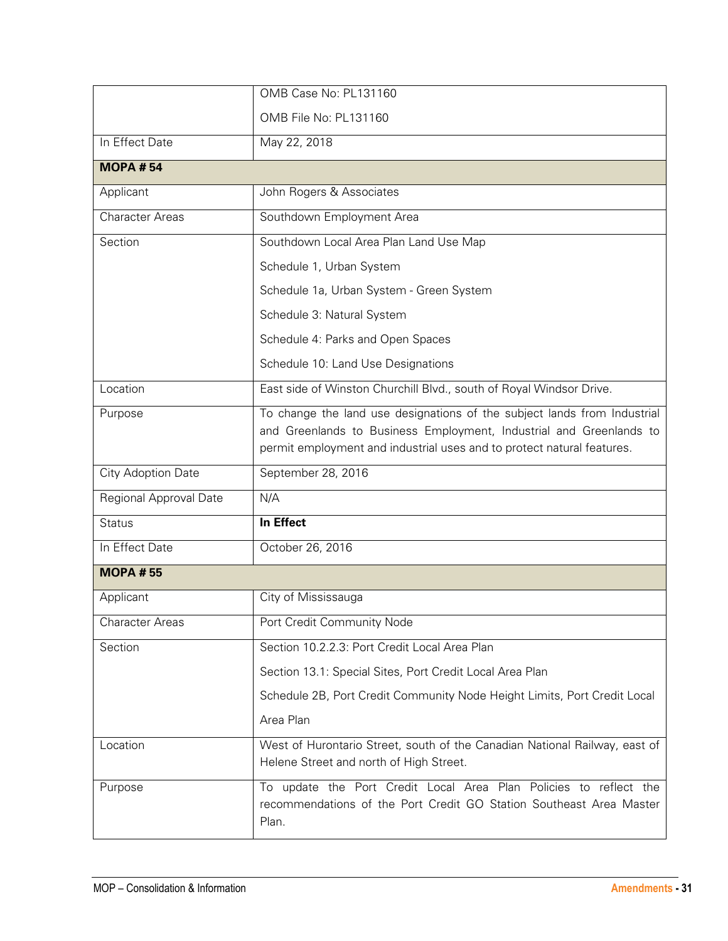|                        | OMB Case No: PL131160                                                                                                                                                                                                     |
|------------------------|---------------------------------------------------------------------------------------------------------------------------------------------------------------------------------------------------------------------------|
|                        | OMB File No: PL131160                                                                                                                                                                                                     |
| In Effect Date         | May 22, 2018                                                                                                                                                                                                              |
| <b>MOPA #54</b>        |                                                                                                                                                                                                                           |
| Applicant              | John Rogers & Associates                                                                                                                                                                                                  |
| <b>Character Areas</b> | Southdown Employment Area                                                                                                                                                                                                 |
| Section                | Southdown Local Area Plan Land Use Map                                                                                                                                                                                    |
|                        | Schedule 1, Urban System                                                                                                                                                                                                  |
|                        | Schedule 1a, Urban System - Green System                                                                                                                                                                                  |
|                        | Schedule 3: Natural System                                                                                                                                                                                                |
|                        | Schedule 4: Parks and Open Spaces                                                                                                                                                                                         |
|                        | Schedule 10: Land Use Designations                                                                                                                                                                                        |
| Location               | East side of Winston Churchill Blvd., south of Royal Windsor Drive.                                                                                                                                                       |
| Purpose                | To change the land use designations of the subject lands from Industrial<br>and Greenlands to Business Employment, Industrial and Greenlands to<br>permit employment and industrial uses and to protect natural features. |
| City Adoption Date     | September 28, 2016                                                                                                                                                                                                        |
| Regional Approval Date | N/A                                                                                                                                                                                                                       |
| <b>Status</b>          | In Effect                                                                                                                                                                                                                 |
| In Effect Date         | October 26, 2016                                                                                                                                                                                                          |
| <b>MOPA #55</b>        |                                                                                                                                                                                                                           |
| Applicant              | City of Mississauga                                                                                                                                                                                                       |
| <b>Character Areas</b> | Port Credit Community Node                                                                                                                                                                                                |
| Section                | Section 10.2.2.3: Port Credit Local Area Plan                                                                                                                                                                             |
|                        | Section 13.1: Special Sites, Port Credit Local Area Plan                                                                                                                                                                  |
|                        | Schedule 2B, Port Credit Community Node Height Limits, Port Credit Local                                                                                                                                                  |
|                        | Area Plan                                                                                                                                                                                                                 |
| Location               | West of Hurontario Street, south of the Canadian National Railway, east of<br>Helene Street and north of High Street.                                                                                                     |
| Purpose                | To update the Port Credit Local Area Plan Policies to reflect the<br>recommendations of the Port Credit GO Station Southeast Area Master<br>Plan.                                                                         |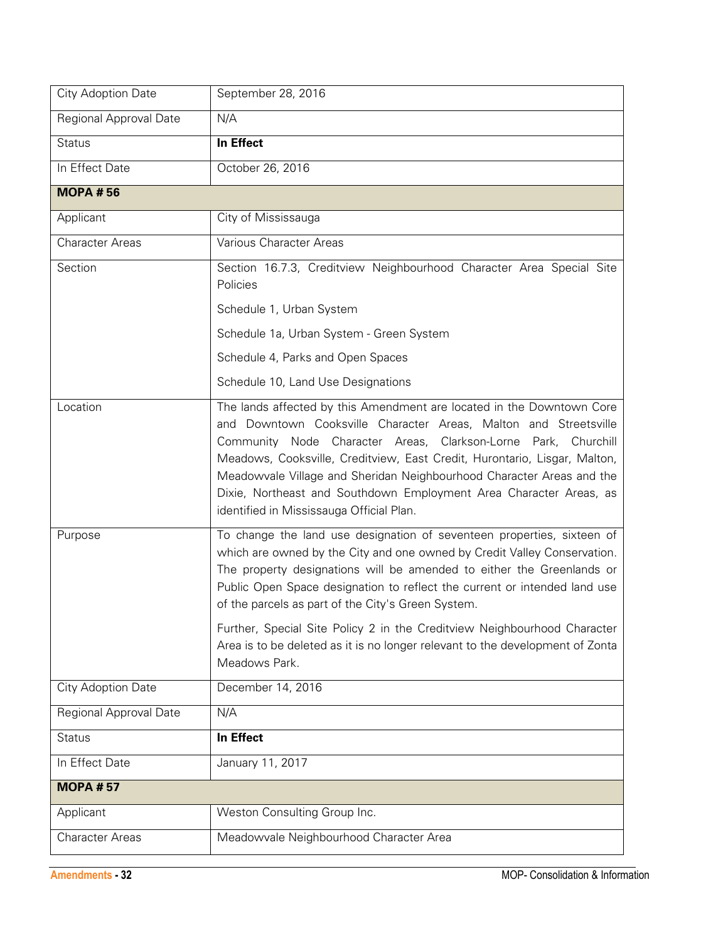| City Adoption Date     | September 28, 2016                                                                                                                                                                                                                                                                                                                                                                                                                                                                                                                           |
|------------------------|----------------------------------------------------------------------------------------------------------------------------------------------------------------------------------------------------------------------------------------------------------------------------------------------------------------------------------------------------------------------------------------------------------------------------------------------------------------------------------------------------------------------------------------------|
| Regional Approval Date | N/A                                                                                                                                                                                                                                                                                                                                                                                                                                                                                                                                          |
| <b>Status</b>          | In Effect                                                                                                                                                                                                                                                                                                                                                                                                                                                                                                                                    |
| In Effect Date         | October 26, 2016                                                                                                                                                                                                                                                                                                                                                                                                                                                                                                                             |
| <b>MOPA #56</b>        |                                                                                                                                                                                                                                                                                                                                                                                                                                                                                                                                              |
| Applicant              | City of Mississauga                                                                                                                                                                                                                                                                                                                                                                                                                                                                                                                          |
| <b>Character Areas</b> | Various Character Areas                                                                                                                                                                                                                                                                                                                                                                                                                                                                                                                      |
| Section                | Section 16.7.3, Creditview Neighbourhood Character Area Special Site<br>Policies                                                                                                                                                                                                                                                                                                                                                                                                                                                             |
|                        | Schedule 1, Urban System                                                                                                                                                                                                                                                                                                                                                                                                                                                                                                                     |
|                        | Schedule 1a, Urban System - Green System                                                                                                                                                                                                                                                                                                                                                                                                                                                                                                     |
|                        | Schedule 4, Parks and Open Spaces                                                                                                                                                                                                                                                                                                                                                                                                                                                                                                            |
|                        | Schedule 10, Land Use Designations                                                                                                                                                                                                                                                                                                                                                                                                                                                                                                           |
| Location               | The lands affected by this Amendment are located in the Downtown Core<br>and Downtown Cooksville Character Areas, Malton and Streetsville<br>Community Node Character Areas, Clarkson-Lorne Park, Churchill<br>Meadows, Cooksville, Creditview, East Credit, Hurontario, Lisgar, Malton,<br>Meadowvale Village and Sheridan Neighbourhood Character Areas and the<br>Dixie, Northeast and Southdown Employment Area Character Areas, as<br>identified in Mississauga Official Plan.                                                          |
| Purpose                | To change the land use designation of seventeen properties, sixteen of<br>which are owned by the City and one owned by Credit Valley Conservation.<br>The property designations will be amended to either the Greenlands or<br>Public Open Space designation to reflect the current or intended land use<br>of the parcels as part of the City's Green System.<br>Further, Special Site Policy 2 in the Creditview Neighbourhood Character<br>Area is to be deleted as it is no longer relevant to the development of Zonta<br>Meadows Park. |
| City Adoption Date     | December 14, 2016                                                                                                                                                                                                                                                                                                                                                                                                                                                                                                                            |
| Regional Approval Date | N/A                                                                                                                                                                                                                                                                                                                                                                                                                                                                                                                                          |
| <b>Status</b>          | In Effect                                                                                                                                                                                                                                                                                                                                                                                                                                                                                                                                    |
| In Effect Date         | January 11, 2017                                                                                                                                                                                                                                                                                                                                                                                                                                                                                                                             |
| <b>MOPA #57</b>        |                                                                                                                                                                                                                                                                                                                                                                                                                                                                                                                                              |
| Applicant              | Weston Consulting Group Inc.                                                                                                                                                                                                                                                                                                                                                                                                                                                                                                                 |
| <b>Character Areas</b> | Meadowvale Neighbourhood Character Area                                                                                                                                                                                                                                                                                                                                                                                                                                                                                                      |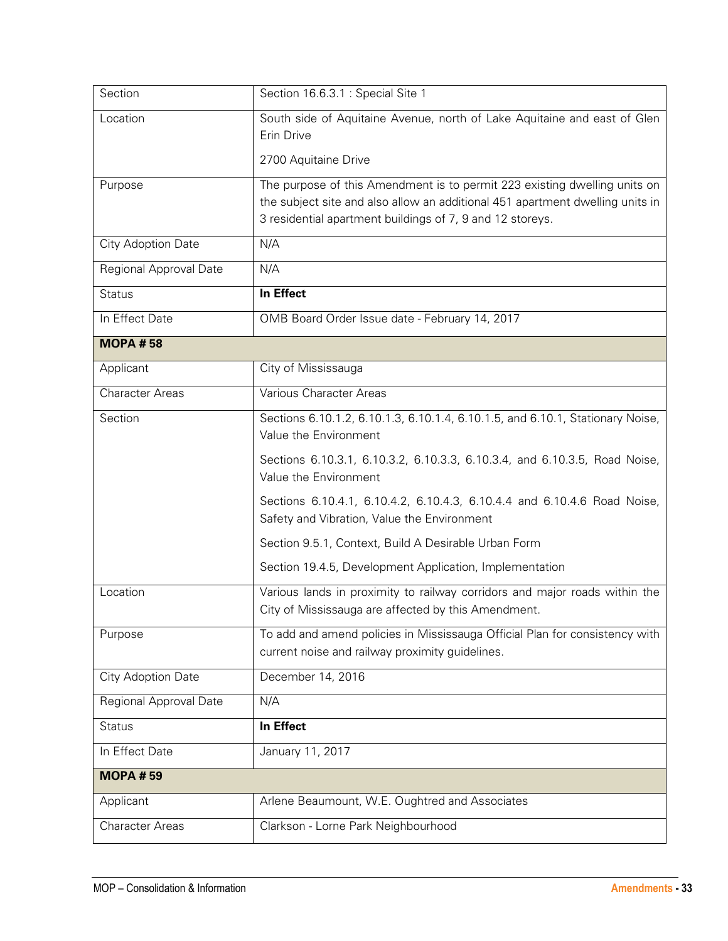| Section                   | Section 16.6.3.1 : Special Site 1                                                                                                                                                                                       |
|---------------------------|-------------------------------------------------------------------------------------------------------------------------------------------------------------------------------------------------------------------------|
| Location                  | South side of Aquitaine Avenue, north of Lake Aquitaine and east of Glen<br>Erin Drive                                                                                                                                  |
|                           | 2700 Aquitaine Drive                                                                                                                                                                                                    |
| Purpose                   | The purpose of this Amendment is to permit 223 existing dwelling units on<br>the subject site and also allow an additional 451 apartment dwelling units in<br>3 residential apartment buildings of 7, 9 and 12 storeys. |
| City Adoption Date        | N/A                                                                                                                                                                                                                     |
| Regional Approval Date    | N/A                                                                                                                                                                                                                     |
| <b>Status</b>             | In Effect                                                                                                                                                                                                               |
| In Effect Date            | OMB Board Order Issue date - February 14, 2017                                                                                                                                                                          |
| <b>MOPA #58</b>           |                                                                                                                                                                                                                         |
| Applicant                 | City of Mississauga                                                                                                                                                                                                     |
| <b>Character Areas</b>    | Various Character Areas                                                                                                                                                                                                 |
| Section                   | Sections 6.10.1.2, 6.10.1.3, 6.10.1.4, 6.10.1.5, and 6.10.1, Stationary Noise,<br>Value the Environment                                                                                                                 |
|                           | Sections 6.10.3.1, 6.10.3.2, 6.10.3.3, 6.10.3.4, and 6.10.3.5, Road Noise,<br>Value the Environment                                                                                                                     |
|                           | Sections 6.10.4.1, 6.10.4.2, 6.10.4.3, 6.10.4.4 and 6.10.4.6 Road Noise,<br>Safety and Vibration, Value the Environment                                                                                                 |
|                           | Section 9.5.1, Context, Build A Desirable Urban Form                                                                                                                                                                    |
|                           | Section 19.4.5, Development Application, Implementation                                                                                                                                                                 |
| Location                  | Various lands in proximity to railway corridors and major roads within the<br>City of Mississauga are affected by this Amendment.                                                                                       |
| Purpose                   | To add and amend policies in Mississauga Official Plan for consistency with<br>current noise and railway proximity guidelines.                                                                                          |
| <b>City Adoption Date</b> | December 14, 2016                                                                                                                                                                                                       |
| Regional Approval Date    | N/A                                                                                                                                                                                                                     |
| <b>Status</b>             | In Effect                                                                                                                                                                                                               |
| In Effect Date            | January 11, 2017                                                                                                                                                                                                        |
| <b>MOPA #59</b>           |                                                                                                                                                                                                                         |
| Applicant                 | Arlene Beaumount, W.E. Oughtred and Associates                                                                                                                                                                          |
| <b>Character Areas</b>    | Clarkson - Lorne Park Neighbourhood                                                                                                                                                                                     |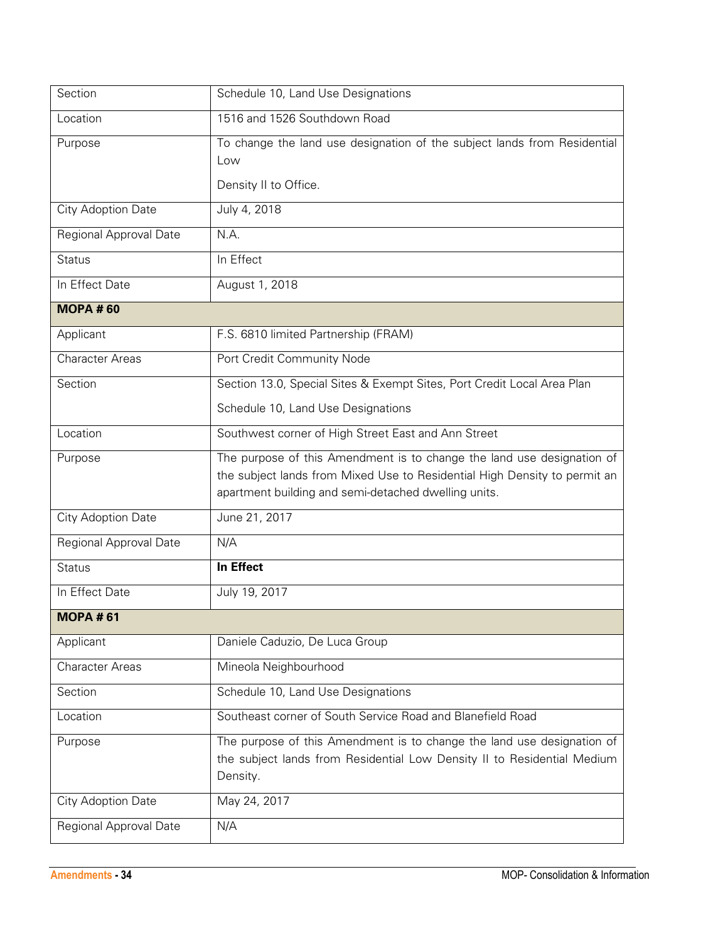| Section                | Schedule 10, Land Use Designations                                                                                                                                                                          |
|------------------------|-------------------------------------------------------------------------------------------------------------------------------------------------------------------------------------------------------------|
| Location               | 1516 and 1526 Southdown Road                                                                                                                                                                                |
| Purpose                | To change the land use designation of the subject lands from Residential<br>Low<br>Density II to Office.                                                                                                    |
| City Adoption Date     | July 4, 2018                                                                                                                                                                                                |
| Regional Approval Date | N.A.                                                                                                                                                                                                        |
| <b>Status</b>          | In Effect                                                                                                                                                                                                   |
| In Effect Date         | August 1, 2018                                                                                                                                                                                              |
| <b>MOPA #60</b>        |                                                                                                                                                                                                             |
| Applicant              | F.S. 6810 limited Partnership (FRAM)                                                                                                                                                                        |
| <b>Character Areas</b> | Port Credit Community Node                                                                                                                                                                                  |
| Section                | Section 13.0, Special Sites & Exempt Sites, Port Credit Local Area Plan                                                                                                                                     |
|                        | Schedule 10, Land Use Designations                                                                                                                                                                          |
| Location               | Southwest corner of High Street East and Ann Street                                                                                                                                                         |
| Purpose                | The purpose of this Amendment is to change the land use designation of<br>the subject lands from Mixed Use to Residential High Density to permit an<br>apartment building and semi-detached dwelling units. |
| City Adoption Date     | June 21, 2017                                                                                                                                                                                               |
| Regional Approval Date | N/A                                                                                                                                                                                                         |
| <b>Status</b>          | In Effect                                                                                                                                                                                                   |
| In Effect Date         | July 19, 2017                                                                                                                                                                                               |
| <b>MOPA #61</b>        |                                                                                                                                                                                                             |
| Applicant              | Daniele Caduzio, De Luca Group                                                                                                                                                                              |
| <b>Character Areas</b> | Mineola Neighbourhood                                                                                                                                                                                       |
| Section                | Schedule 10, Land Use Designations                                                                                                                                                                          |
| Location               | Southeast corner of South Service Road and Blanefield Road                                                                                                                                                  |
| Purpose                | The purpose of this Amendment is to change the land use designation of<br>the subject lands from Residential Low Density II to Residential Medium<br>Density.                                               |
| City Adoption Date     | May 24, 2017                                                                                                                                                                                                |
| Regional Approval Date | N/A                                                                                                                                                                                                         |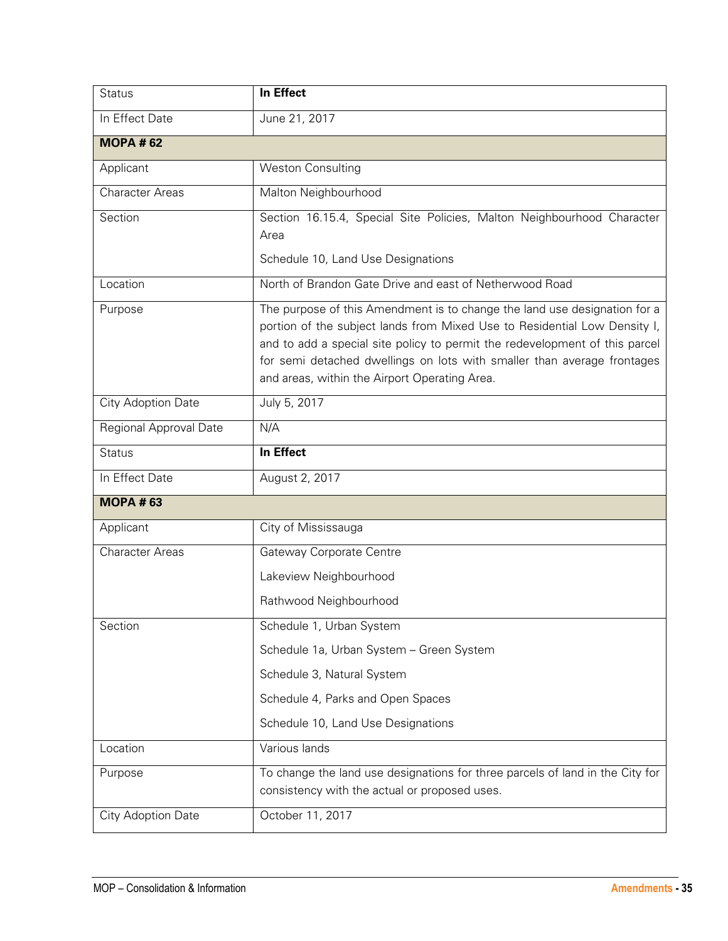| <b>Status</b>          | In Effect                                                                                                                                                                                                                                                                                                                                                         |
|------------------------|-------------------------------------------------------------------------------------------------------------------------------------------------------------------------------------------------------------------------------------------------------------------------------------------------------------------------------------------------------------------|
| In Effect Date         | June 21, 2017                                                                                                                                                                                                                                                                                                                                                     |
| <b>MOPA #62</b>        |                                                                                                                                                                                                                                                                                                                                                                   |
| Applicant              | <b>Weston Consulting</b>                                                                                                                                                                                                                                                                                                                                          |
| <b>Character Areas</b> | Malton Neighbourhood                                                                                                                                                                                                                                                                                                                                              |
| Section                | Section 16.15.4, Special Site Policies, Malton Neighbourhood Character<br>Area                                                                                                                                                                                                                                                                                    |
|                        | Schedule 10, Land Use Designations                                                                                                                                                                                                                                                                                                                                |
| Location               | North of Brandon Gate Drive and east of Netherwood Road                                                                                                                                                                                                                                                                                                           |
| Purpose                | The purpose of this Amendment is to change the land use designation for a<br>portion of the subject lands from Mixed Use to Residential Low Density I,<br>and to add a special site policy to permit the redevelopment of this parcel<br>for semi detached dwellings on lots with smaller than average frontages<br>and areas, within the Airport Operating Area. |
| City Adoption Date     | July 5, 2017                                                                                                                                                                                                                                                                                                                                                      |
| Regional Approval Date | N/A                                                                                                                                                                                                                                                                                                                                                               |
| <b>Status</b>          | In Effect                                                                                                                                                                                                                                                                                                                                                         |
| In Effect Date         | August 2, 2017                                                                                                                                                                                                                                                                                                                                                    |
| <b>MOPA #63</b>        |                                                                                                                                                                                                                                                                                                                                                                   |
| Applicant              | City of Mississauga                                                                                                                                                                                                                                                                                                                                               |
| <b>Character Areas</b> | Gateway Corporate Centre                                                                                                                                                                                                                                                                                                                                          |
|                        | Lakeview Neighbourhood                                                                                                                                                                                                                                                                                                                                            |
|                        | Rathwood Neighbourhood                                                                                                                                                                                                                                                                                                                                            |
| Section                | Schedule 1, Urban System                                                                                                                                                                                                                                                                                                                                          |
|                        | Schedule 1a, Urban System - Green System                                                                                                                                                                                                                                                                                                                          |
|                        | Schedule 3, Natural System                                                                                                                                                                                                                                                                                                                                        |
|                        | Schedule 4, Parks and Open Spaces                                                                                                                                                                                                                                                                                                                                 |
|                        | Schedule 10, Land Use Designations                                                                                                                                                                                                                                                                                                                                |
| Location               | Various lands                                                                                                                                                                                                                                                                                                                                                     |
| Purpose                | To change the land use designations for three parcels of land in the City for<br>consistency with the actual or proposed uses.                                                                                                                                                                                                                                    |
| City Adoption Date     | October 11, 2017                                                                                                                                                                                                                                                                                                                                                  |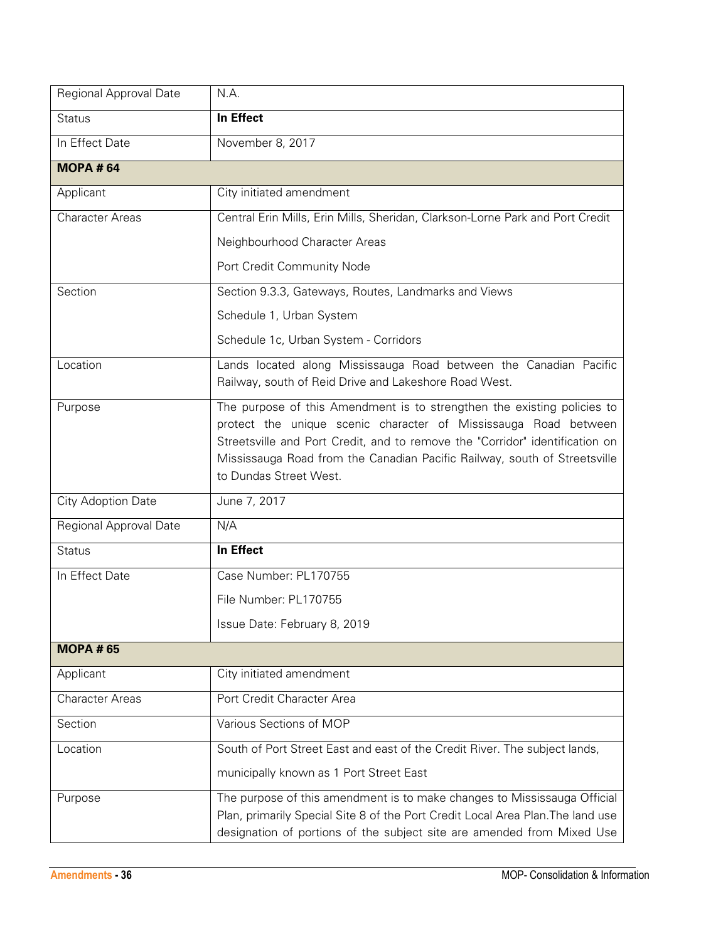| Regional Approval Date    | N.A.                                                                                                                                                                                                                                                                                                                              |
|---------------------------|-----------------------------------------------------------------------------------------------------------------------------------------------------------------------------------------------------------------------------------------------------------------------------------------------------------------------------------|
| <b>Status</b>             | In Effect                                                                                                                                                                                                                                                                                                                         |
| In Effect Date            | November 8, 2017                                                                                                                                                                                                                                                                                                                  |
| <b>MOPA #64</b>           |                                                                                                                                                                                                                                                                                                                                   |
| Applicant                 | City initiated amendment                                                                                                                                                                                                                                                                                                          |
| <b>Character Areas</b>    | Central Erin Mills, Erin Mills, Sheridan, Clarkson-Lorne Park and Port Credit                                                                                                                                                                                                                                                     |
|                           | Neighbourhood Character Areas                                                                                                                                                                                                                                                                                                     |
|                           | Port Credit Community Node                                                                                                                                                                                                                                                                                                        |
| Section                   | Section 9.3.3, Gateways, Routes, Landmarks and Views                                                                                                                                                                                                                                                                              |
|                           | Schedule 1, Urban System                                                                                                                                                                                                                                                                                                          |
|                           | Schedule 1c, Urban System - Corridors                                                                                                                                                                                                                                                                                             |
| Location                  | Lands located along Mississauga Road between the Canadian Pacific<br>Railway, south of Reid Drive and Lakeshore Road West.                                                                                                                                                                                                        |
| Purpose                   | The purpose of this Amendment is to strengthen the existing policies to<br>protect the unique scenic character of Mississauga Road between<br>Streetsville and Port Credit, and to remove the "Corridor" identification on<br>Mississauga Road from the Canadian Pacific Railway, south of Streetsville<br>to Dundas Street West. |
| <b>City Adoption Date</b> | June 7, 2017                                                                                                                                                                                                                                                                                                                      |
| Regional Approval Date    | N/A                                                                                                                                                                                                                                                                                                                               |
| <b>Status</b>             | <b>In Effect</b>                                                                                                                                                                                                                                                                                                                  |
| In Effect Date            | Case Number: PL170755                                                                                                                                                                                                                                                                                                             |
|                           | File Number: PL170755                                                                                                                                                                                                                                                                                                             |
|                           | Issue Date: February 8, 2019                                                                                                                                                                                                                                                                                                      |
| <b>MOPA #65</b>           |                                                                                                                                                                                                                                                                                                                                   |
| Applicant                 | City initiated amendment                                                                                                                                                                                                                                                                                                          |
| <b>Character Areas</b>    | Port Credit Character Area                                                                                                                                                                                                                                                                                                        |
| Section                   | Various Sections of MOP                                                                                                                                                                                                                                                                                                           |
| Location                  | South of Port Street East and east of the Credit River. The subject lands,                                                                                                                                                                                                                                                        |
|                           | municipally known as 1 Port Street East                                                                                                                                                                                                                                                                                           |
| Purpose                   | The purpose of this amendment is to make changes to Mississauga Official<br>Plan, primarily Special Site 8 of the Port Credit Local Area Plan. The land use<br>designation of portions of the subject site are amended from Mixed Use                                                                                             |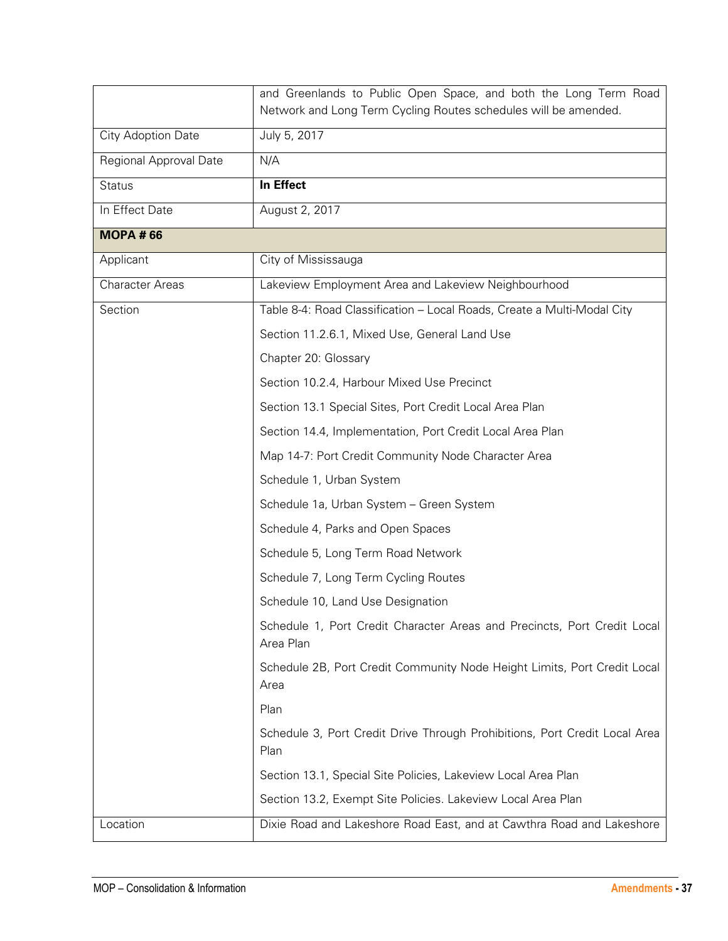|                        | and Greenlands to Public Open Space, and both the Long Term Road<br>Network and Long Term Cycling Routes schedules will be amended. |
|------------------------|-------------------------------------------------------------------------------------------------------------------------------------|
| City Adoption Date     | July 5, 2017                                                                                                                        |
| Regional Approval Date | N/A                                                                                                                                 |
| <b>Status</b>          | In Effect                                                                                                                           |
| In Effect Date         | August 2, 2017                                                                                                                      |
| <b>MOPA #66</b>        |                                                                                                                                     |
| Applicant              | City of Mississauga                                                                                                                 |
| <b>Character Areas</b> | Lakeview Employment Area and Lakeview Neighbourhood                                                                                 |
| Section                | Table 8-4: Road Classification - Local Roads, Create a Multi-Modal City                                                             |
|                        | Section 11.2.6.1, Mixed Use, General Land Use                                                                                       |
|                        | Chapter 20: Glossary                                                                                                                |
|                        | Section 10.2.4, Harbour Mixed Use Precinct                                                                                          |
|                        | Section 13.1 Special Sites, Port Credit Local Area Plan                                                                             |
|                        | Section 14.4, Implementation, Port Credit Local Area Plan                                                                           |
|                        | Map 14-7: Port Credit Community Node Character Area                                                                                 |
|                        | Schedule 1, Urban System                                                                                                            |
|                        | Schedule 1a, Urban System - Green System                                                                                            |
|                        | Schedule 4, Parks and Open Spaces                                                                                                   |
|                        | Schedule 5, Long Term Road Network                                                                                                  |
|                        | Schedule 7, Long Term Cycling Routes                                                                                                |
|                        | Schedule 10, Land Use Designation                                                                                                   |
|                        | Schedule 1, Port Credit Character Areas and Precincts, Port Credit Local<br>Area Plan                                               |
|                        | Schedule 2B, Port Credit Community Node Height Limits, Port Credit Local<br>Area                                                    |
|                        | Plan                                                                                                                                |
|                        | Schedule 3, Port Credit Drive Through Prohibitions, Port Credit Local Area<br>Plan                                                  |
|                        | Section 13.1, Special Site Policies, Lakeview Local Area Plan                                                                       |
|                        | Section 13.2, Exempt Site Policies. Lakeview Local Area Plan                                                                        |
| Location               | Dixie Road and Lakeshore Road East, and at Cawthra Road and Lakeshore                                                               |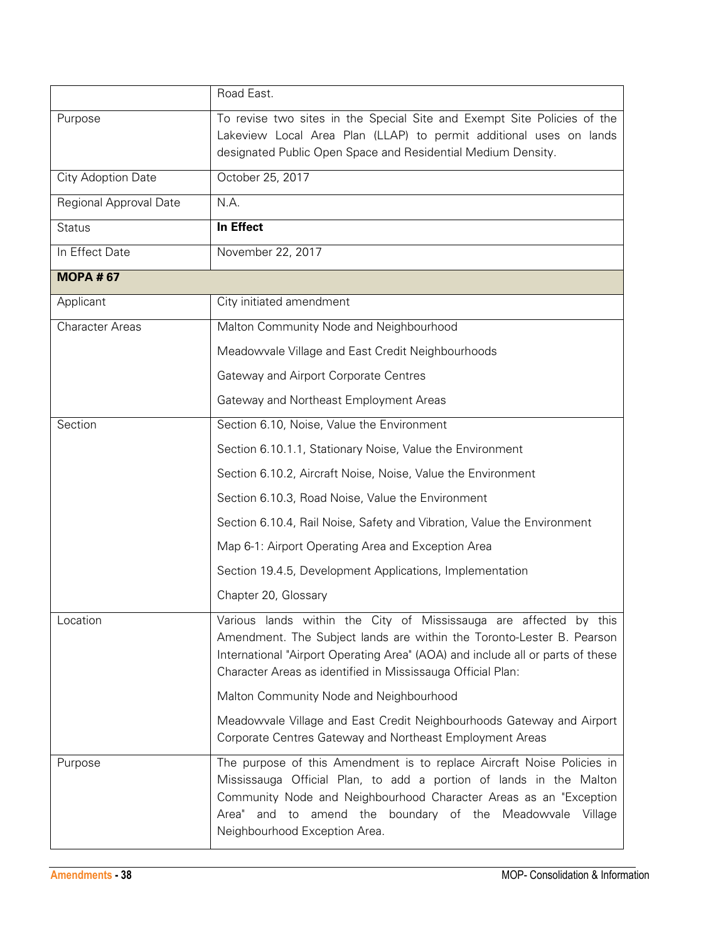|                        | Road East.                                                                                                                                                                                                                                                                                                      |
|------------------------|-----------------------------------------------------------------------------------------------------------------------------------------------------------------------------------------------------------------------------------------------------------------------------------------------------------------|
| Purpose                | To revise two sites in the Special Site and Exempt Site Policies of the<br>Lakeview Local Area Plan (LLAP) to permit additional uses on lands<br>designated Public Open Space and Residential Medium Density.                                                                                                   |
| City Adoption Date     | October 25, 2017                                                                                                                                                                                                                                                                                                |
| Regional Approval Date | N.A.                                                                                                                                                                                                                                                                                                            |
| <b>Status</b>          | In Effect                                                                                                                                                                                                                                                                                                       |
| In Effect Date         | November 22, 2017                                                                                                                                                                                                                                                                                               |
| <b>MOPA #67</b>        |                                                                                                                                                                                                                                                                                                                 |
| Applicant              | City initiated amendment                                                                                                                                                                                                                                                                                        |
| <b>Character Areas</b> | Malton Community Node and Neighbourhood                                                                                                                                                                                                                                                                         |
|                        | Meadowvale Village and East Credit Neighbourhoods                                                                                                                                                                                                                                                               |
|                        | Gateway and Airport Corporate Centres                                                                                                                                                                                                                                                                           |
|                        | Gateway and Northeast Employment Areas                                                                                                                                                                                                                                                                          |
| Section                | Section 6.10, Noise, Value the Environment                                                                                                                                                                                                                                                                      |
|                        | Section 6.10.1.1, Stationary Noise, Value the Environment                                                                                                                                                                                                                                                       |
|                        | Section 6.10.2, Aircraft Noise, Noise, Value the Environment                                                                                                                                                                                                                                                    |
|                        | Section 6.10.3, Road Noise, Value the Environment                                                                                                                                                                                                                                                               |
|                        | Section 6.10.4, Rail Noise, Safety and Vibration, Value the Environment                                                                                                                                                                                                                                         |
|                        | Map 6-1: Airport Operating Area and Exception Area                                                                                                                                                                                                                                                              |
|                        | Section 19.4.5, Development Applications, Implementation                                                                                                                                                                                                                                                        |
|                        | Chapter 20, Glossary                                                                                                                                                                                                                                                                                            |
| Location               | Various lands within the City of Mississauga are affected by this<br>Amendment. The Subject lands are within the Toronto-Lester B. Pearson<br>International "Airport Operating Area" (AOA) and include all or parts of these<br>Character Areas as identified in Mississauga Official Plan:                     |
|                        | Malton Community Node and Neighbourhood                                                                                                                                                                                                                                                                         |
|                        | Meadowvale Village and East Credit Neighbourhoods Gateway and Airport<br>Corporate Centres Gateway and Northeast Employment Areas                                                                                                                                                                               |
| Purpose                | The purpose of this Amendment is to replace Aircraft Noise Policies in<br>Mississauga Official Plan, to add a portion of lands in the Malton<br>Community Node and Neighbourhood Character Areas as an "Exception<br>Area" and to amend the boundary of the Meadowvale Village<br>Neighbourhood Exception Area. |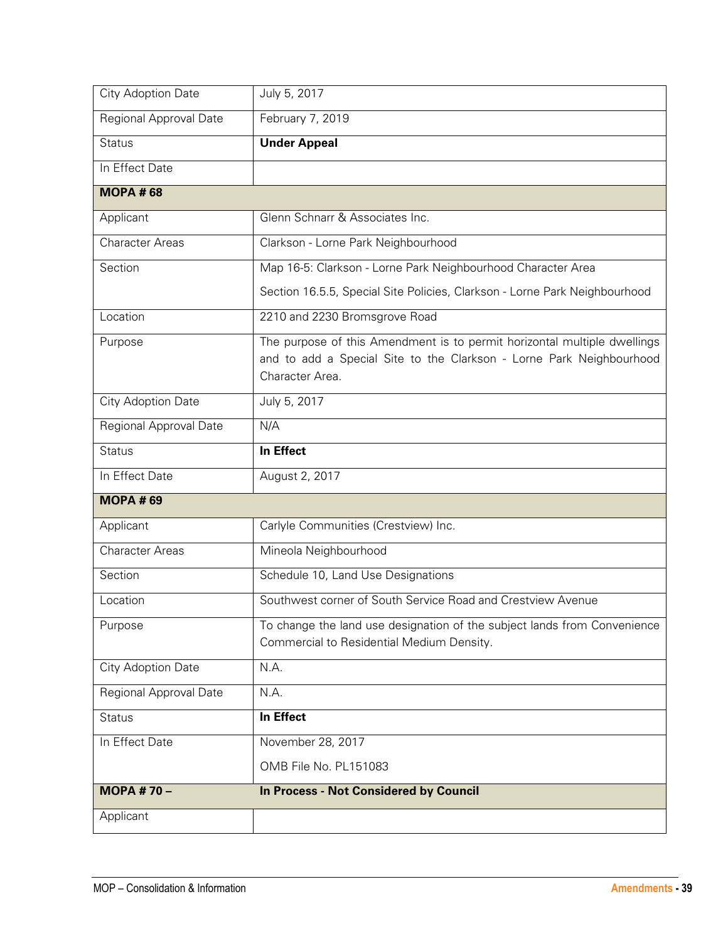| City Adoption Date            | July 5, 2017                                                                                                                                                        |
|-------------------------------|---------------------------------------------------------------------------------------------------------------------------------------------------------------------|
| <b>Regional Approval Date</b> | February 7, 2019                                                                                                                                                    |
| <b>Status</b>                 | <b>Under Appeal</b>                                                                                                                                                 |
| In Effect Date                |                                                                                                                                                                     |
| <b>MOPA#68</b>                |                                                                                                                                                                     |
| Applicant                     | Glenn Schnarr & Associates Inc.                                                                                                                                     |
| <b>Character Areas</b>        | Clarkson - Lorne Park Neighbourhood                                                                                                                                 |
| Section                       | Map 16-5: Clarkson - Lorne Park Neighbourhood Character Area                                                                                                        |
|                               | Section 16.5.5, Special Site Policies, Clarkson - Lorne Park Neighbourhood                                                                                          |
| Location                      | 2210 and 2230 Bromsgrove Road                                                                                                                                       |
| Purpose                       | The purpose of this Amendment is to permit horizontal multiple dwellings<br>and to add a Special Site to the Clarkson - Lorne Park Neighbourhood<br>Character Area. |
| City Adoption Date            | July 5, 2017                                                                                                                                                        |
| Regional Approval Date        | N/A                                                                                                                                                                 |
| <b>Status</b>                 | In Effect                                                                                                                                                           |
| In Effect Date                | August 2, 2017                                                                                                                                                      |
| <b>MOPA #69</b>               |                                                                                                                                                                     |
| Applicant                     | Carlyle Communities (Crestview) Inc.                                                                                                                                |
| <b>Character Areas</b>        | Mineola Neighbourhood                                                                                                                                               |
| Section                       | Schedule 10, Land Use Designations                                                                                                                                  |
| Location                      | Southwest corner of South Service Road and Crestview Avenue                                                                                                         |
| Purpose                       | To change the land use designation of the subject lands from Convenience<br>Commercial to Residential Medium Density.                                               |
| City Adoption Date            | N.A.                                                                                                                                                                |
| Regional Approval Date        | N.A.                                                                                                                                                                |
| <b>Status</b>                 | In Effect                                                                                                                                                           |
| In Effect Date                | November 28, 2017                                                                                                                                                   |
|                               | OMB File No. PL151083                                                                                                                                               |
| MOPA # $70 -$                 | <b>In Process - Not Considered by Council</b>                                                                                                                       |
| Applicant                     |                                                                                                                                                                     |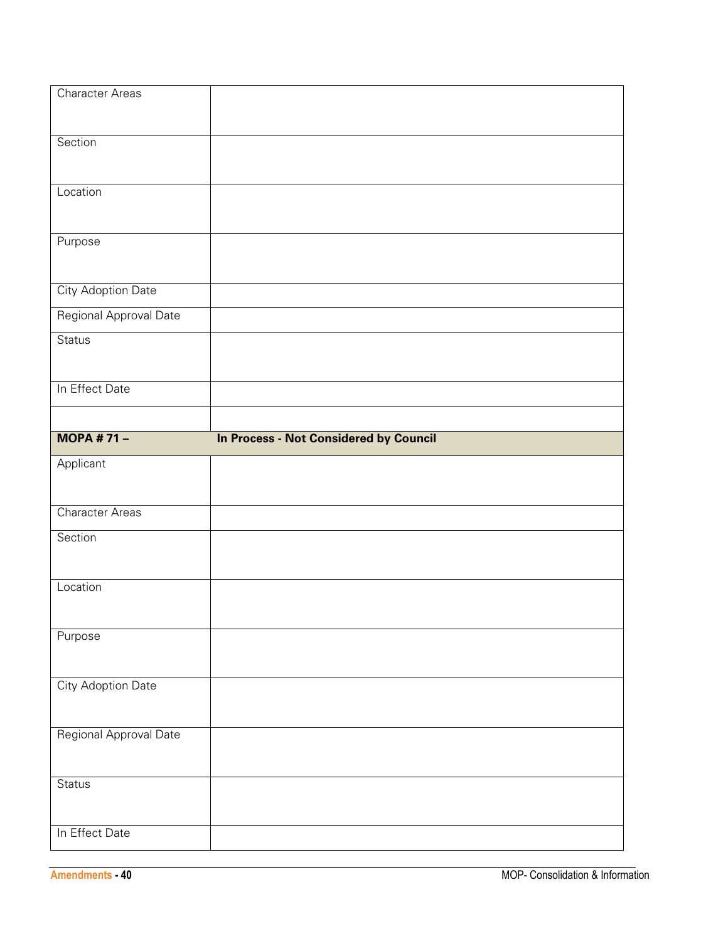| Character Areas           |                                               |
|---------------------------|-----------------------------------------------|
| Section                   |                                               |
|                           |                                               |
| Location                  |                                               |
| Purpose                   |                                               |
| <b>City Adoption Date</b> |                                               |
| Regional Approval Date    |                                               |
| <b>Status</b>             |                                               |
| In Effect Date            |                                               |
| <b>MOPA #71-</b>          | <b>In Process - Not Considered by Council</b> |
|                           |                                               |
| Applicant                 |                                               |
|                           |                                               |
| <b>Character Areas</b>    |                                               |
| Section                   |                                               |
| Location                  |                                               |
| Purpose                   |                                               |
| <b>City Adoption Date</b> |                                               |
| Regional Approval Date    |                                               |
| Status                    |                                               |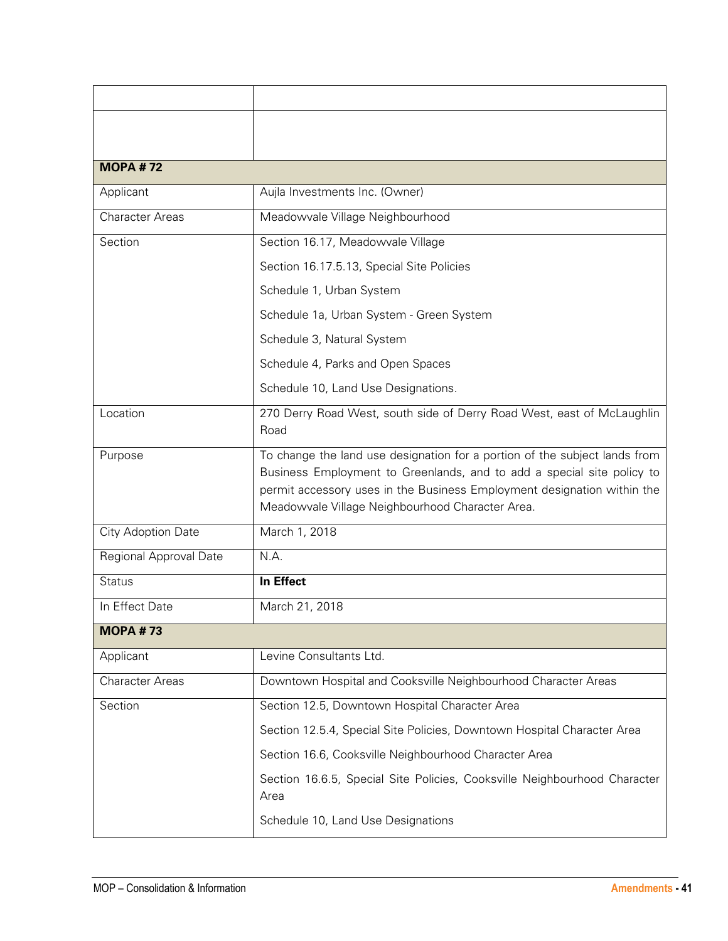| <b>MOPA #72</b>        |                                                                                                                                                                                                                                                                                     |
|------------------------|-------------------------------------------------------------------------------------------------------------------------------------------------------------------------------------------------------------------------------------------------------------------------------------|
| Applicant              | Aujla Investments Inc. (Owner)                                                                                                                                                                                                                                                      |
| <b>Character Areas</b> | Meadowvale Village Neighbourhood                                                                                                                                                                                                                                                    |
| Section                | Section 16.17, Meadowvale Village                                                                                                                                                                                                                                                   |
|                        | Section 16.17.5.13, Special Site Policies                                                                                                                                                                                                                                           |
|                        | Schedule 1, Urban System                                                                                                                                                                                                                                                            |
|                        | Schedule 1a, Urban System - Green System                                                                                                                                                                                                                                            |
|                        | Schedule 3, Natural System                                                                                                                                                                                                                                                          |
|                        | Schedule 4, Parks and Open Spaces                                                                                                                                                                                                                                                   |
|                        | Schedule 10, Land Use Designations.                                                                                                                                                                                                                                                 |
| Location               | 270 Derry Road West, south side of Derry Road West, east of McLaughlin<br>Road                                                                                                                                                                                                      |
| Purpose                | To change the land use designation for a portion of the subject lands from<br>Business Employment to Greenlands, and to add a special site policy to<br>permit accessory uses in the Business Employment designation within the<br>Meadowvale Village Neighbourhood Character Area. |
| City Adoption Date     | March 1, 2018                                                                                                                                                                                                                                                                       |
| Regional Approval Date | N.A.                                                                                                                                                                                                                                                                                |
| <b>Status</b>          | <b>In Effect</b>                                                                                                                                                                                                                                                                    |
| In Effect Date         | March 21, 2018                                                                                                                                                                                                                                                                      |
| <b>MOPA #73</b>        |                                                                                                                                                                                                                                                                                     |
| Applicant              | Levine Consultants Ltd.                                                                                                                                                                                                                                                             |
| <b>Character Areas</b> | Downtown Hospital and Cooksville Neighbourhood Character Areas                                                                                                                                                                                                                      |
| Section                | Section 12.5, Downtown Hospital Character Area                                                                                                                                                                                                                                      |
|                        | Section 12.5.4, Special Site Policies, Downtown Hospital Character Area                                                                                                                                                                                                             |
|                        | Section 16.6, Cooksville Neighbourhood Character Area                                                                                                                                                                                                                               |
|                        | Section 16.6.5, Special Site Policies, Cooksville Neighbourhood Character<br>Area                                                                                                                                                                                                   |
|                        | Schedule 10, Land Use Designations                                                                                                                                                                                                                                                  |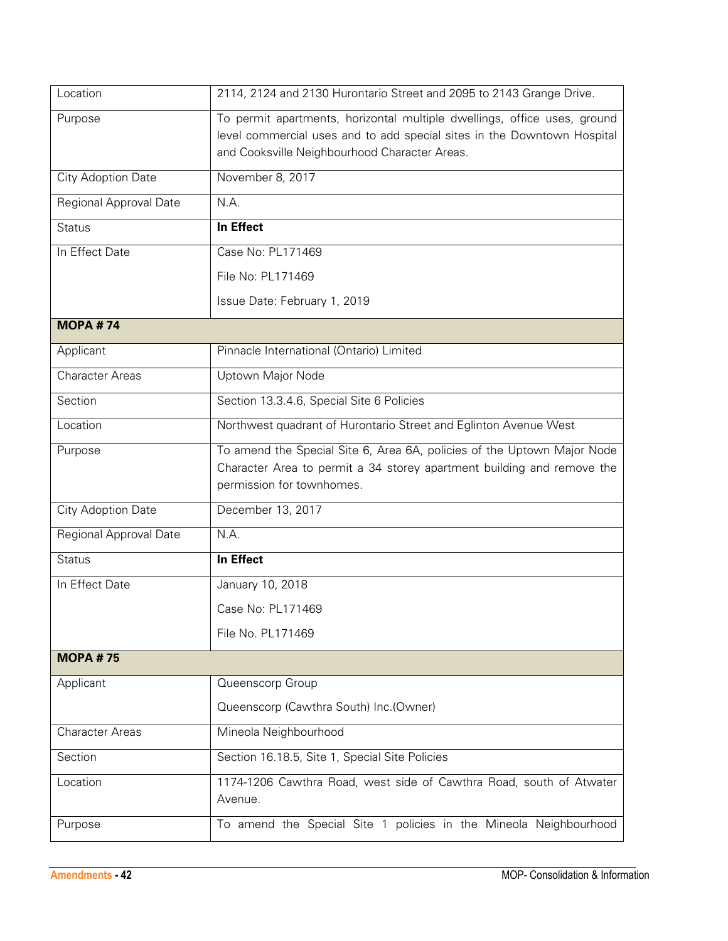| Location               | 2114, 2124 and 2130 Hurontario Street and 2095 to 2143 Grange Drive.                                                                                                                                 |
|------------------------|------------------------------------------------------------------------------------------------------------------------------------------------------------------------------------------------------|
| Purpose                | To permit apartments, horizontal multiple dwellings, office uses, ground<br>level commercial uses and to add special sites in the Downtown Hospital<br>and Cooksville Neighbourhood Character Areas. |
| City Adoption Date     | November 8, 2017                                                                                                                                                                                     |
| Regional Approval Date | N.A.                                                                                                                                                                                                 |
| <b>Status</b>          | <b>In Effect</b>                                                                                                                                                                                     |
| In Effect Date         | Case No: PL171469                                                                                                                                                                                    |
|                        | File No: PL171469                                                                                                                                                                                    |
|                        | Issue Date: February 1, 2019                                                                                                                                                                         |
| <b>MOPA #74</b>        |                                                                                                                                                                                                      |
| Applicant              | Pinnacle International (Ontario) Limited                                                                                                                                                             |
| <b>Character Areas</b> | Uptown Major Node                                                                                                                                                                                    |
| Section                | Section 13.3.4.6, Special Site 6 Policies                                                                                                                                                            |
| Location               | Northwest quadrant of Hurontario Street and Eglinton Avenue West                                                                                                                                     |
| Purpose                | To amend the Special Site 6, Area 6A, policies of the Uptown Major Node<br>Character Area to permit a 34 storey apartment building and remove the<br>permission for townhomes.                       |
| City Adoption Date     | December 13, 2017                                                                                                                                                                                    |
| Regional Approval Date | N.A.                                                                                                                                                                                                 |
| <b>Status</b>          | In Effect                                                                                                                                                                                            |
| In Effect Date         | January 10, 2018                                                                                                                                                                                     |
|                        | Case No: PL171469                                                                                                                                                                                    |
|                        | File No. PL171469                                                                                                                                                                                    |
| <b>MOPA #75</b>        |                                                                                                                                                                                                      |
| Applicant              | Queenscorp Group                                                                                                                                                                                     |
|                        | Queenscorp (Cawthra South) Inc. (Owner)                                                                                                                                                              |
| <b>Character Areas</b> | Mineola Neighbourhood                                                                                                                                                                                |
| Section                | Section 16.18.5, Site 1, Special Site Policies                                                                                                                                                       |
| Location               | 1174-1206 Cawthra Road, west side of Cawthra Road, south of Atwater<br>Avenue.                                                                                                                       |
| Purpose                | To amend the Special Site 1 policies in the Mineola Neighbourhood                                                                                                                                    |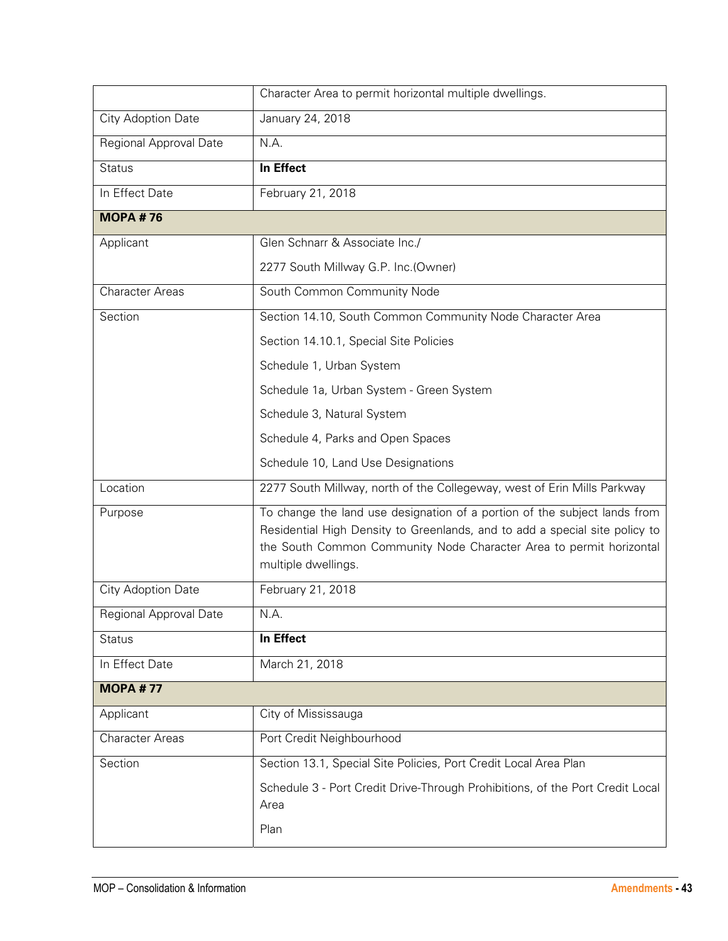|                        | Character Area to permit horizontal multiple dwellings.                                                                                                                                                                                                |
|------------------------|--------------------------------------------------------------------------------------------------------------------------------------------------------------------------------------------------------------------------------------------------------|
| City Adoption Date     | January 24, 2018                                                                                                                                                                                                                                       |
| Regional Approval Date | N.A.                                                                                                                                                                                                                                                   |
| <b>Status</b>          | In Effect                                                                                                                                                                                                                                              |
| In Effect Date         | February 21, 2018                                                                                                                                                                                                                                      |
| <b>MOPA #76</b>        |                                                                                                                                                                                                                                                        |
| Applicant              | Glen Schnarr & Associate Inc./                                                                                                                                                                                                                         |
|                        | 2277 South Millway G.P. Inc.(Owner)                                                                                                                                                                                                                    |
| <b>Character Areas</b> | South Common Community Node                                                                                                                                                                                                                            |
| Section                | Section 14.10, South Common Community Node Character Area                                                                                                                                                                                              |
|                        | Section 14.10.1, Special Site Policies                                                                                                                                                                                                                 |
|                        | Schedule 1, Urban System                                                                                                                                                                                                                               |
|                        | Schedule 1a, Urban System - Green System                                                                                                                                                                                                               |
|                        | Schedule 3, Natural System                                                                                                                                                                                                                             |
|                        | Schedule 4, Parks and Open Spaces                                                                                                                                                                                                                      |
|                        | Schedule 10, Land Use Designations                                                                                                                                                                                                                     |
| Location               | 2277 South Millway, north of the Collegeway, west of Erin Mills Parkway                                                                                                                                                                                |
| Purpose                | To change the land use designation of a portion of the subject lands from<br>Residential High Density to Greenlands, and to add a special site policy to<br>the South Common Community Node Character Area to permit horizontal<br>multiple dwellings. |
| City Adoption Date     | February 21, 2018                                                                                                                                                                                                                                      |
| Regional Approval Date | N.A.                                                                                                                                                                                                                                                   |
| <b>Status</b>          | <b>In Effect</b>                                                                                                                                                                                                                                       |
| In Effect Date         | March 21, 2018                                                                                                                                                                                                                                         |
| <b>MOPA #77</b>        |                                                                                                                                                                                                                                                        |
| Applicant              | City of Mississauga                                                                                                                                                                                                                                    |
| <b>Character Areas</b> | Port Credit Neighbourhood                                                                                                                                                                                                                              |
| Section                | Section 13.1, Special Site Policies, Port Credit Local Area Plan                                                                                                                                                                                       |
|                        | Schedule 3 - Port Credit Drive-Through Prohibitions, of the Port Credit Local<br>Area                                                                                                                                                                  |
|                        | Plan                                                                                                                                                                                                                                                   |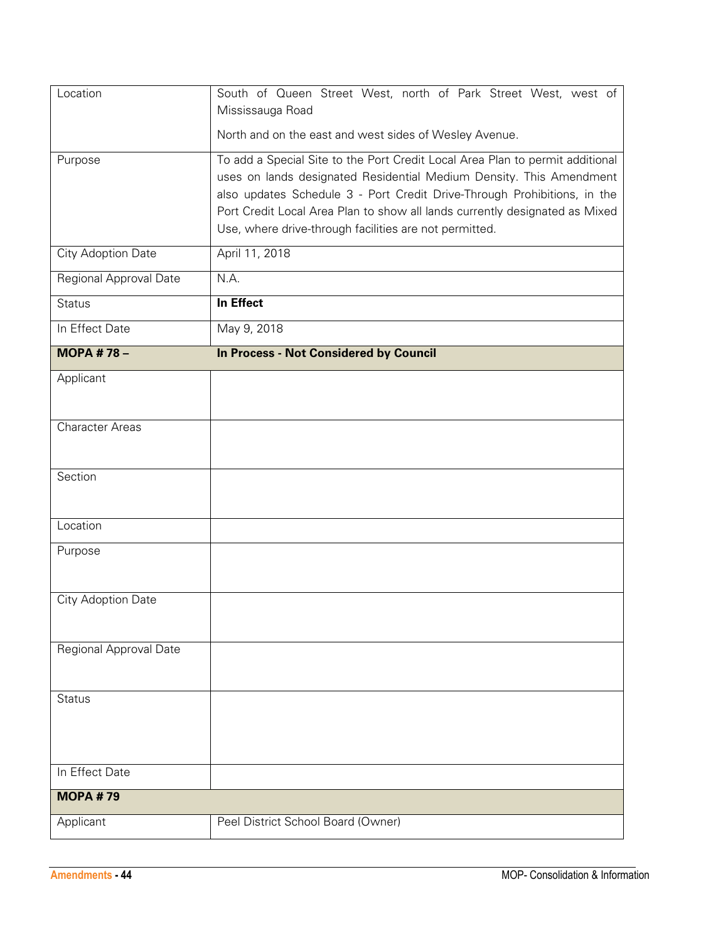| Location               | South of Queen Street West, north of Park Street West, west of<br>Mississauga Road |
|------------------------|------------------------------------------------------------------------------------|
|                        | North and on the east and west sides of Wesley Avenue.                             |
| Purpose                | To add a Special Site to the Port Credit Local Area Plan to permit additional      |
|                        | uses on lands designated Residential Medium Density. This Amendment                |
|                        | also updates Schedule 3 - Port Credit Drive-Through Prohibitions, in the           |
|                        | Port Credit Local Area Plan to show all lands currently designated as Mixed        |
|                        | Use, where drive-through facilities are not permitted.                             |
| City Adoption Date     | April 11, 2018                                                                     |
| Regional Approval Date | N.A.                                                                               |
| <b>Status</b>          | In Effect                                                                          |
| In Effect Date         | May 9, 2018                                                                        |
| <b>MOPA #78-</b>       | <b>In Process - Not Considered by Council</b>                                      |
| Applicant              |                                                                                    |
|                        |                                                                                    |
| <b>Character Areas</b> |                                                                                    |
|                        |                                                                                    |
| Section                |                                                                                    |
|                        |                                                                                    |
| Location               |                                                                                    |
| Purpose                |                                                                                    |
|                        |                                                                                    |
| City Adoption Date     |                                                                                    |
|                        |                                                                                    |
| Regional Approval Date |                                                                                    |
|                        |                                                                                    |
| <b>Status</b>          |                                                                                    |
|                        |                                                                                    |
|                        |                                                                                    |
| In Effect Date         |                                                                                    |
| <b>MOPA #79</b>        |                                                                                    |
|                        |                                                                                    |
| Applicant              | Peel District School Board (Owner)                                                 |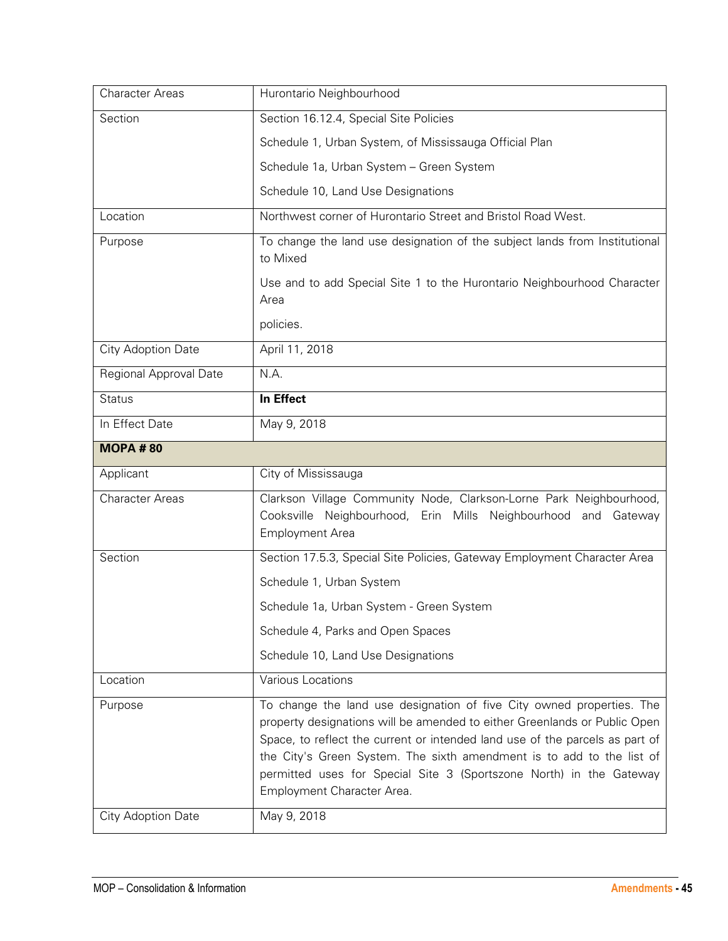| <b>Character Areas</b> | Hurontario Neighbourhood                                                                                                                                                                                                                                                                                                                                                           |
|------------------------|------------------------------------------------------------------------------------------------------------------------------------------------------------------------------------------------------------------------------------------------------------------------------------------------------------------------------------------------------------------------------------|
| Section                | Section 16.12.4, Special Site Policies                                                                                                                                                                                                                                                                                                                                             |
|                        | Schedule 1, Urban System, of Mississauga Official Plan                                                                                                                                                                                                                                                                                                                             |
|                        | Schedule 1a, Urban System - Green System                                                                                                                                                                                                                                                                                                                                           |
|                        | Schedule 10, Land Use Designations                                                                                                                                                                                                                                                                                                                                                 |
| Location               | Northwest corner of Hurontario Street and Bristol Road West.                                                                                                                                                                                                                                                                                                                       |
| Purpose                | To change the land use designation of the subject lands from Institutional<br>to Mixed                                                                                                                                                                                                                                                                                             |
|                        | Use and to add Special Site 1 to the Hurontario Neighbourhood Character<br>Area                                                                                                                                                                                                                                                                                                    |
|                        | policies.                                                                                                                                                                                                                                                                                                                                                                          |
| City Adoption Date     | April 11, 2018                                                                                                                                                                                                                                                                                                                                                                     |
| Regional Approval Date | N.A.                                                                                                                                                                                                                                                                                                                                                                               |
| <b>Status</b>          | In Effect                                                                                                                                                                                                                                                                                                                                                                          |
| In Effect Date         | May 9, 2018                                                                                                                                                                                                                                                                                                                                                                        |
| <b>MOPA #80</b>        |                                                                                                                                                                                                                                                                                                                                                                                    |
| Applicant              | City of Mississauga                                                                                                                                                                                                                                                                                                                                                                |
| <b>Character Areas</b> | Clarkson Village Community Node, Clarkson-Lorne Park Neighbourhood,<br>Cooksville Neighbourhood, Erin Mills Neighbourhood and Gateway<br><b>Employment Area</b>                                                                                                                                                                                                                    |
| Section                | Section 17.5.3, Special Site Policies, Gateway Employment Character Area                                                                                                                                                                                                                                                                                                           |
|                        | Schedule 1, Urban System                                                                                                                                                                                                                                                                                                                                                           |
|                        | Schedule 1a, Urban System - Green System                                                                                                                                                                                                                                                                                                                                           |
|                        | Schedule 4, Parks and Open Spaces                                                                                                                                                                                                                                                                                                                                                  |
|                        | Schedule 10, Land Use Designations                                                                                                                                                                                                                                                                                                                                                 |
| Location               | Various Locations                                                                                                                                                                                                                                                                                                                                                                  |
| Purpose                | To change the land use designation of five City owned properties. The<br>property designations will be amended to either Greenlands or Public Open<br>Space, to reflect the current or intended land use of the parcels as part of<br>the City's Green System. The sixth amendment is to add to the list of<br>permitted uses for Special Site 3 (Sportszone North) in the Gateway |
|                        | Employment Character Area.                                                                                                                                                                                                                                                                                                                                                         |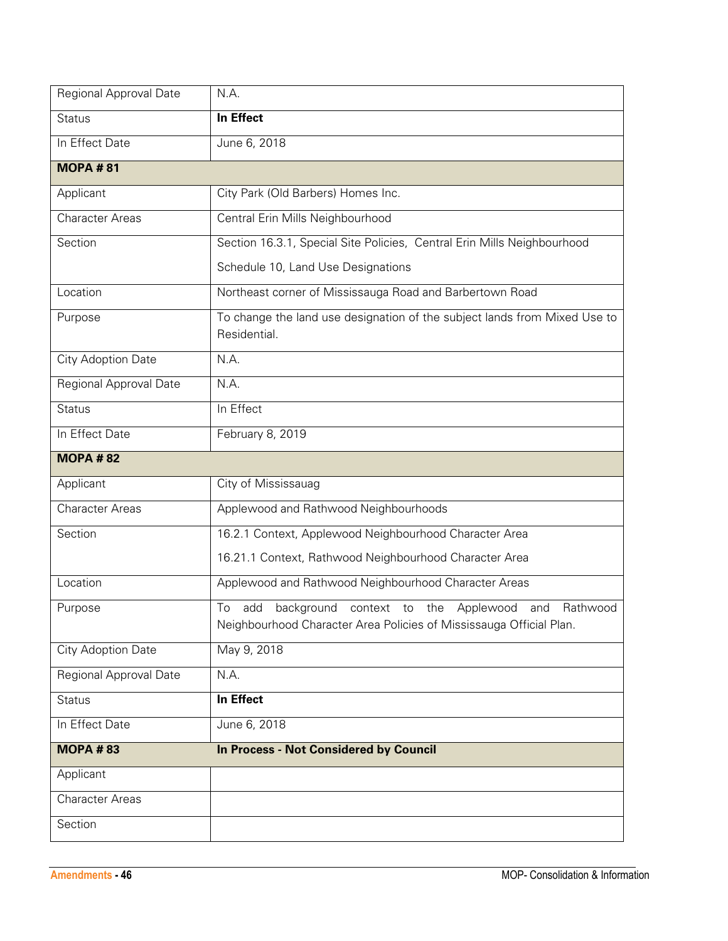| Regional Approval Date    | N.A.                                                                                                                                          |
|---------------------------|-----------------------------------------------------------------------------------------------------------------------------------------------|
| <b>Status</b>             | In Effect                                                                                                                                     |
| In Effect Date            | June 6, 2018                                                                                                                                  |
| <b>MOPA#81</b>            |                                                                                                                                               |
| Applicant                 | City Park (Old Barbers) Homes Inc.                                                                                                            |
| <b>Character Areas</b>    | Central Erin Mills Neighbourhood                                                                                                              |
| Section                   | Section 16.3.1, Special Site Policies, Central Erin Mills Neighbourhood                                                                       |
|                           | Schedule 10, Land Use Designations                                                                                                            |
| Location                  | Northeast corner of Mississauga Road and Barbertown Road                                                                                      |
| Purpose                   | To change the land use designation of the subject lands from Mixed Use to<br>Residential.                                                     |
| City Adoption Date        | N.A.                                                                                                                                          |
| Regional Approval Date    | N.A.                                                                                                                                          |
| <b>Status</b>             | In Effect                                                                                                                                     |
| In Effect Date            | February 8, 2019                                                                                                                              |
| <b>MOPA #82</b>           |                                                                                                                                               |
| Applicant                 | City of Mississauag                                                                                                                           |
| <b>Character Areas</b>    | Applewood and Rathwood Neighbourhoods                                                                                                         |
| Section                   | 16.2.1 Context, Applewood Neighbourhood Character Area                                                                                        |
|                           | 16.21.1 Context, Rathwood Neighbourhood Character Area                                                                                        |
| Location                  | Applewood and Rathwood Neighbourhood Character Areas                                                                                          |
| Purpose                   | To<br>background context to the<br>Rathwood<br>add<br>Applewood<br>and<br>Neighbourhood Character Area Policies of Mississauga Official Plan. |
| <b>City Adoption Date</b> | May 9, 2018                                                                                                                                   |
| Regional Approval Date    | N.A.                                                                                                                                          |
| <b>Status</b>             | In Effect                                                                                                                                     |
| In Effect Date            | June 6, 2018                                                                                                                                  |
| <b>MOPA #83</b>           | In Process - Not Considered by Council                                                                                                        |
| Applicant                 |                                                                                                                                               |
| <b>Character Areas</b>    |                                                                                                                                               |
| Section                   |                                                                                                                                               |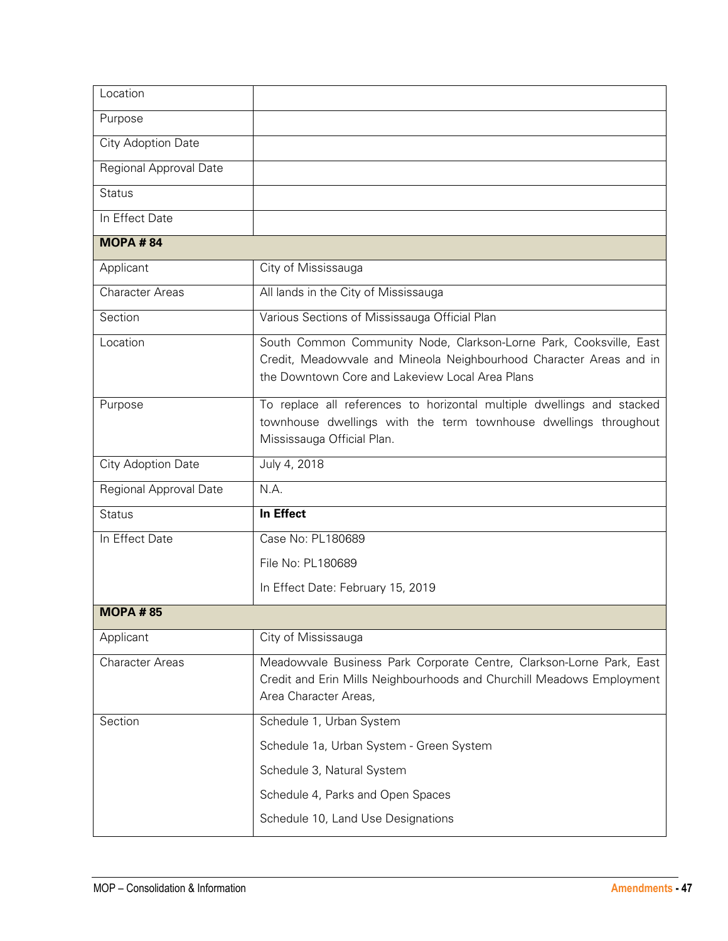| Location               |                                                                                                                                                                                              |
|------------------------|----------------------------------------------------------------------------------------------------------------------------------------------------------------------------------------------|
| Purpose                |                                                                                                                                                                                              |
| City Adoption Date     |                                                                                                                                                                                              |
| Regional Approval Date |                                                                                                                                                                                              |
| <b>Status</b>          |                                                                                                                                                                                              |
| In Effect Date         |                                                                                                                                                                                              |
| <b>MOPA #84</b>        |                                                                                                                                                                                              |
| Applicant              | City of Mississauga                                                                                                                                                                          |
| <b>Character Areas</b> | All lands in the City of Mississauga                                                                                                                                                         |
| Section                | Various Sections of Mississauga Official Plan                                                                                                                                                |
| Location               | South Common Community Node, Clarkson-Lorne Park, Cooksville, East<br>Credit, Meadowvale and Mineola Neighbourhood Character Areas and in<br>the Downtown Core and Lakeview Local Area Plans |
| Purpose                | To replace all references to horizontal multiple dwellings and stacked<br>townhouse dwellings with the term townhouse dwellings throughout<br>Mississauga Official Plan.                     |
|                        |                                                                                                                                                                                              |
| City Adoption Date     | July 4, 2018                                                                                                                                                                                 |
| Regional Approval Date | N.A.                                                                                                                                                                                         |
| <b>Status</b>          | In Effect                                                                                                                                                                                    |
| In Effect Date         | Case No: PL180689                                                                                                                                                                            |
|                        | File No: PL180689                                                                                                                                                                            |
|                        | In Effect Date: February 15, 2019                                                                                                                                                            |
| <b>MOPA #85</b>        |                                                                                                                                                                                              |
| Applicant              | City of Mississauga                                                                                                                                                                          |
| <b>Character Areas</b> | Meadowvale Business Park Corporate Centre, Clarkson-Lorne Park, East<br>Credit and Erin Mills Neighbourhoods and Churchill Meadows Employment<br>Area Character Areas,                       |
| Section                | Schedule 1, Urban System                                                                                                                                                                     |
|                        | Schedule 1a, Urban System - Green System                                                                                                                                                     |
|                        | Schedule 3, Natural System                                                                                                                                                                   |
|                        | Schedule 4, Parks and Open Spaces                                                                                                                                                            |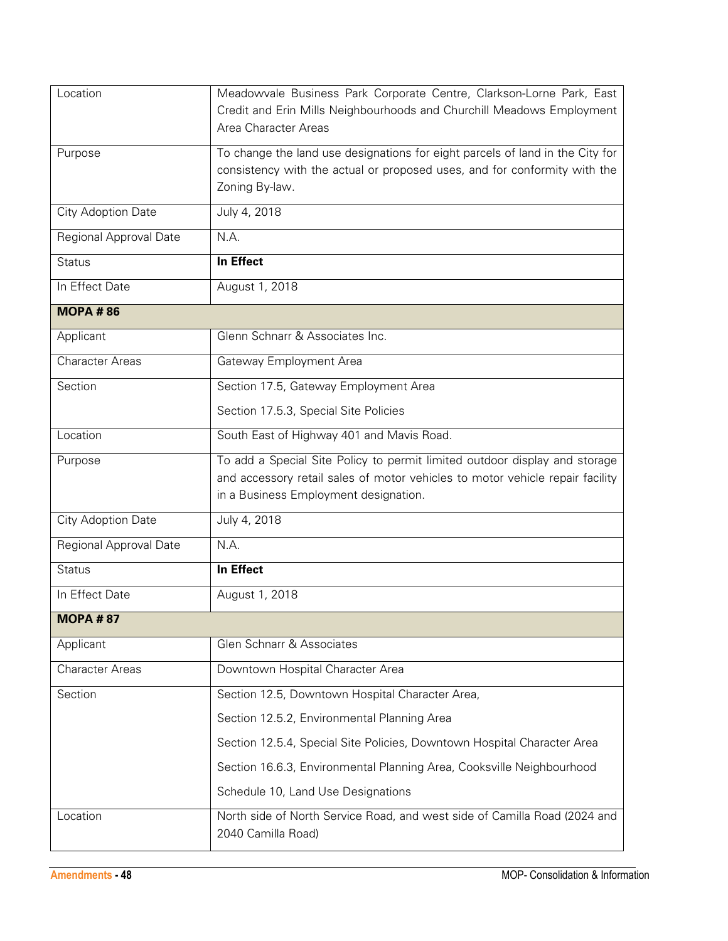| Location               | Meadowvale Business Park Corporate Centre, Clarkson-Lorne Park, East<br>Credit and Erin Mills Neighbourhoods and Churchill Meadows Employment<br>Area Character Areas                                |
|------------------------|------------------------------------------------------------------------------------------------------------------------------------------------------------------------------------------------------|
| Purpose                | To change the land use designations for eight parcels of land in the City for<br>consistency with the actual or proposed uses, and for conformity with the<br>Zoning By-law.                         |
| City Adoption Date     | July 4, 2018                                                                                                                                                                                         |
| Regional Approval Date | N.A.                                                                                                                                                                                                 |
| <b>Status</b>          | In Effect                                                                                                                                                                                            |
| In Effect Date         | August 1, 2018                                                                                                                                                                                       |
| <b>MOPA #86</b>        |                                                                                                                                                                                                      |
| Applicant              | Glenn Schnarr & Associates Inc.                                                                                                                                                                      |
| <b>Character Areas</b> | Gateway Employment Area                                                                                                                                                                              |
| Section                | Section 17.5, Gateway Employment Area                                                                                                                                                                |
|                        | Section 17.5.3, Special Site Policies                                                                                                                                                                |
| Location               | South East of Highway 401 and Mavis Road.                                                                                                                                                            |
| Purpose                | To add a Special Site Policy to permit limited outdoor display and storage<br>and accessory retail sales of motor vehicles to motor vehicle repair facility<br>in a Business Employment designation. |
| City Adoption Date     | July 4, 2018                                                                                                                                                                                         |
| Regional Approval Date | N.A.                                                                                                                                                                                                 |
| <b>Status</b>          | In Effect                                                                                                                                                                                            |
| In Effect Date         | August 1, 2018                                                                                                                                                                                       |
| <b>MOPA #87</b>        |                                                                                                                                                                                                      |
| Applicant              | Glen Schnarr & Associates                                                                                                                                                                            |
| <b>Character Areas</b> | Downtown Hospital Character Area                                                                                                                                                                     |
| Section                | Section 12.5, Downtown Hospital Character Area,                                                                                                                                                      |
|                        | Section 12.5.2, Environmental Planning Area                                                                                                                                                          |
|                        | Section 12.5.4, Special Site Policies, Downtown Hospital Character Area                                                                                                                              |
|                        | Section 16.6.3, Environmental Planning Area, Cooksville Neighbourhood                                                                                                                                |
|                        | Schedule 10, Land Use Designations                                                                                                                                                                   |
| Location               | North side of North Service Road, and west side of Camilla Road (2024 and<br>2040 Camilla Road)                                                                                                      |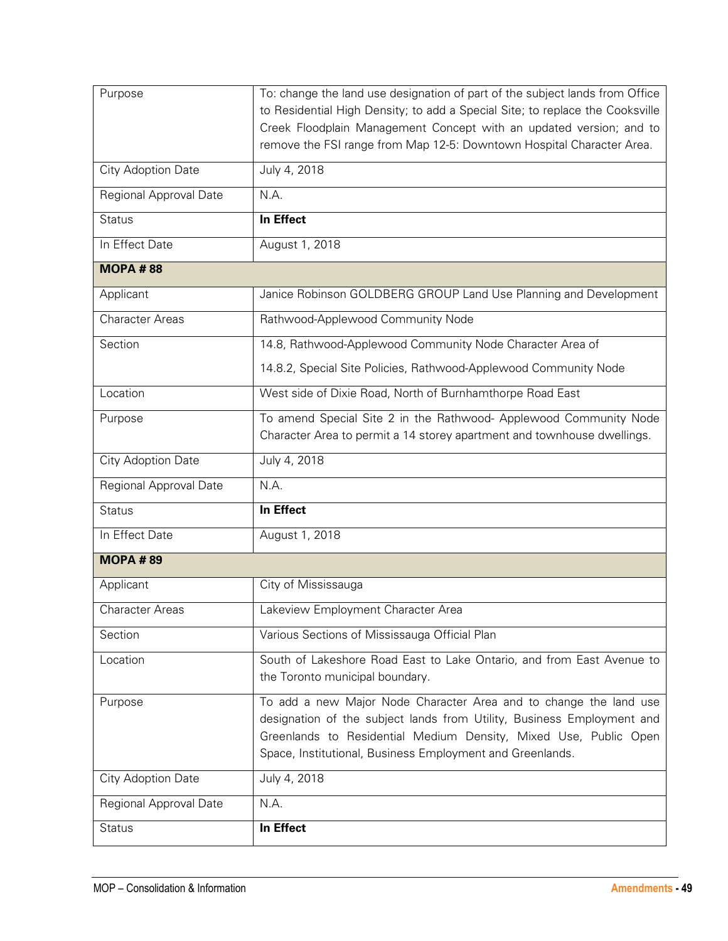| Purpose                   | To: change the land use designation of part of the subject lands from Office                                                                 |
|---------------------------|----------------------------------------------------------------------------------------------------------------------------------------------|
|                           | to Residential High Density; to add a Special Site; to replace the Cooksville                                                                |
|                           | Creek Floodplain Management Concept with an updated version; and to<br>remove the FSI range from Map 12-5: Downtown Hospital Character Area. |
|                           |                                                                                                                                              |
| <b>City Adoption Date</b> | July 4, 2018                                                                                                                                 |
| Regional Approval Date    | N.A.                                                                                                                                         |
| <b>Status</b>             | In Effect                                                                                                                                    |
| In Effect Date            | August 1, 2018                                                                                                                               |
| <b>MOPA #88</b>           |                                                                                                                                              |
| Applicant                 | Janice Robinson GOLDBERG GROUP Land Use Planning and Development                                                                             |
| <b>Character Areas</b>    | Rathwood-Applewood Community Node                                                                                                            |
| Section                   | 14.8, Rathwood-Applewood Community Node Character Area of                                                                                    |
|                           | 14.8.2, Special Site Policies, Rathwood-Applewood Community Node                                                                             |
| Location                  | West side of Dixie Road, North of Burnhamthorpe Road East                                                                                    |
| Purpose                   | To amend Special Site 2 in the Rathwood- Applewood Community Node                                                                            |
|                           | Character Area to permit a 14 storey apartment and townhouse dwellings.                                                                      |
| City Adoption Date        | July 4, 2018                                                                                                                                 |
| Regional Approval Date    | N.A.                                                                                                                                         |
| <b>Status</b>             | In Effect                                                                                                                                    |
| In Effect Date            | August 1, 2018                                                                                                                               |
| <b>MOPA #89</b>           |                                                                                                                                              |
| Applicant                 | City of Mississauga                                                                                                                          |
| <b>Character Areas</b>    | Lakeview Employment Character Area                                                                                                           |
| Section                   | Various Sections of Mississauga Official Plan                                                                                                |
| Location                  | South of Lakeshore Road East to Lake Ontario, and from East Avenue to<br>the Toronto municipal boundary.                                     |
|                           |                                                                                                                                              |
| Purpose                   | To add a new Major Node Character Area and to change the land use<br>designation of the subject lands from Utility, Business Employment and  |
|                           | Greenlands to Residential Medium Density, Mixed Use, Public Open                                                                             |
|                           | Space, Institutional, Business Employment and Greenlands.                                                                                    |
| City Adoption Date        | July 4, 2018                                                                                                                                 |
| Regional Approval Date    | N.A.                                                                                                                                         |
| <b>Status</b>             | In Effect                                                                                                                                    |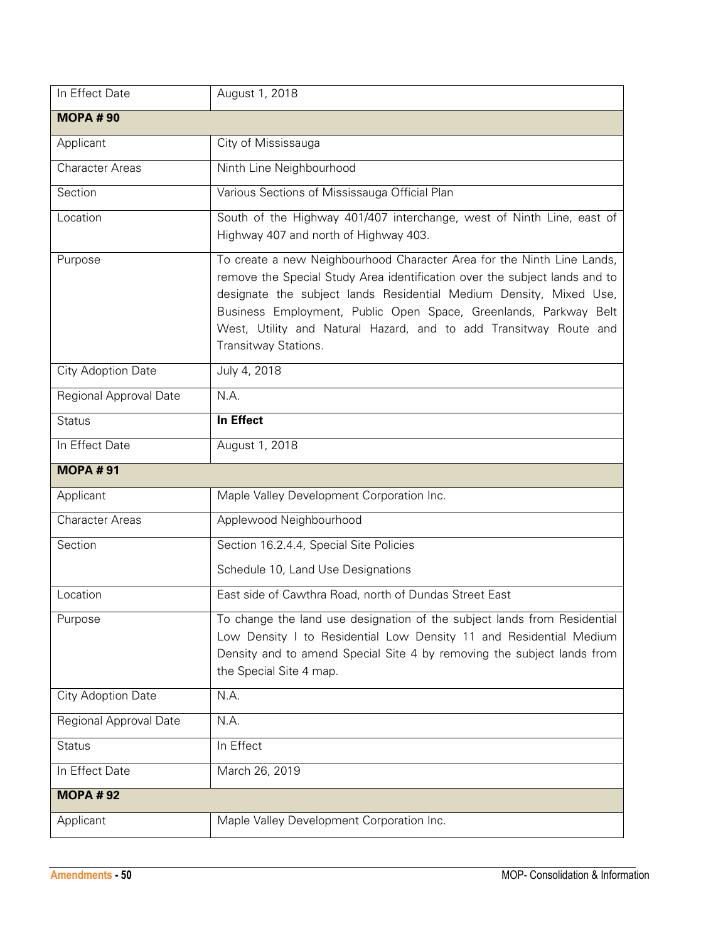| In Effect Date         | August 1, 2018                                                                                                                                                                                                                                                                                                                                                                              |
|------------------------|---------------------------------------------------------------------------------------------------------------------------------------------------------------------------------------------------------------------------------------------------------------------------------------------------------------------------------------------------------------------------------------------|
| <b>MOPA#90</b>         |                                                                                                                                                                                                                                                                                                                                                                                             |
| Applicant              | City of Mississauga                                                                                                                                                                                                                                                                                                                                                                         |
| <b>Character Areas</b> | Ninth Line Neighbourhood                                                                                                                                                                                                                                                                                                                                                                    |
| Section                | Various Sections of Mississauga Official Plan                                                                                                                                                                                                                                                                                                                                               |
| Location               | South of the Highway 401/407 interchange, west of Ninth Line, east of<br>Highway 407 and north of Highway 403.                                                                                                                                                                                                                                                                              |
| Purpose                | To create a new Neighbourhood Character Area for the Ninth Line Lands,<br>remove the Special Study Area identification over the subject lands and to<br>designate the subject lands Residential Medium Density, Mixed Use,<br>Business Employment, Public Open Space, Greenlands, Parkway Belt<br>West, Utility and Natural Hazard, and to add Transitway Route and<br>Transitway Stations. |
| City Adoption Date     | July 4, 2018                                                                                                                                                                                                                                                                                                                                                                                |
| Regional Approval Date | N.A.                                                                                                                                                                                                                                                                                                                                                                                        |
| <b>Status</b>          | In Effect                                                                                                                                                                                                                                                                                                                                                                                   |
| In Effect Date         | August 1, 2018                                                                                                                                                                                                                                                                                                                                                                              |
|                        |                                                                                                                                                                                                                                                                                                                                                                                             |
| <b>MOPA#91</b>         |                                                                                                                                                                                                                                                                                                                                                                                             |
| Applicant              | Maple Valley Development Corporation Inc.                                                                                                                                                                                                                                                                                                                                                   |
| <b>Character Areas</b> | Applewood Neighbourhood                                                                                                                                                                                                                                                                                                                                                                     |
| Section                | Section 16.2.4.4, Special Site Policies                                                                                                                                                                                                                                                                                                                                                     |
|                        | Schedule 10, Land Use Designations                                                                                                                                                                                                                                                                                                                                                          |
| Location               | East side of Cawthra Road, north of Dundas Street East                                                                                                                                                                                                                                                                                                                                      |
| Purpose                | To change the land use designation of the subject lands from Residential<br>Low Density I to Residential Low Density 11 and Residential Medium<br>Density and to amend Special Site 4 by removing the subject lands from<br>the Special Site 4 map.                                                                                                                                         |
| City Adoption Date     | N.A.                                                                                                                                                                                                                                                                                                                                                                                        |
| Regional Approval Date | N.A.                                                                                                                                                                                                                                                                                                                                                                                        |
| <b>Status</b>          | In Effect                                                                                                                                                                                                                                                                                                                                                                                   |
| In Effect Date         | March 26, 2019                                                                                                                                                                                                                                                                                                                                                                              |
| <b>MOPA #92</b>        |                                                                                                                                                                                                                                                                                                                                                                                             |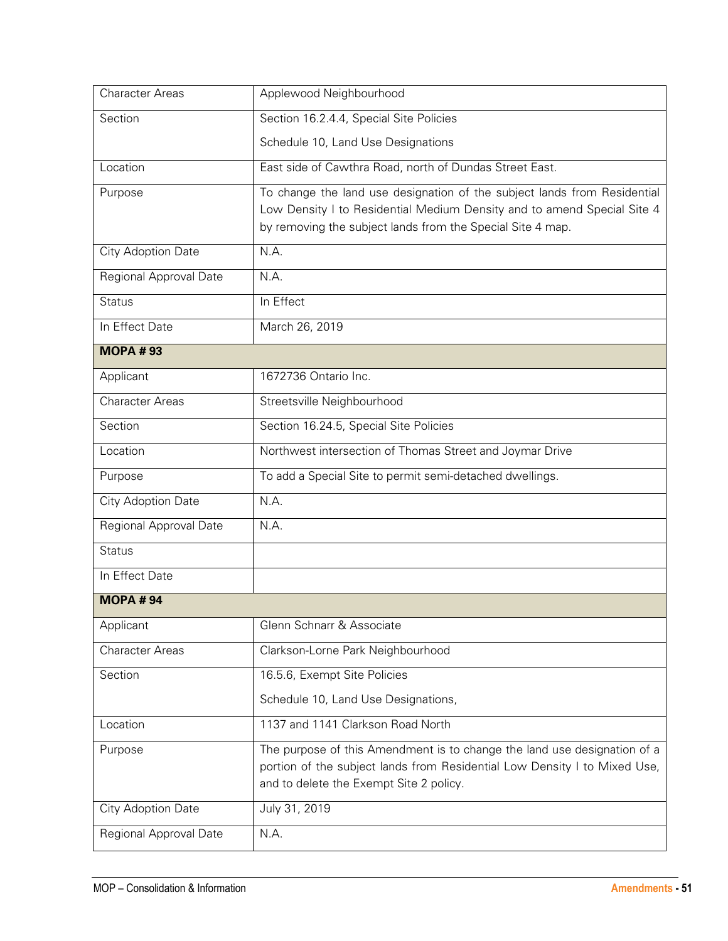| <b>Character Areas</b> | Applewood Neighbourhood                                                                                              |
|------------------------|----------------------------------------------------------------------------------------------------------------------|
| Section                | Section 16.2.4.4, Special Site Policies                                                                              |
|                        | Schedule 10, Land Use Designations                                                                                   |
| Location               | East side of Cawthra Road, north of Dundas Street East.                                                              |
| Purpose                | To change the land use designation of the subject lands from Residential                                             |
|                        | Low Density I to Residential Medium Density and to amend Special Site 4                                              |
|                        | by removing the subject lands from the Special Site 4 map.                                                           |
| City Adoption Date     | N.A.                                                                                                                 |
| Regional Approval Date | N.A.                                                                                                                 |
| <b>Status</b>          | In Effect                                                                                                            |
| In Effect Date         | March 26, 2019                                                                                                       |
| <b>MOPA #93</b>        |                                                                                                                      |
| Applicant              | 1672736 Ontario Inc.                                                                                                 |
| <b>Character Areas</b> | Streetsville Neighbourhood                                                                                           |
| Section                | Section 16.24.5, Special Site Policies                                                                               |
| Location               | Northwest intersection of Thomas Street and Joymar Drive                                                             |
| Purpose                | To add a Special Site to permit semi-detached dwellings.                                                             |
| City Adoption Date     | N.A.                                                                                                                 |
| Regional Approval Date | N.A.                                                                                                                 |
| <b>Status</b>          |                                                                                                                      |
| In Effect Date         |                                                                                                                      |
| <b>MOPA#94</b>         |                                                                                                                      |
| Applicant              | Glenn Schnarr & Associate                                                                                            |
| <b>Character Areas</b> | Clarkson-Lorne Park Neighbourhood                                                                                    |
| Section                | 16.5.6, Exempt Site Policies                                                                                         |
|                        | Schedule 10, Land Use Designations,                                                                                  |
| Location               | 1137 and 1141 Clarkson Road North                                                                                    |
| Purpose                | The purpose of this Amendment is to change the land use designation of a                                             |
|                        | portion of the subject lands from Residential Low Density I to Mixed Use,<br>and to delete the Exempt Site 2 policy. |
|                        |                                                                                                                      |
| City Adoption Date     | July 31, 2019                                                                                                        |
| Regional Approval Date | N.A.                                                                                                                 |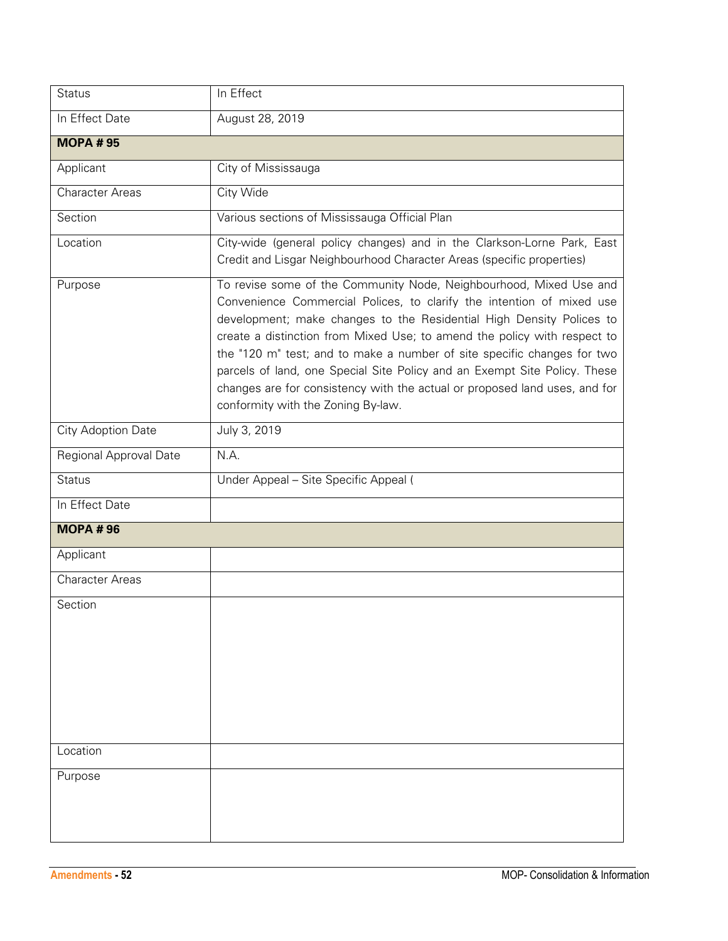| <b>Status</b>          | In Effect                                                                                                                                                                                                                                                                                                                                                                                                                                                                                                                                                                   |
|------------------------|-----------------------------------------------------------------------------------------------------------------------------------------------------------------------------------------------------------------------------------------------------------------------------------------------------------------------------------------------------------------------------------------------------------------------------------------------------------------------------------------------------------------------------------------------------------------------------|
| In Effect Date         | August 28, 2019                                                                                                                                                                                                                                                                                                                                                                                                                                                                                                                                                             |
| <b>MOPA #95</b>        |                                                                                                                                                                                                                                                                                                                                                                                                                                                                                                                                                                             |
| Applicant              | City of Mississauga                                                                                                                                                                                                                                                                                                                                                                                                                                                                                                                                                         |
| <b>Character Areas</b> | City Wide                                                                                                                                                                                                                                                                                                                                                                                                                                                                                                                                                                   |
| Section                | Various sections of Mississauga Official Plan                                                                                                                                                                                                                                                                                                                                                                                                                                                                                                                               |
| Location               | City-wide (general policy changes) and in the Clarkson-Lorne Park, East<br>Credit and Lisgar Neighbourhood Character Areas (specific properties)                                                                                                                                                                                                                                                                                                                                                                                                                            |
| Purpose                | To revise some of the Community Node, Neighbourhood, Mixed Use and<br>Convenience Commercial Polices, to clarify the intention of mixed use<br>development; make changes to the Residential High Density Polices to<br>create a distinction from Mixed Use; to amend the policy with respect to<br>the "120 m" test; and to make a number of site specific changes for two<br>parcels of land, one Special Site Policy and an Exempt Site Policy. These<br>changes are for consistency with the actual or proposed land uses, and for<br>conformity with the Zoning By-law. |
| City Adoption Date     | July 3, 2019                                                                                                                                                                                                                                                                                                                                                                                                                                                                                                                                                                |
| Regional Approval Date | N.A.                                                                                                                                                                                                                                                                                                                                                                                                                                                                                                                                                                        |
| <b>Status</b>          | Under Appeal - Site Specific Appeal (                                                                                                                                                                                                                                                                                                                                                                                                                                                                                                                                       |
| In Effect Date         |                                                                                                                                                                                                                                                                                                                                                                                                                                                                                                                                                                             |
| <b>MOPA #96</b>        |                                                                                                                                                                                                                                                                                                                                                                                                                                                                                                                                                                             |
| Applicant              |                                                                                                                                                                                                                                                                                                                                                                                                                                                                                                                                                                             |
| <b>Character Areas</b> |                                                                                                                                                                                                                                                                                                                                                                                                                                                                                                                                                                             |
| Section                |                                                                                                                                                                                                                                                                                                                                                                                                                                                                                                                                                                             |
| Location               |                                                                                                                                                                                                                                                                                                                                                                                                                                                                                                                                                                             |
| Purpose                |                                                                                                                                                                                                                                                                                                                                                                                                                                                                                                                                                                             |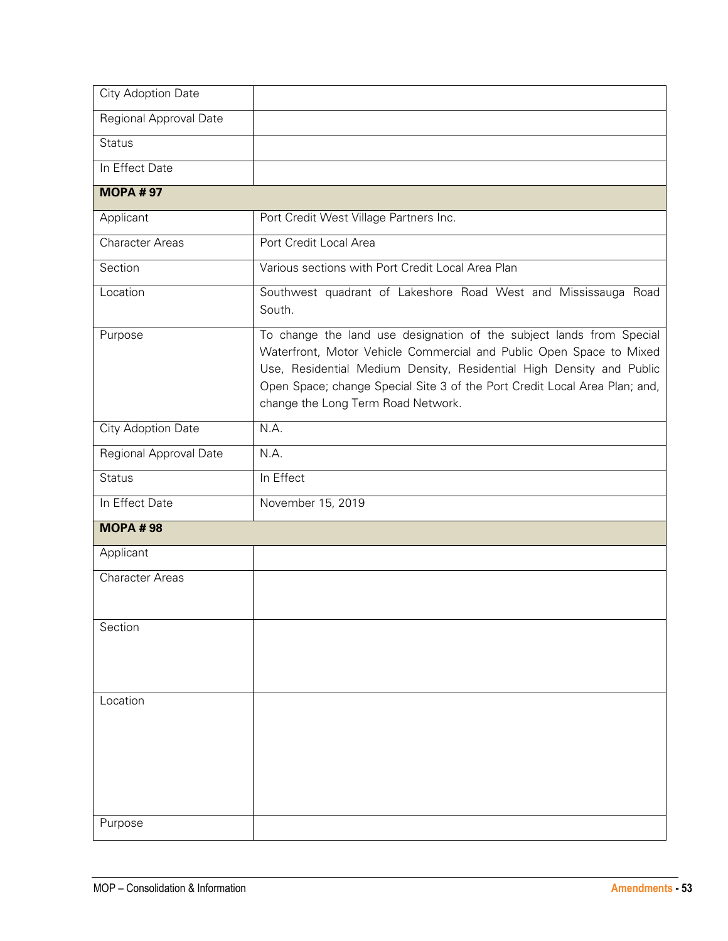| City Adoption Date     |                                                                                                                                                                                                                                                                                                                                         |
|------------------------|-----------------------------------------------------------------------------------------------------------------------------------------------------------------------------------------------------------------------------------------------------------------------------------------------------------------------------------------|
| Regional Approval Date |                                                                                                                                                                                                                                                                                                                                         |
| <b>Status</b>          |                                                                                                                                                                                                                                                                                                                                         |
| In Effect Date         |                                                                                                                                                                                                                                                                                                                                         |
| <b>MOPA #97</b>        |                                                                                                                                                                                                                                                                                                                                         |
| Applicant              | Port Credit West Village Partners Inc.                                                                                                                                                                                                                                                                                                  |
| <b>Character Areas</b> | Port Credit Local Area                                                                                                                                                                                                                                                                                                                  |
| Section                | Various sections with Port Credit Local Area Plan                                                                                                                                                                                                                                                                                       |
| Location               | Southwest quadrant of Lakeshore Road West and Mississauga Road<br>South.                                                                                                                                                                                                                                                                |
| Purpose                | To change the land use designation of the subject lands from Special<br>Waterfront, Motor Vehicle Commercial and Public Open Space to Mixed<br>Use, Residential Medium Density, Residential High Density and Public<br>Open Space; change Special Site 3 of the Port Credit Local Area Plan; and,<br>change the Long Term Road Network. |
| City Adoption Date     | N.A.                                                                                                                                                                                                                                                                                                                                    |
| Regional Approval Date | N.A.                                                                                                                                                                                                                                                                                                                                    |
| <b>Status</b>          | In Effect                                                                                                                                                                                                                                                                                                                               |
| In Effect Date         | November 15, 2019                                                                                                                                                                                                                                                                                                                       |
| <b>MOPA #98</b>        |                                                                                                                                                                                                                                                                                                                                         |
| Applicant              |                                                                                                                                                                                                                                                                                                                                         |
| <b>Character Areas</b> |                                                                                                                                                                                                                                                                                                                                         |
| Section                |                                                                                                                                                                                                                                                                                                                                         |
| Location<br>Purpose    |                                                                                                                                                                                                                                                                                                                                         |
|                        |                                                                                                                                                                                                                                                                                                                                         |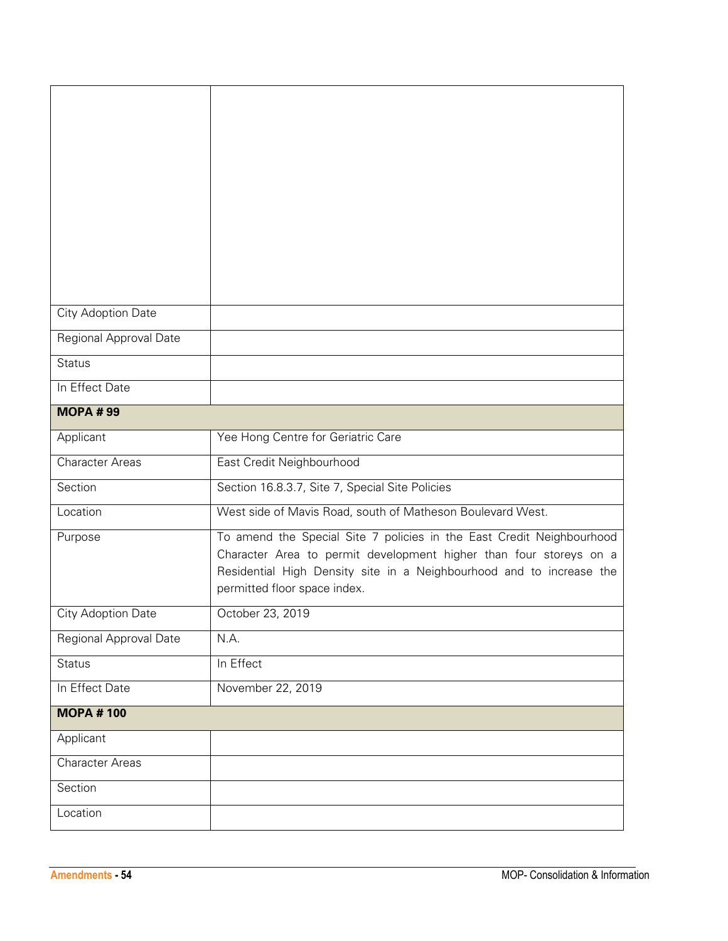| City Adoption Date        |                                                                                                                                                                                                                                                     |
|---------------------------|-----------------------------------------------------------------------------------------------------------------------------------------------------------------------------------------------------------------------------------------------------|
| Regional Approval Date    |                                                                                                                                                                                                                                                     |
| <b>Status</b>             |                                                                                                                                                                                                                                                     |
| In Effect Date            |                                                                                                                                                                                                                                                     |
| <b>MOPA #99</b>           |                                                                                                                                                                                                                                                     |
| Applicant                 | Yee Hong Centre for Geriatric Care                                                                                                                                                                                                                  |
| <b>Character Areas</b>    | East Credit Neighbourhood                                                                                                                                                                                                                           |
| Section                   | Section 16.8.3.7, Site 7, Special Site Policies                                                                                                                                                                                                     |
| Location                  | West side of Mavis Road, south of Matheson Boulevard West.                                                                                                                                                                                          |
| Purpose                   | To amend the Special Site 7 policies in the East Credit Neighbourhood<br>Character Area to permit development higher than four storeys on a<br>Residential High Density site in a Neighbourhood and to increase the<br>permitted floor space index. |
| <b>City Adoption Date</b> | October 23, 2019                                                                                                                                                                                                                                    |
| Regional Approval Date    | N.A.                                                                                                                                                                                                                                                |
| <b>Status</b>             | In Effect                                                                                                                                                                                                                                           |
| In Effect Date            | November 22, 2019                                                                                                                                                                                                                                   |
| <b>MOPA #100</b>          |                                                                                                                                                                                                                                                     |
| Applicant                 |                                                                                                                                                                                                                                                     |
| <b>Character Areas</b>    |                                                                                                                                                                                                                                                     |
| Section                   |                                                                                                                                                                                                                                                     |
| Location                  |                                                                                                                                                                                                                                                     |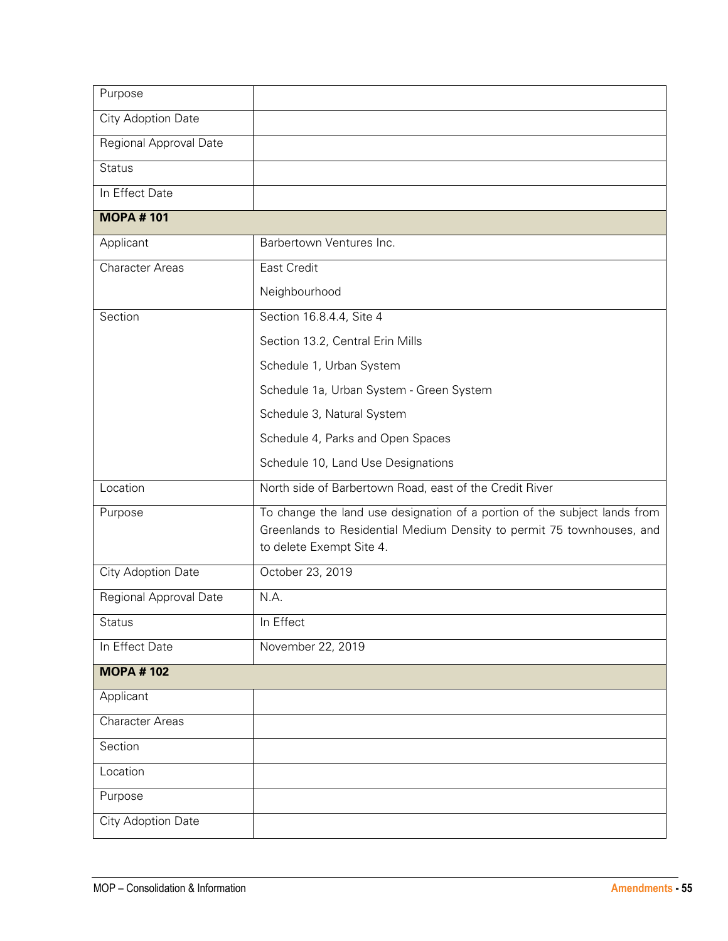| Purpose                |                                                                                                                                                                                |
|------------------------|--------------------------------------------------------------------------------------------------------------------------------------------------------------------------------|
| City Adoption Date     |                                                                                                                                                                                |
| Regional Approval Date |                                                                                                                                                                                |
| <b>Status</b>          |                                                                                                                                                                                |
| In Effect Date         |                                                                                                                                                                                |
| <b>MOPA #101</b>       |                                                                                                                                                                                |
| Applicant              | Barbertown Ventures Inc.                                                                                                                                                       |
| <b>Character Areas</b> | <b>East Credit</b>                                                                                                                                                             |
|                        | Neighbourhood                                                                                                                                                                  |
| Section                | Section 16.8.4.4, Site 4                                                                                                                                                       |
|                        | Section 13.2, Central Erin Mills                                                                                                                                               |
|                        | Schedule 1, Urban System                                                                                                                                                       |
|                        | Schedule 1a, Urban System - Green System                                                                                                                                       |
|                        | Schedule 3, Natural System                                                                                                                                                     |
|                        | Schedule 4, Parks and Open Spaces                                                                                                                                              |
|                        | Schedule 10, Land Use Designations                                                                                                                                             |
| Location               | North side of Barbertown Road, east of the Credit River                                                                                                                        |
| Purpose                | To change the land use designation of a portion of the subject lands from<br>Greenlands to Residential Medium Density to permit 75 townhouses, and<br>to delete Exempt Site 4. |
| City Adoption Date     | October 23, 2019                                                                                                                                                               |
| Regional Approval Date | N.A.                                                                                                                                                                           |
| <b>Status</b>          | In Effect                                                                                                                                                                      |
| In Effect Date         | November 22, 2019                                                                                                                                                              |
| <b>MOPA #102</b>       |                                                                                                                                                                                |
| Applicant              |                                                                                                                                                                                |
| <b>Character Areas</b> |                                                                                                                                                                                |
| Section                |                                                                                                                                                                                |
| Location               |                                                                                                                                                                                |
| Purpose                |                                                                                                                                                                                |
| City Adoption Date     |                                                                                                                                                                                |